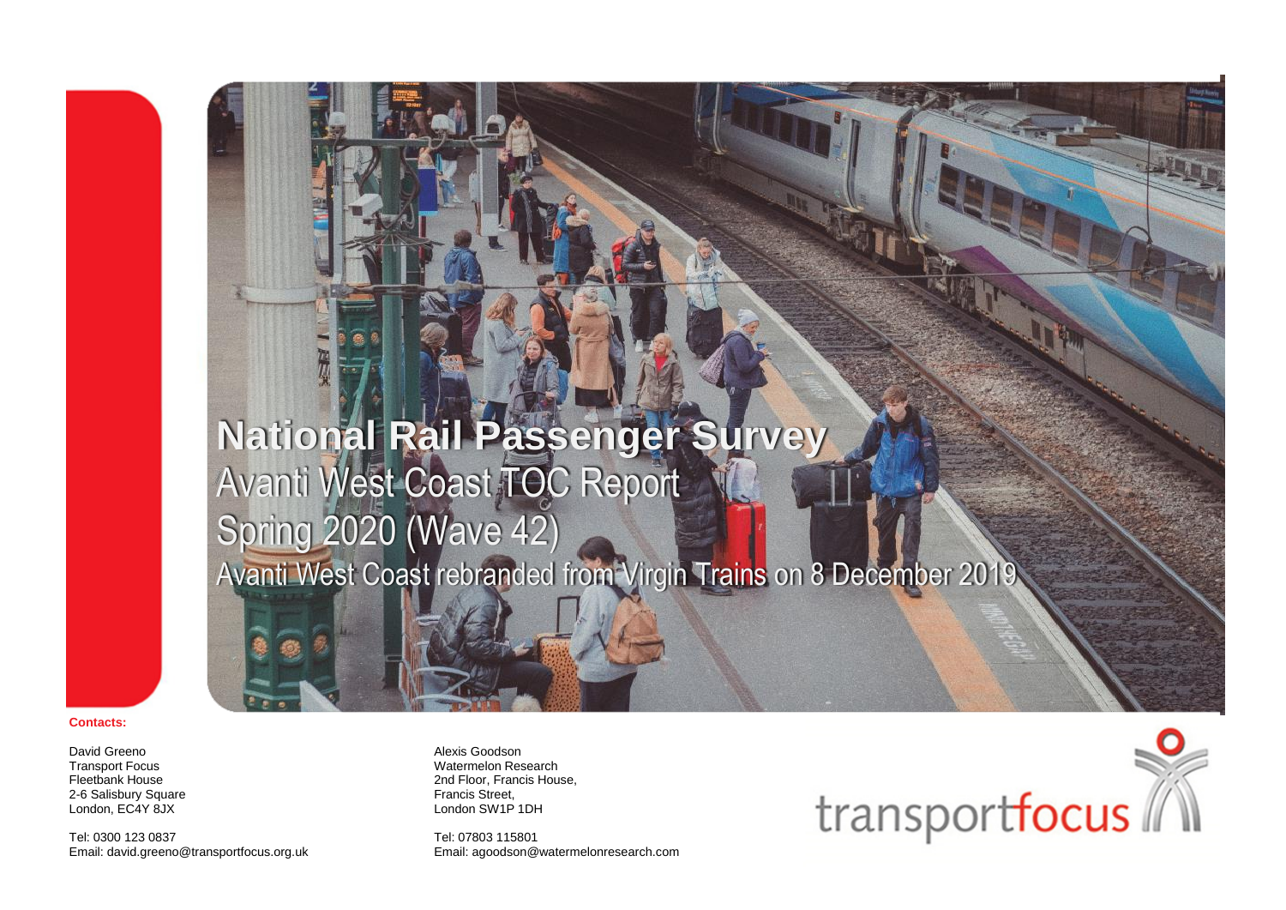## **National Rail Passenger Survey** Avanti West Coast TOC Report Spring 2020 (Wave 42) Avanti West Coast rebranded from Virgin Trains on 8 December 201

#### **Contacts:**

David Greeno Transport Focus Fleetbank House 2-6 Salisbury Square London, EC4Y 8JX

Tel: 0300 123 0837 Email: david.greeno@transportfocus.org.uk Alexis Goodson Watermelon Research 2nd Floor, Francis House, Francis Street, London SW1P 1DH

Tel: 07803 115801 Email: agoodson@watermelonresearch.com

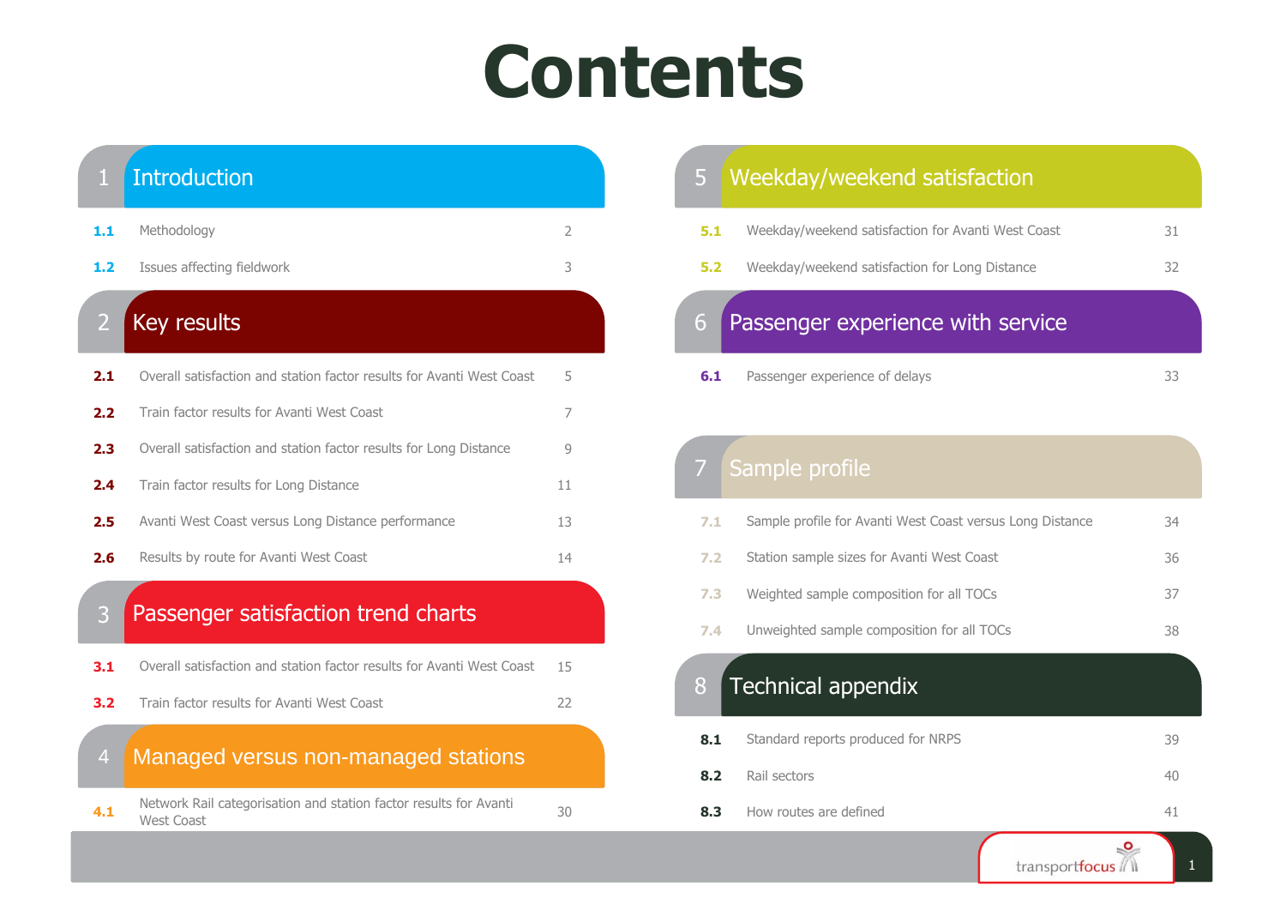# **Contents**



| 5   | Weekday/weekend satisfaction                       |    |
|-----|----------------------------------------------------|----|
| 5.1 | Weekday/weekend satisfaction for Avanti West Coast | 31 |
| 5.2 | Weekday/weekend satisfaction for Long Distance     | 32 |
| 6   | Passenger experience with service                  |    |
| 6.1 | Passenger experience of delays                     | 33 |

### Sample profile

| 7.1 | Sample profile for Avanti West Coast versus Long Distance | 34 |
|-----|-----------------------------------------------------------|----|
| 7.2 | Station sample sizes for Avanti West Coast                | 36 |
| 7.3 | Weighted sample composition for all TOCs                  | 37 |
| 7.4 | Unweighted sample composition for all TOCs                | 38 |
|     |                                                           |    |

### Technical appendix

| 8.1 | Standard reports produced for NRPS | 39 |
|-----|------------------------------------|----|
| 8.2 | Rail sectors                       | 40 |
| 8.3 | How routes are defined             |    |

1

transportfocus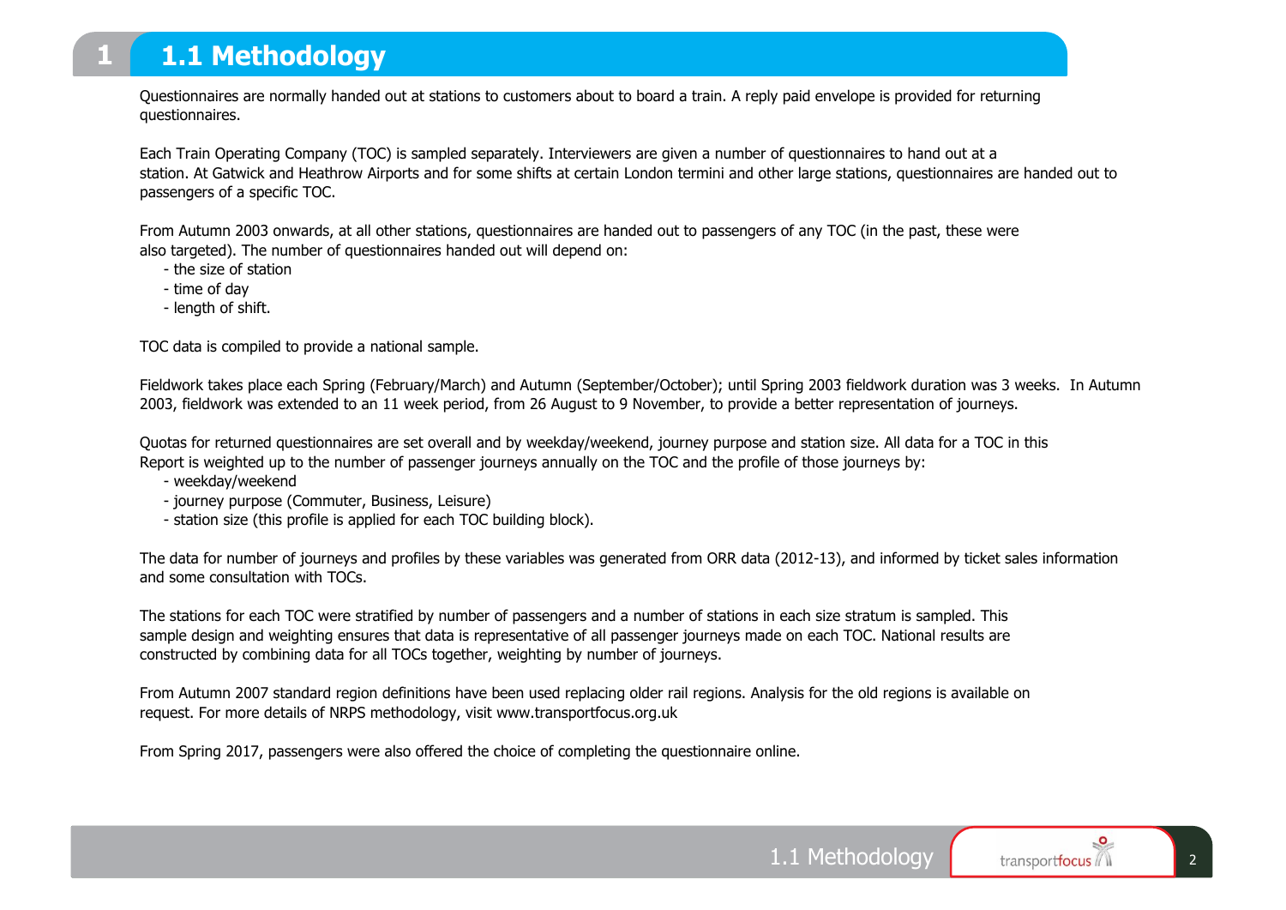### **1.1 Methodology**

Questionnaires are normally handed out at stations to customers about to board a train. A reply paid envelope is provided for returning questionnaires.

Each Train Operating Company (TOC) is sampled separately. Interviewers are given a number of questionnaires to hand out at a station. At Gatwick and Heathrow Airports and for some shifts at certain London termini and other large stations, questionnaires are handed out to passengers of a specific TOC.

From Autumn 2003 onwards, at all other stations, questionnaires are handed out to passengers of any TOC (in the past, these were also targeted). The number of questionnaires handed out will depend on:

- the size of station
- time of day
- length of shift.

TOC data is compiled to provide a national sample.

Fieldwork takes place each Spring (February/March) and Autumn (September/October); until Spring 2003 fieldwork duration was 3 weeks. In Autumn 2003, fieldwork was extended to an 11 week period, from 26 August to 9 November, to provide a better representation of journeys.

Quotas for returned questionnaires are set overall and by weekday/weekend, journey purpose and station size. All data for a TOC in this Report is weighted up to the number of passenger journeys annually on the TOC and the profile of those journeys by:

- weekday/weekend
- journey purpose (Commuter, Business, Leisure)
- station size (this profile is applied for each TOC building block).

The data for number of journeys and profiles by these variables was generated from ORR data (2012-13), and informed by ticket sales information and some consultation with TOCs.

The stations for each TOC were stratified by number of passengers and a number of stations in each size stratum is sampled. This sample design and weighting ensures that data is representative of all passenger journeys made on each TOC. National results are constructed by combining data for all TOCs together, weighting by number of journeys.

From Autumn 2007 standard region definitions have been used replacing older rail regions. Analysis for the old regions is available on request. For more details of NRPS methodology, visit www.transportfocus.org.uk

From Spring 2017, passengers were also offered the choice of completing the questionnaire online.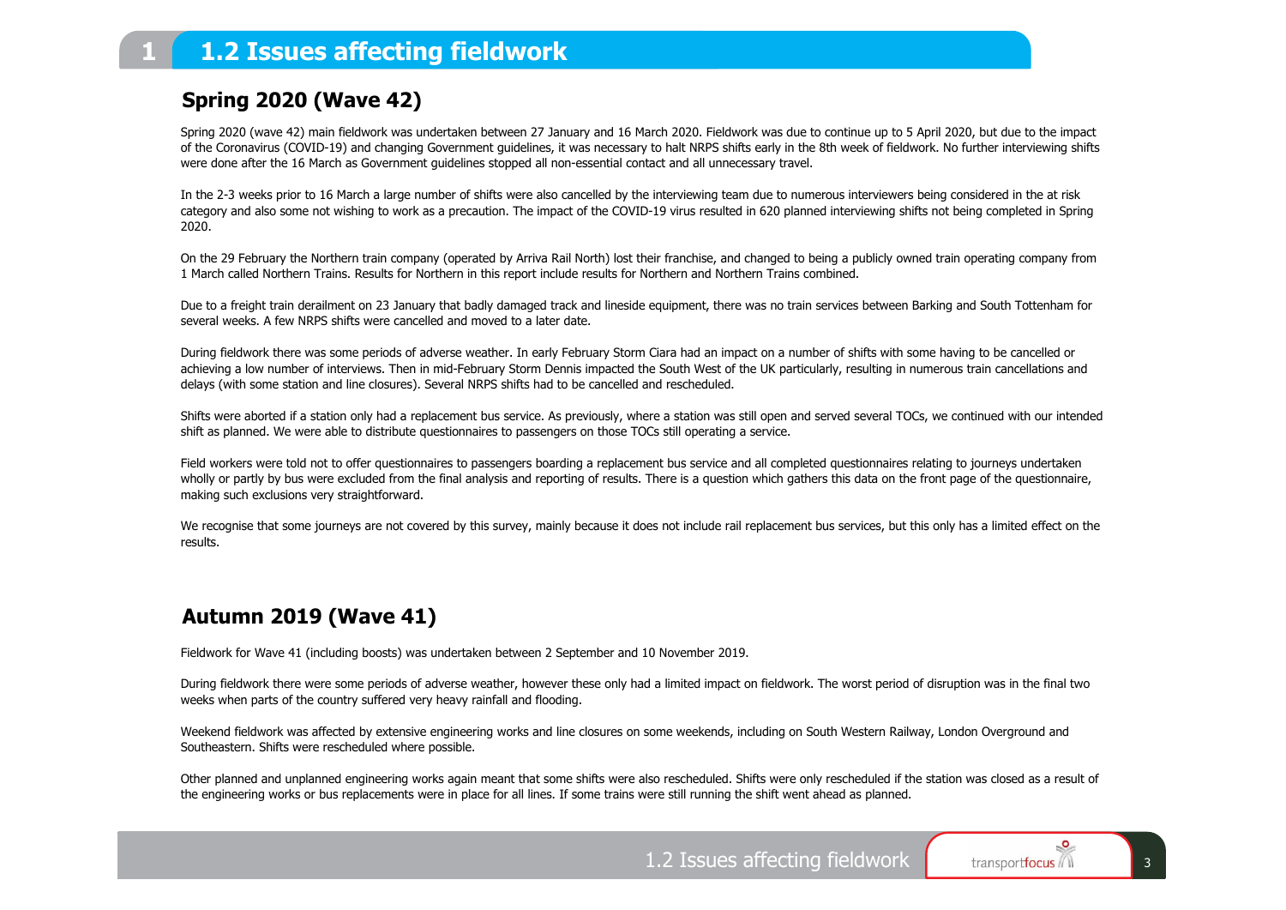### **1.2 Issues affecting fieldwork**

### **Spring 2020 (Wave 42)**

Spring 2020 (wave 42) main fieldwork was undertaken between 27 January and 16 March 2020. Fieldwork was due to continue up to 5 April 2020, but due to the impact of the Coronavirus (COVID-19) and changing Government guidelines, it was necessary to halt NRPS shifts early in the 8th week of fieldwork. No further interviewing shifts were done after the 16 March as Government guidelines stopped all non-essential contact and all unnecessary travel.

In the 2-3 weeks prior to 16 March a large number of shifts were also cancelled by the interviewing team due to numerous interviewers being considered in the at risk category and also some not wishing to work as a precaution. The impact of the COVID-19 virus resulted in 620 planned interviewing shifts not being completed in Spring 2020.

On the 29 February the Northern train company (operated by Arriva Rail North) lost their franchise, and changed to being a publicly owned train operating company from 1 March called Northern Trains. Results for Northern in this report include results for Northern and Northern Trains combined.

Due to a freight train derailment on 23 January that badly damaged track and lineside equipment, there was no train services between Barking and South Tottenham for several weeks. A few NRPS shifts were cancelled and moved to a later date.

During fieldwork there was some periods of adverse weather. In early February Storm Ciara had an impact on a number of shifts with some having to be cancelled or achieving a low number of interviews. Then in mid-February Storm Dennis impacted the South West of the UK particularly, resulting in numerous train cancellations and delays (with some station and line closures). Several NRPS shifts had to be cancelled and rescheduled.

Shifts were aborted if a station only had a replacement bus service. As previously, where a station was still open and served several TOCs, we continued with our intended shift as planned. We were able to distribute questionnaires to passengers on those TOCs still operating a service.

Field workers were told not to offer questionnaires to passengers boarding a replacement bus service and all completed questionnaires relating to journeys undertaken wholly or partly by bus were excluded from the final analysis and reporting of results. There is a question which gathers this data on the front page of the questionnaire, making such exclusions very straightforward.

We recognise that some journeys are not covered by this survey, mainly because it does not include rail replacement bus services, but this only has a limited effect on the results.

### **Autumn 2019 (Wave 41)**

Fieldwork for Wave 41 (including boosts) was undertaken between 2 September and 10 November 2019.

During fieldwork there were some periods of adverse weather, however these only had a limited impact on fieldwork. The worst period of disruption was in the final two weeks when parts of the country suffered very heavy rainfall and flooding.

Weekend fieldwork was affected by extensive engineering works and line closures on some weekends, including on South Western Railway, London Overground and Southeastern. Shifts were rescheduled where possible.

Other planned and unplanned engineering works again meant that some shifts were also rescheduled. Shifts were only rescheduled if the station was closed as a result of the engineering works or bus replacements were in place for all lines. If some trains were still running the shift went ahead as planned.

1.2 Issues affecting fieldwork  $\begin{array}{|c|c|c|c|c|c|c|c|}\n\hline\n\text{1.2} & \text{I} & \text{2.3}\n\end{array}$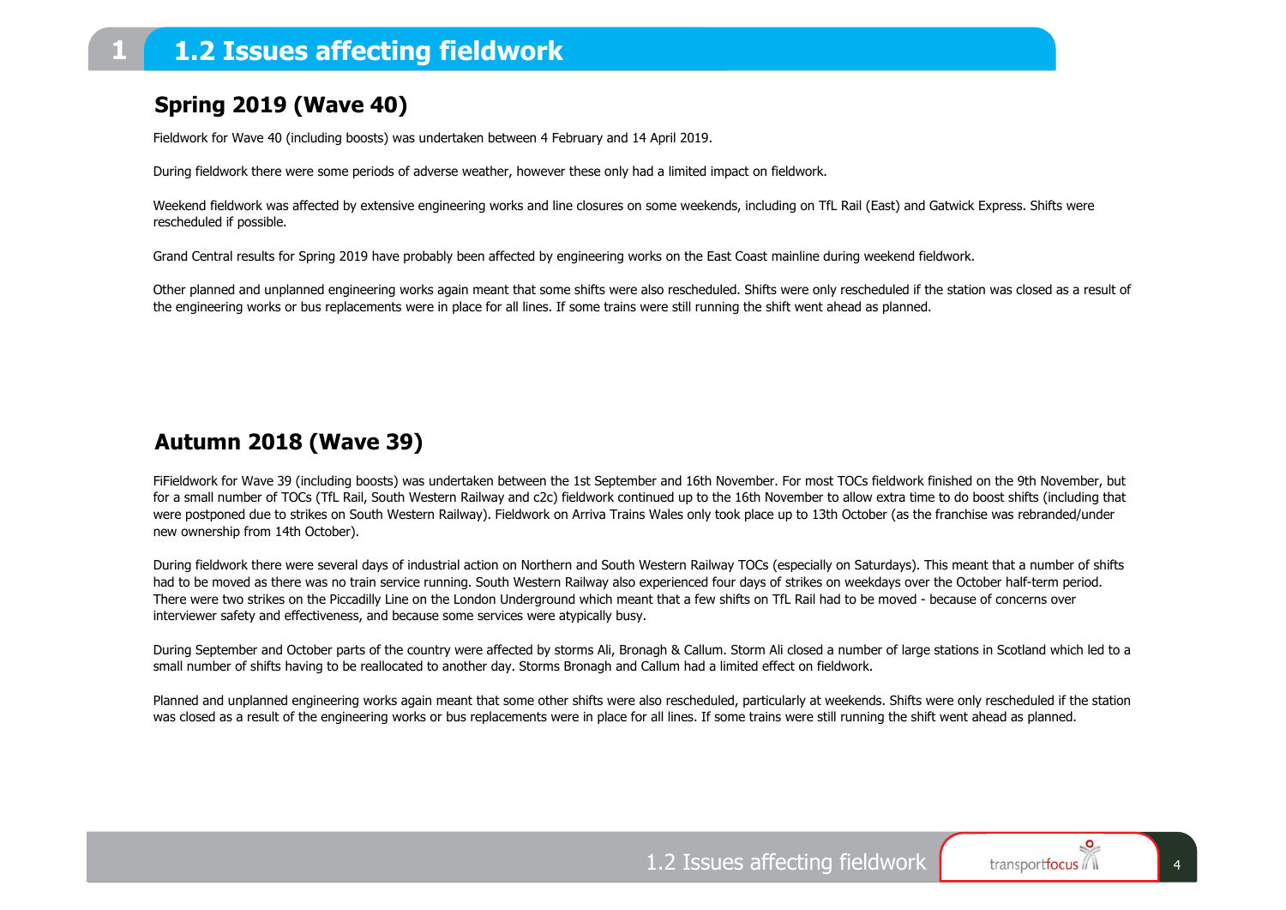### **1.2 Issues affecting fieldwork**

### **Spring 2019 (Wave 40)**

Fieldwork for Wave 40 (including boosts) was undertaken between 4 February and 14 April 2019.

During fieldwork there were some periods of adverse weather, however these only had a limited impact on fieldwork.

Weekend fieldwork was affected by extensive engineering works and line closures on some weekends, including on TfL Rail (East) and Gatwick Express. Shifts were rescheduled if possible.

Grand Central results for Spring 2019 have probably been affected by engineering works on the East Coast mainline during weekend fieldwork.

Other planned and unplanned engineering works again meant that some shifts were also rescheduled. Shifts were only rescheduled if the station was closed as a result of the engineering works or bus replacements were in place for all lines. If some trains were still running the shift went ahead as planned.

### **Autumn 2018 (Wave 39)**

FiFieldwork for Wave 39 (including boosts) was undertaken between the 1st September and 16th November. For most TOCs fieldwork finished on the 9th November, but for a small number of TOCs (TfL Rail, South Western Railway and c2c) fieldwork continued up to the 16th November to allow extra time to do boost shifts (including that were postponed due to strikes on South Western Railway). Fieldwork on Arriva Trains Wales only took place up to 13th October (as the franchise was rebranded/under new ownership from 14th October).

During fieldwork there were several days of industrial action on Northern and South Western Railway TOCs (especially on Saturdays). This meant that a number of shifts had to be moved as there was no train service running. South Western Railway also experienced four days of strikes on weekdays over the October half-term period. There were two strikes on the Piccadilly Line on the London Underground which meant that a few shifts on TfL Rail had to be moved - because of concerns over interviewer safety and effectiveness, and because some services were atypically busy.

During September and October parts of the country were affected by storms Ali, Bronagh & Callum. Storm Ali closed a number of large stations in Scotland which led to a small number of shifts having to be reallocated to another day. Storms Bronagh and Callum had a limited effect on fieldwork.

Planned and unplanned engineering works again meant that some other shifts were also rescheduled, particularly at weekends. Shifts were only rescheduled if the station was closed as a result of the engineering works or bus replacements were in place for all lines. If some trains were still running the shift went ahead as planned.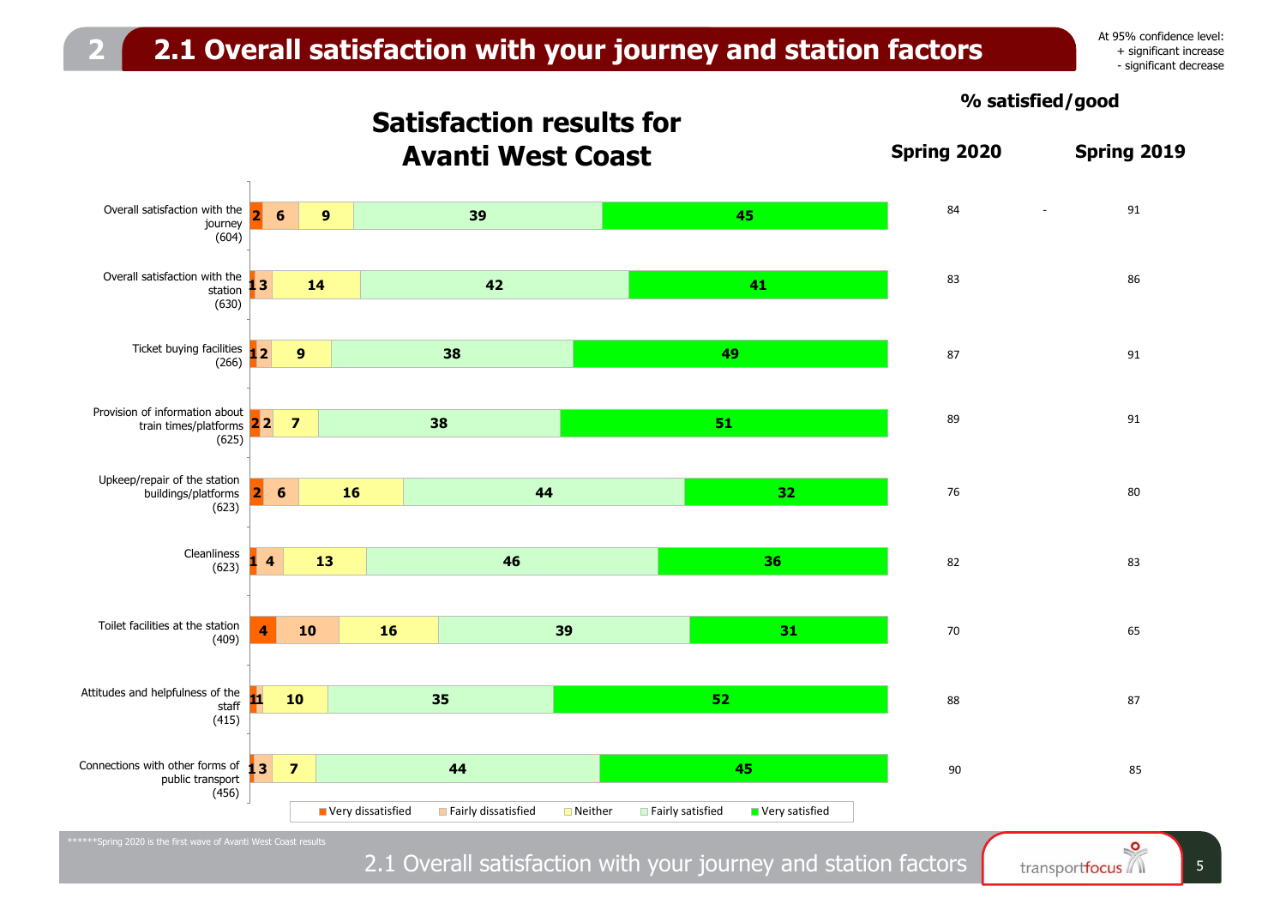## **2 2.1 Overall satisfaction with your journey and station factors**

At 95% confidence level: + significant increase - significant decrease

**Satisfaction results for Avanti West Coast Spring 2020 Spring 2019 2 1 3 1 2 2 2** 4 train times/platforms **2 1 4 1 1 1 3** 9 Connections with other forms of **6 6 4 10 9 14 9 7 16 13 16 10 7 39 42 38 38 44 46 39 35 44 45 41 49 51 32 36 31 52 45** vidi die<br>journey 2 station 3 Ticket buying facilities 5 buildings/platforms 6 (623) 7 Toilet facilities at the station . ...<br>staff ■ Very dissatisfied ■ Fairly dissatisfied ■ Neither ■ Fairly satisfied ■ Very satisfied 83 86 87 91 89 91 76 80 82 83 70 65 88 87 Overall satisfaction with the 84 and 84 - 91 and 84 and 84 - 91 and 84 and 91 and 91 and 91 and 91 and 91 and 91 (604) Overall satisfaction with the (630) (266) Provision of information about (625) Upkeep/repair of the station (623) Cleanliness (409) Attitudes and helpfulness of the (415) public transport (456) 90 85

**% satisfied/good**

2.1 Overall satisfaction with your journey and station factors **For the source of the state of the state of the state of the state of the state of the state of the state of state of state of state of state of state of stat**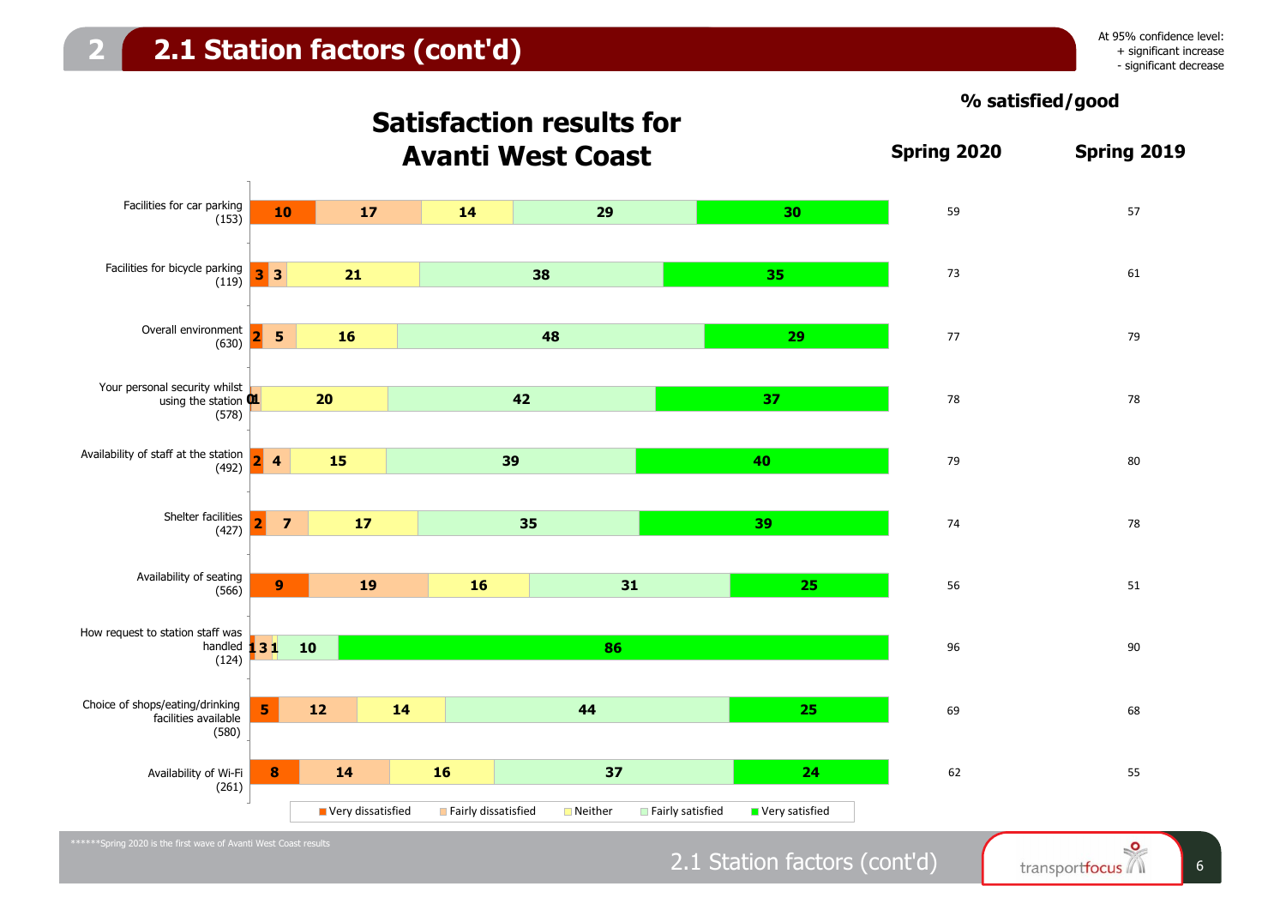



## 2.1 Station factors (cont'd) fransportfocus 6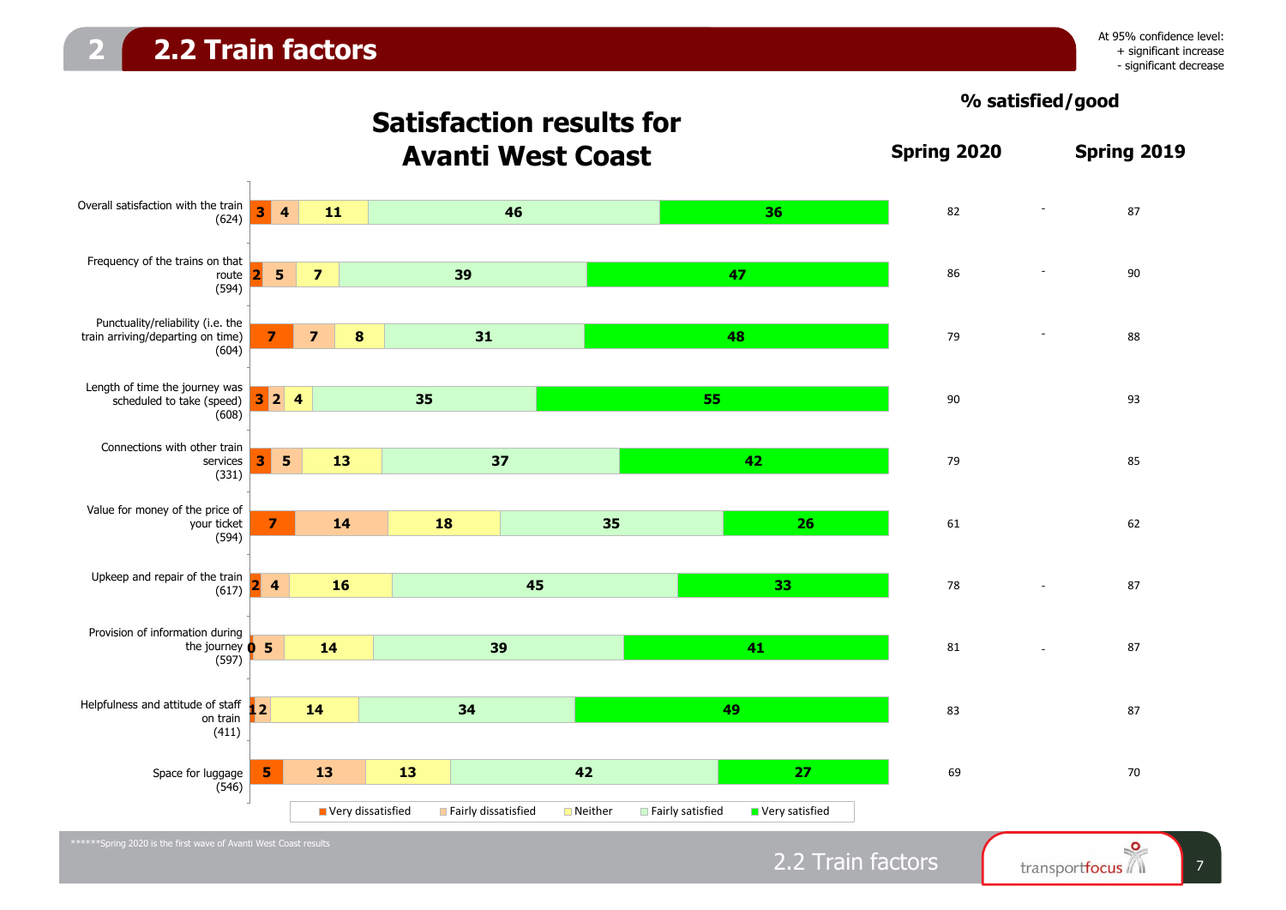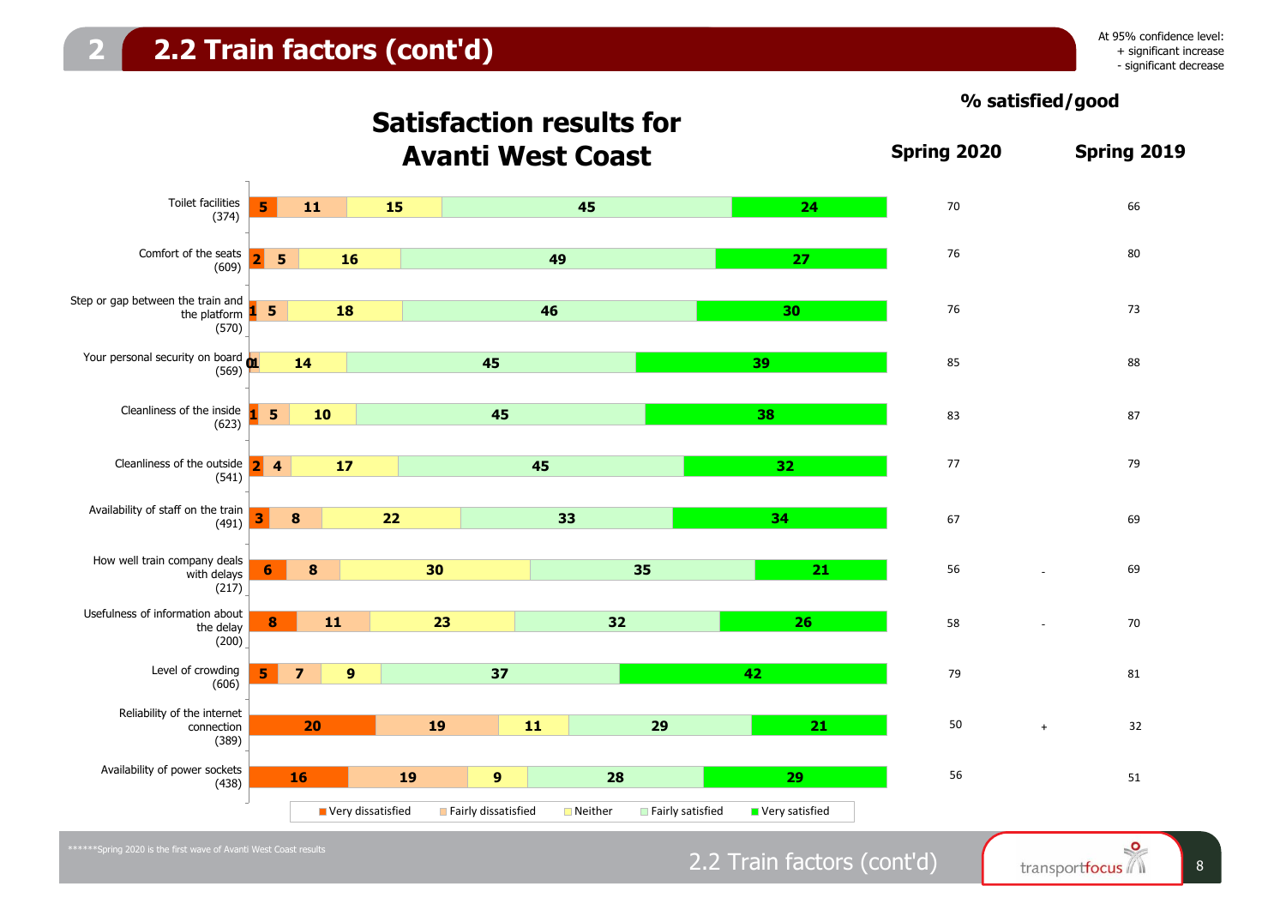



## 2.2 Train factors (cont'd)  $\int_{\text{transportfocus}}$  8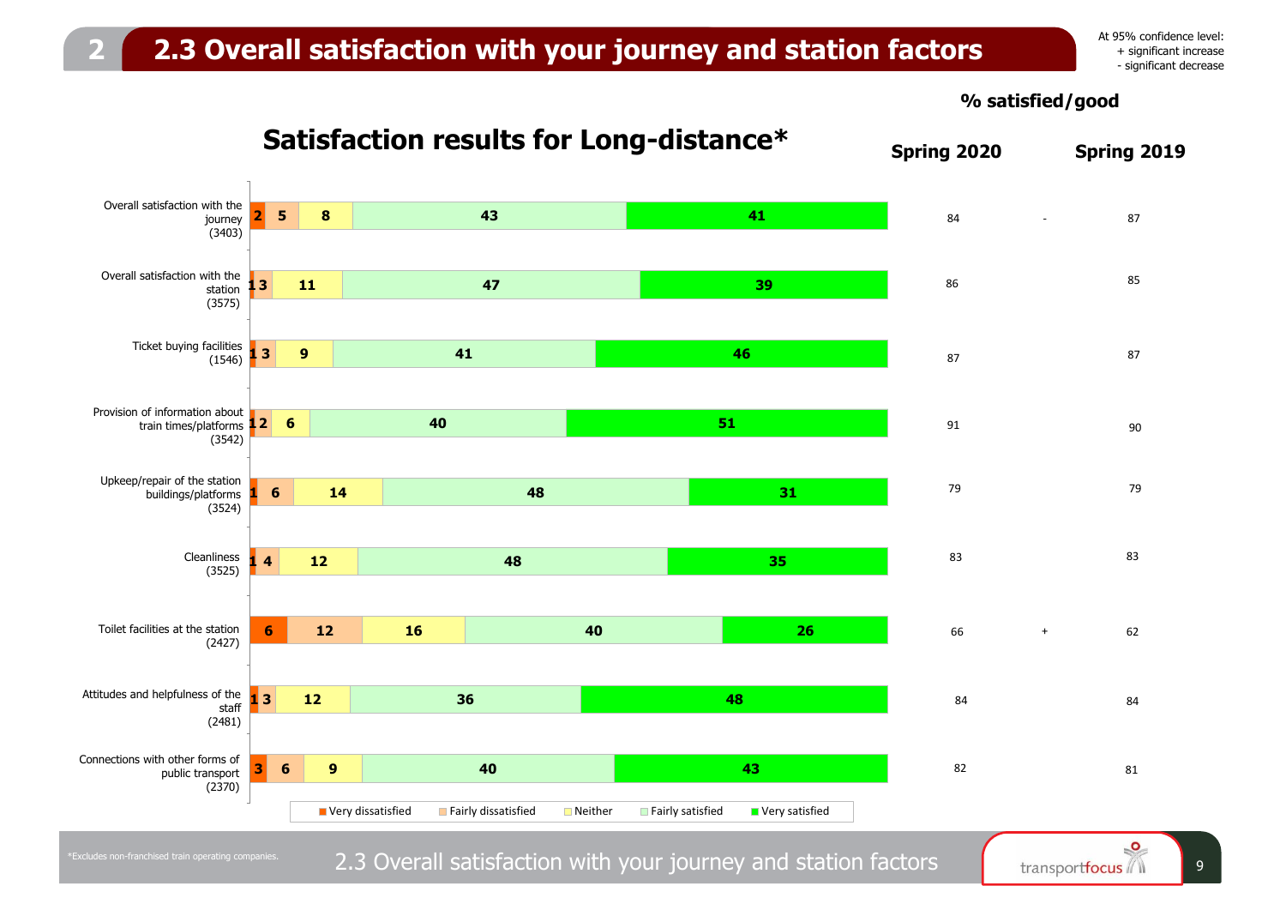### **2 2.3 Overall satisfaction with your journey and station factors**

At 95% confidence level: + significant increase - significant decrease

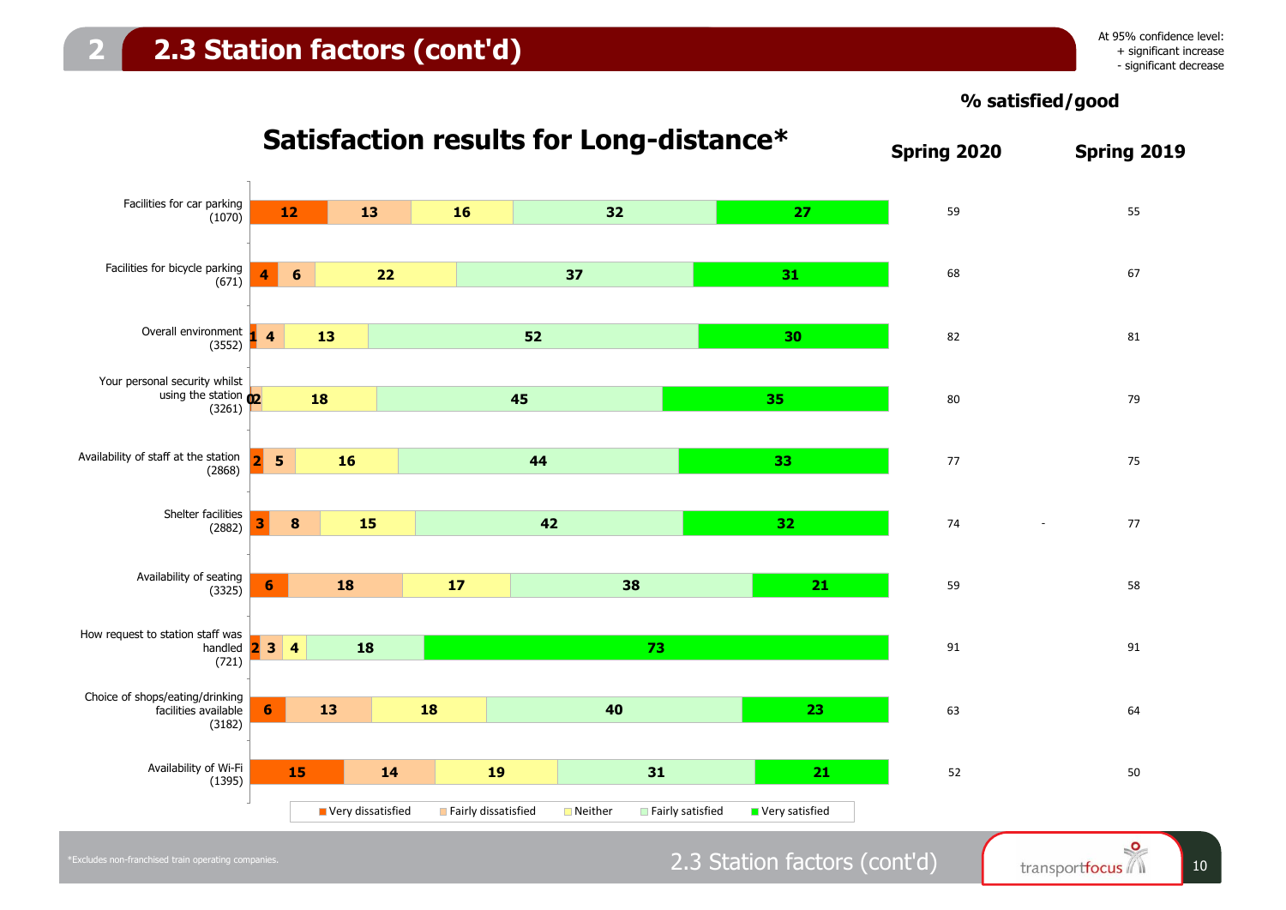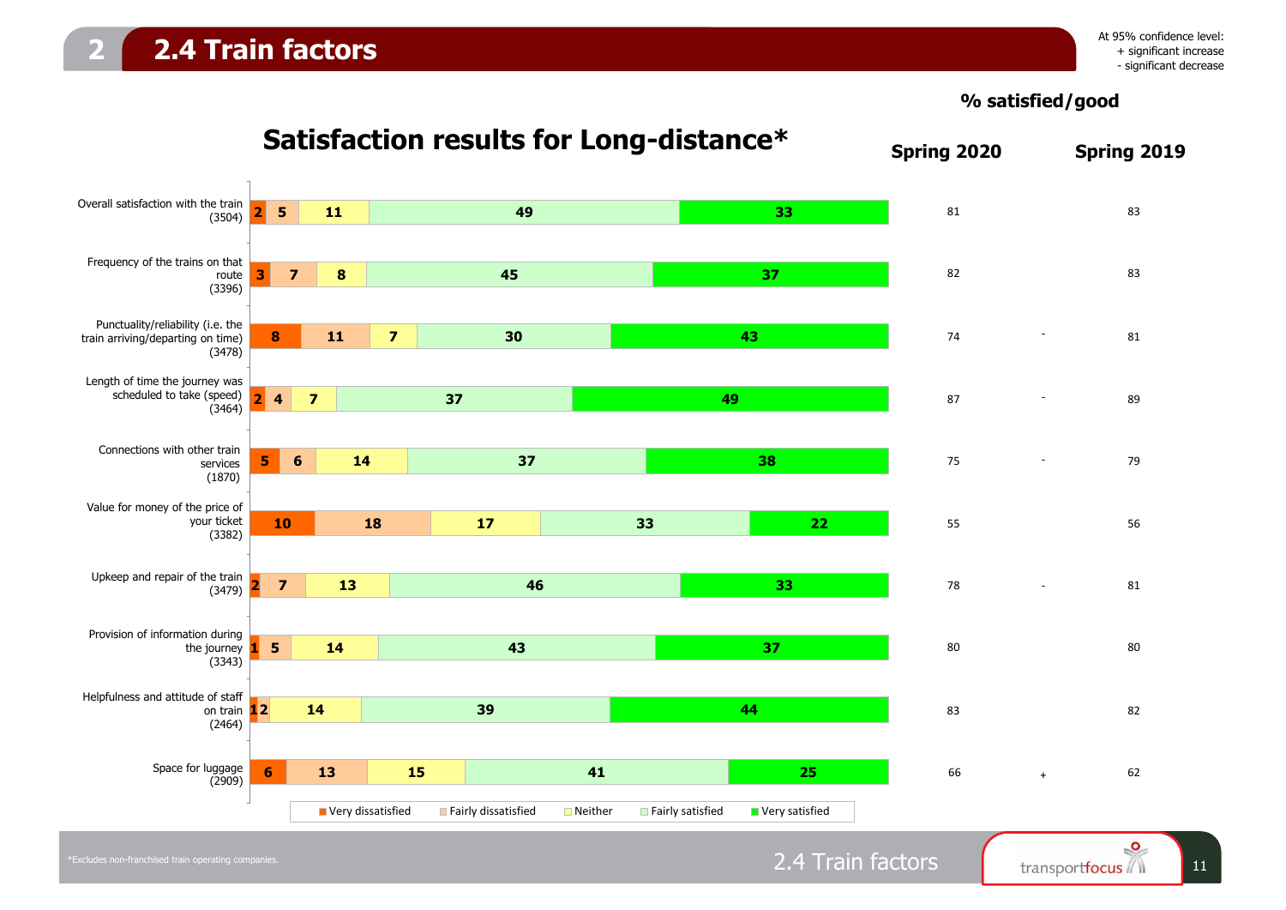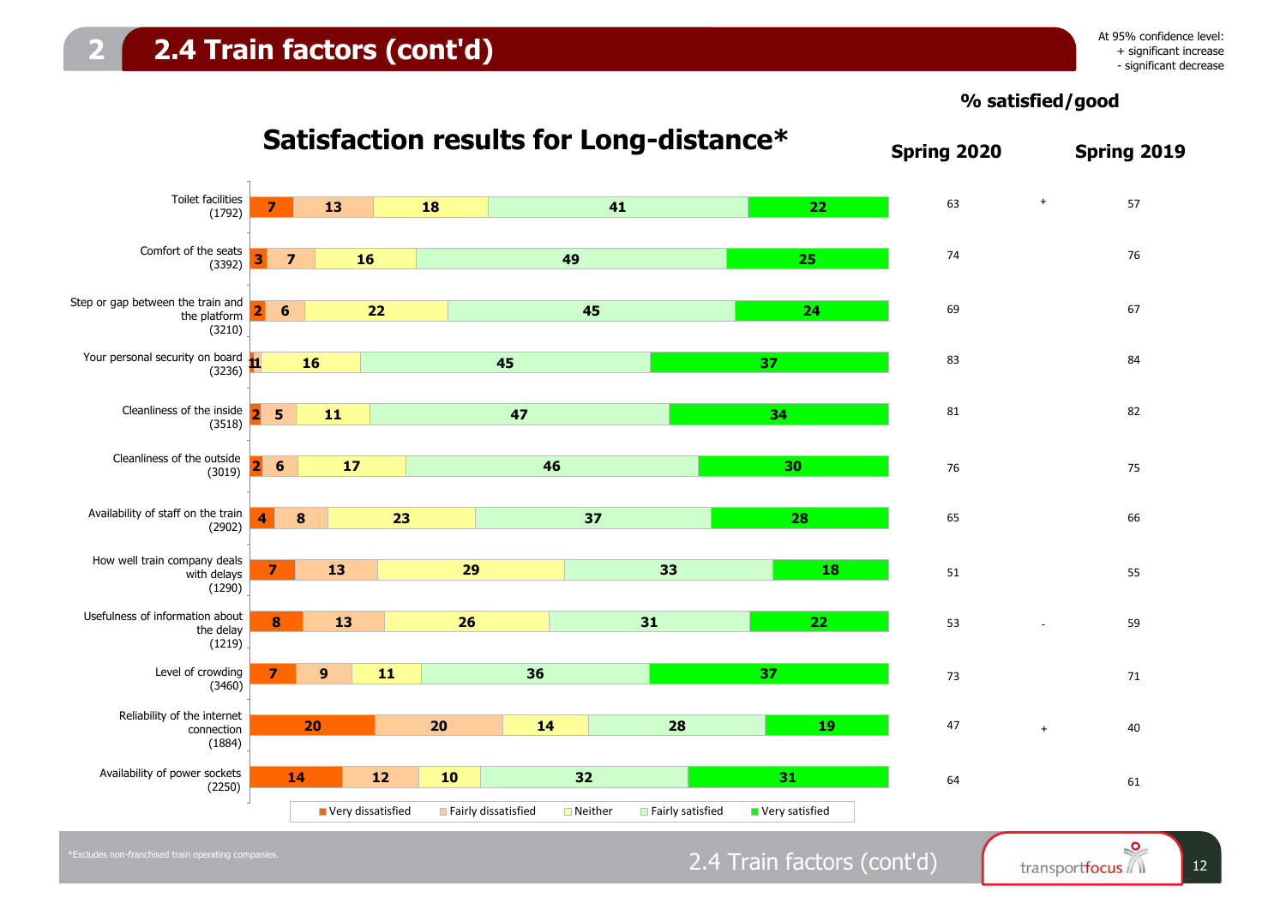

## 2.4 Train factors (cont'd)  $\int_{\text{transportfocus}} \int_{12}^{\infty}$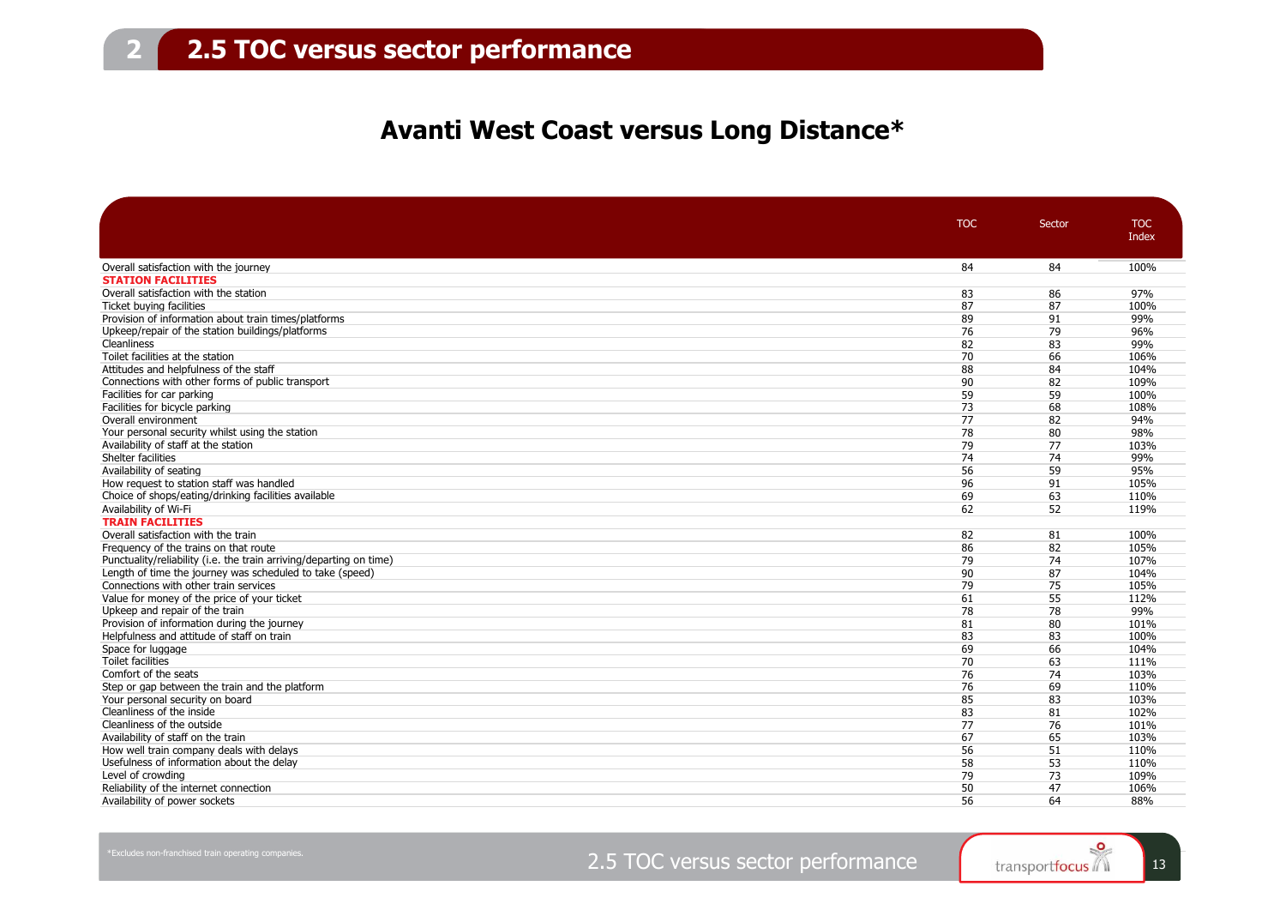### **Avanti West Coast versus Long Distance\***

|                                                                     | <b>TOC</b> | Sector | <b>TOC</b>   |
|---------------------------------------------------------------------|------------|--------|--------------|
|                                                                     |            |        | Index        |
|                                                                     |            |        |              |
| Overall satisfaction with the journey                               | 84         | 84     | 100%         |
| <b>STATION FACILITIES</b>                                           |            |        |              |
| Overall satisfaction with the station                               | 83         | 86     | 97%          |
| Ticket buying facilities                                            | 87         | 87     | 100%         |
| Provision of information about train times/platforms                | 89         | 91     | 99%          |
| Upkeep/repair of the station buildings/platforms                    | 76         | 79     | 96%          |
| Cleanliness                                                         | 82         | 83     | 99%          |
| Toilet facilities at the station                                    | 70         | 66     | 106%         |
| Attitudes and helpfulness of the staff                              | 88         | 84     | 104%         |
| Connections with other forms of public transport                    | 90         | 82     | 109%         |
| Facilities for car parking                                          | 59         | 59     | 100%         |
| Facilities for bicycle parking                                      | 73         | 68     | 108%         |
| Overall environment                                                 | 77         | 82     | 94%          |
| Your personal security whilst using the station                     | 78         | 80     | 98%          |
| Availability of staff at the station                                | 79         | 77     | 103%         |
| Shelter facilities                                                  | 74         | 74     | 99%          |
| Availability of seating                                             | 56         | 59     | 95%          |
| How request to station staff was handled                            | 96         | 91     | 105%         |
| Choice of shops/eating/drinking facilities available                | 69         | 63     | 110%         |
| Availability of Wi-Fi                                               | 62         | 52     | 119%         |
| <b>TRAIN FACILITIES</b>                                             |            |        |              |
| Overall satisfaction with the train                                 | 82         | 81     | 100%         |
| Frequency of the trains on that route                               | 86         | 82     | 105%         |
| Punctuality/reliability (i.e. the train arriving/departing on time) | 79         | 74     | 107%         |
| Length of time the journey was scheduled to take (speed)            | 90         | 87     | 104%         |
| Connections with other train services                               | 79         | 75     | 105%         |
| Value for money of the price of your ticket                         | 61         | 55     | 112%         |
| Upkeep and repair of the train                                      | 78         | 78     | 99%          |
| Provision of information during the journey                         | 81         | 80     | 101%         |
| Helpfulness and attitude of staff on train                          | 83         | 83     | 100%         |
| Space for luggage                                                   | 69         | 66     | 104%         |
| Toilet facilities                                                   | 70         | 63     | 111%         |
| Comfort of the seats                                                | 76         | 74     | 103%         |
| Step or gap between the train and the platform                      | 76         | 69     | 110%         |
| Your personal security on board                                     | 85         | 83     | 103%         |
| Cleanliness of the inside                                           | 83         | 81     | 102%         |
| Cleanliness of the outside                                          | 77         | 76     | 101%         |
| Availability of staff on the train                                  | 67         | 65     | 103%         |
| How well train company deals with delays                            | 56         | 51     | 110%         |
| Usefulness of information about the delay                           | 58         | 53     |              |
|                                                                     |            | 73     | 110%<br>109% |
| Level of crowding                                                   | 79         |        |              |
| Reliability of the internet connection                              | 50         | 47     | 106%         |
| Availability of power sockets                                       | 56         | 64     | 88%          |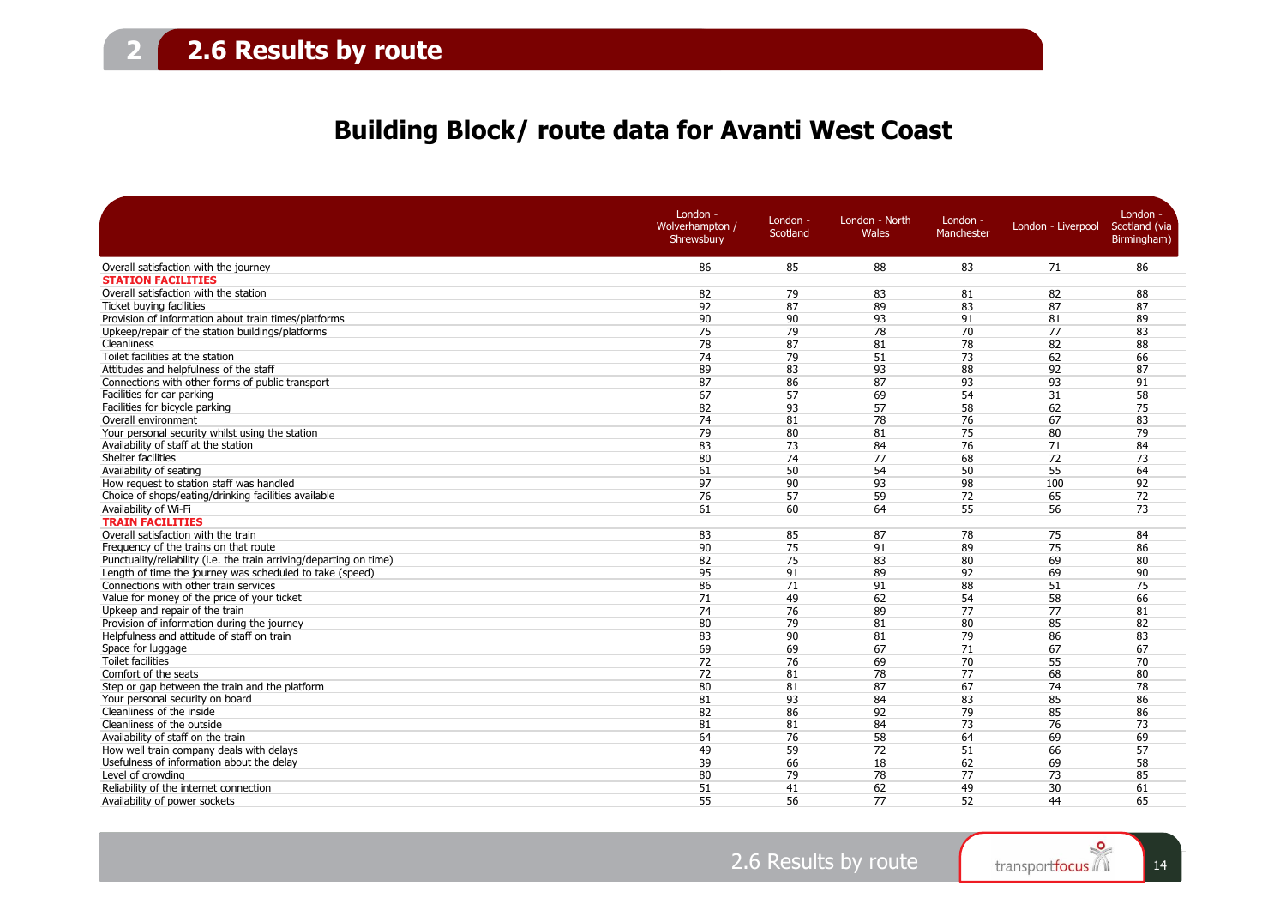### **Building Block/ route data for Avanti West Coast**

|                                                                     | London -<br>Wolverhampton /<br>Shrewsbury | London -<br>Scotland | London - North<br><b>Wales</b> | London -<br>Manchester | London - Liverpool | London -<br>Scotland (via<br>Birmingham) |
|---------------------------------------------------------------------|-------------------------------------------|----------------------|--------------------------------|------------------------|--------------------|------------------------------------------|
| Overall satisfaction with the journey                               | 86                                        | 85                   | 88                             | 83                     | 71                 | 86                                       |
| <b>STATION FACILITIES</b>                                           |                                           |                      |                                |                        |                    |                                          |
| Overall satisfaction with the station                               | 82                                        | 79                   | 83                             | 81                     | 82                 | 88                                       |
| Ticket buying facilities                                            | 92                                        | 87                   | 89                             | 83                     | 87                 | 87                                       |
| Provision of information about train times/platforms                | 90                                        | 90                   | 93                             | 91                     | 81                 | 89                                       |
| Upkeep/repair of the station buildings/platforms                    | 75                                        | 79                   | 78                             | 70                     | 77                 | 83                                       |
| Cleanliness                                                         | 78                                        | 87                   | 81                             | 78                     | 82                 | 88                                       |
| Toilet facilities at the station                                    | 74                                        | 79                   | 51                             | 73                     | 62                 | 66                                       |
| Attitudes and helpfulness of the staff                              | 89                                        | 83                   | 93                             | 88                     | 92                 | 87                                       |
| Connections with other forms of public transport                    | 87                                        | 86                   | 87                             | 93                     | 93                 | 91                                       |
| Facilities for car parking                                          | 67                                        | 57                   | 69                             | 54                     | 31                 | 58                                       |
| Facilities for bicycle parking                                      | 82                                        | 93                   | 57                             | 58                     | 62                 | 75                                       |
| Overall environment                                                 | 74                                        | 81                   | 78                             | 76                     | 67                 | 83                                       |
| Your personal security whilst using the station                     | 79                                        | 80                   | 81                             | 75                     | 80                 | 79                                       |
| Availability of staff at the station                                | 83                                        | 73                   | 84                             | 76                     | 71                 | 84                                       |
| Shelter facilities                                                  | 80                                        | 74                   | 77                             | 68                     | 72                 | 73                                       |
| Availability of seating                                             | 61                                        | 50                   | 54                             | 50                     | 55                 | 64                                       |
| How request to station staff was handled                            | 97                                        | 90                   | 93                             | 98                     | 100                | 92                                       |
| Choice of shops/eating/drinking facilities available                | 76                                        | 57                   | 59                             | 72                     | 65                 | 72                                       |
| Availability of Wi-Fi                                               | 61                                        | 60                   | 64                             | 55                     | 56                 | 73                                       |
| <b>TRAIN FACILITIES</b>                                             |                                           |                      |                                |                        |                    |                                          |
| Overall satisfaction with the train                                 | 83                                        | 85                   | 87                             | 78                     | 75                 | 84                                       |
| Frequency of the trains on that route                               | 90                                        | 75                   | 91                             | 89                     | 75                 | 86                                       |
| Punctuality/reliability (i.e. the train arriving/departing on time) | 82                                        | 75                   | 83                             | 80                     | 69                 | 80                                       |
| Length of time the journey was scheduled to take (speed)            | 95                                        | 91                   | 89                             | 92                     | 69                 | 90                                       |
| Connections with other train services                               | 86                                        | 71                   | 91                             | 88                     | 51                 | 75                                       |
| Value for money of the price of your ticket                         | 71                                        | 49                   | 62                             | 54                     | 58                 | 66                                       |
| Upkeep and repair of the train                                      | 74                                        | 76                   | 89                             | 77                     | 77                 | 81                                       |
| Provision of information during the journey                         | 80                                        | 79                   | 81                             | 80                     | 85                 | 82                                       |
| Helpfulness and attitude of staff on train                          | 83                                        | 90                   | 81                             | 79                     | 86                 | 83                                       |
| Space for luggage                                                   | 69                                        | 69                   | 67                             | 71                     | 67                 | 67                                       |
| <b>Toilet facilities</b>                                            | 72                                        | 76                   | 69                             | 70                     | 55                 | 70                                       |
| Comfort of the seats                                                | 72                                        | 81                   | 78                             | 77                     | 68                 | 80                                       |
| Step or gap between the train and the platform                      | 80                                        | 81                   | 87                             | 67                     | 74                 | 78                                       |
| Your personal security on board                                     | 81                                        | 93                   | 84                             | 83                     | 85                 | 86                                       |
| Cleanliness of the inside                                           | 82                                        | 86                   | 92                             | 79                     | 85                 | 86                                       |
| Cleanliness of the outside                                          | 81                                        | 81                   | 84                             | 73                     | 76                 | 73                                       |
| Availability of staff on the train                                  | 64                                        | 76                   | 58                             | 64                     | 69                 | 69                                       |
| How well train company deals with delays                            | 49                                        | 59                   | 72                             | 51                     | 66                 | 57                                       |
| Usefulness of information about the delay                           | 39                                        | 66                   | 18                             | 62                     | 69                 | 58                                       |
| Level of crowding                                                   | 80                                        | 79                   | 78                             | 77                     | 73                 | 85                                       |
| Reliability of the internet connection                              | 51                                        | 41                   | 62                             | 49                     | 30                 | 61                                       |
| Availability of power sockets                                       | 55                                        | 56                   | 77                             | 52                     | 44                 | 65                                       |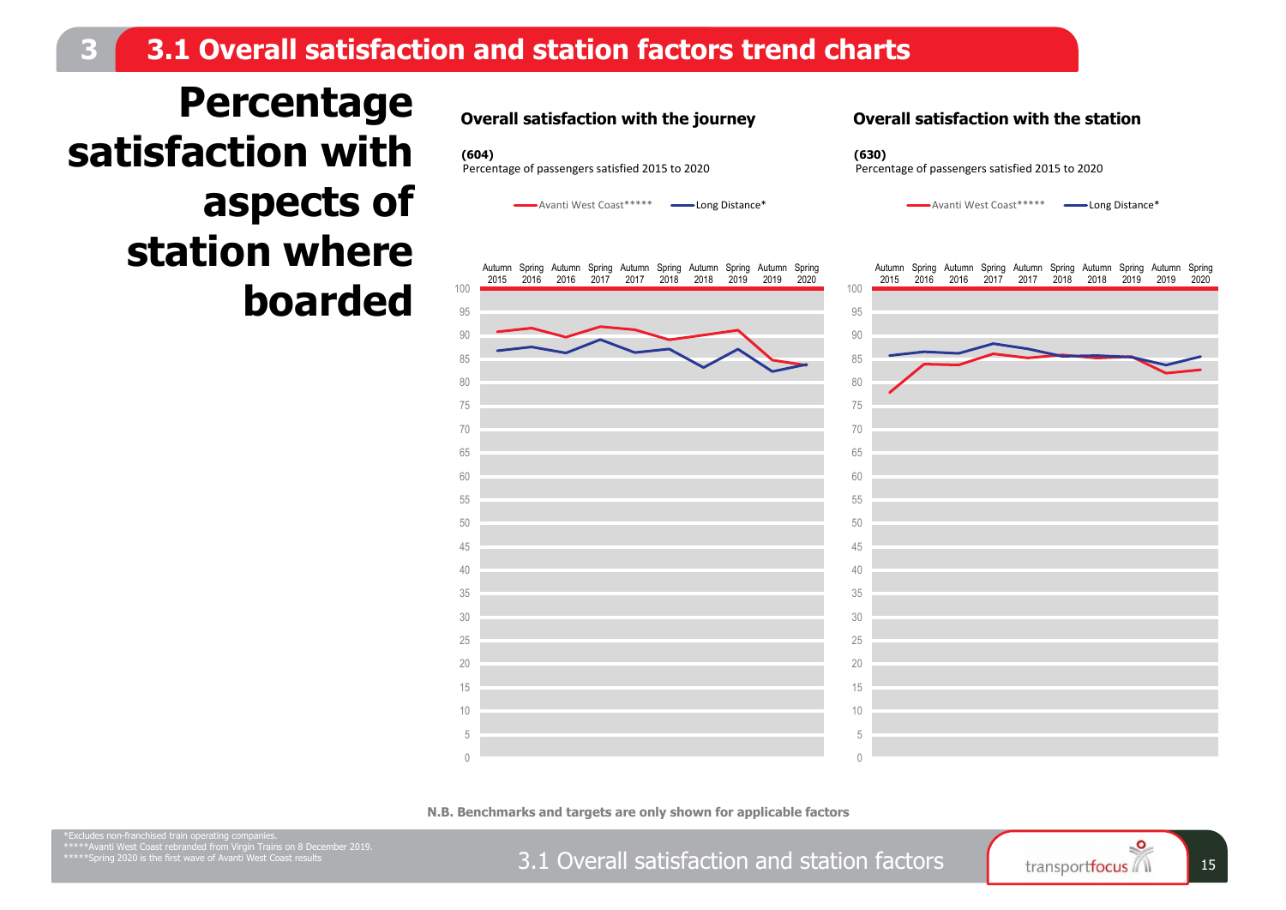### **3.1 Overall satisfaction and station factors trend charts**

**Percentage satisfaction with aspects of station where boarded**



 $\bigcap$  

Avanti West Coast\*\*\*\*\* **-Avanti West Coast\*\*\*\*** 



#### **Overall satisfaction with the station**

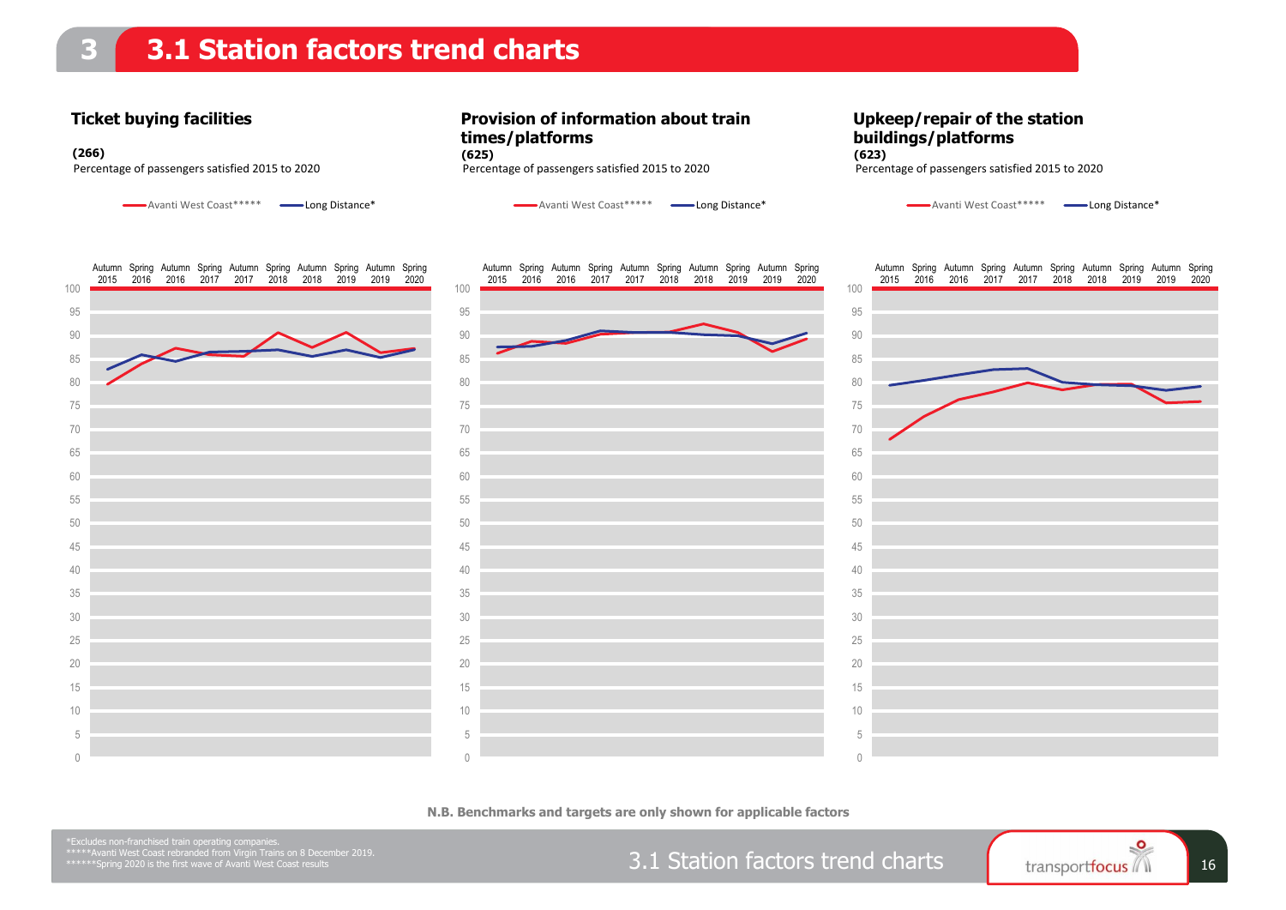### **3.1 Station factors trend charts**

#### **Ticket buying facilities**

Avanti West Coast\*\*\*\*\* Long Distance\*

**Provision of information about train times/platforms** Percentage of passengers satisfied 2015 to 2020 Percentage of passengers satisfied 2015 to 2020 Percentage of passengers satisfied 2015 to 2020 **(266) (625) (623)**

Avanti West Coast\*\*\*\*\* **- Long Distance\*** 

**Upkeep/repair of the station buildings/platforms**

Avanti West Coast\*\*\*\*\* Long Distance\*



**N.B. Benchmarks and targets are only shown for applicable factors**

3.1 Station factors trend charts  $\begin{array}{|c|c|c|c|c|c|}\n\hline\n\text{transportfocus} & \text{16}\n\end{array}$  16

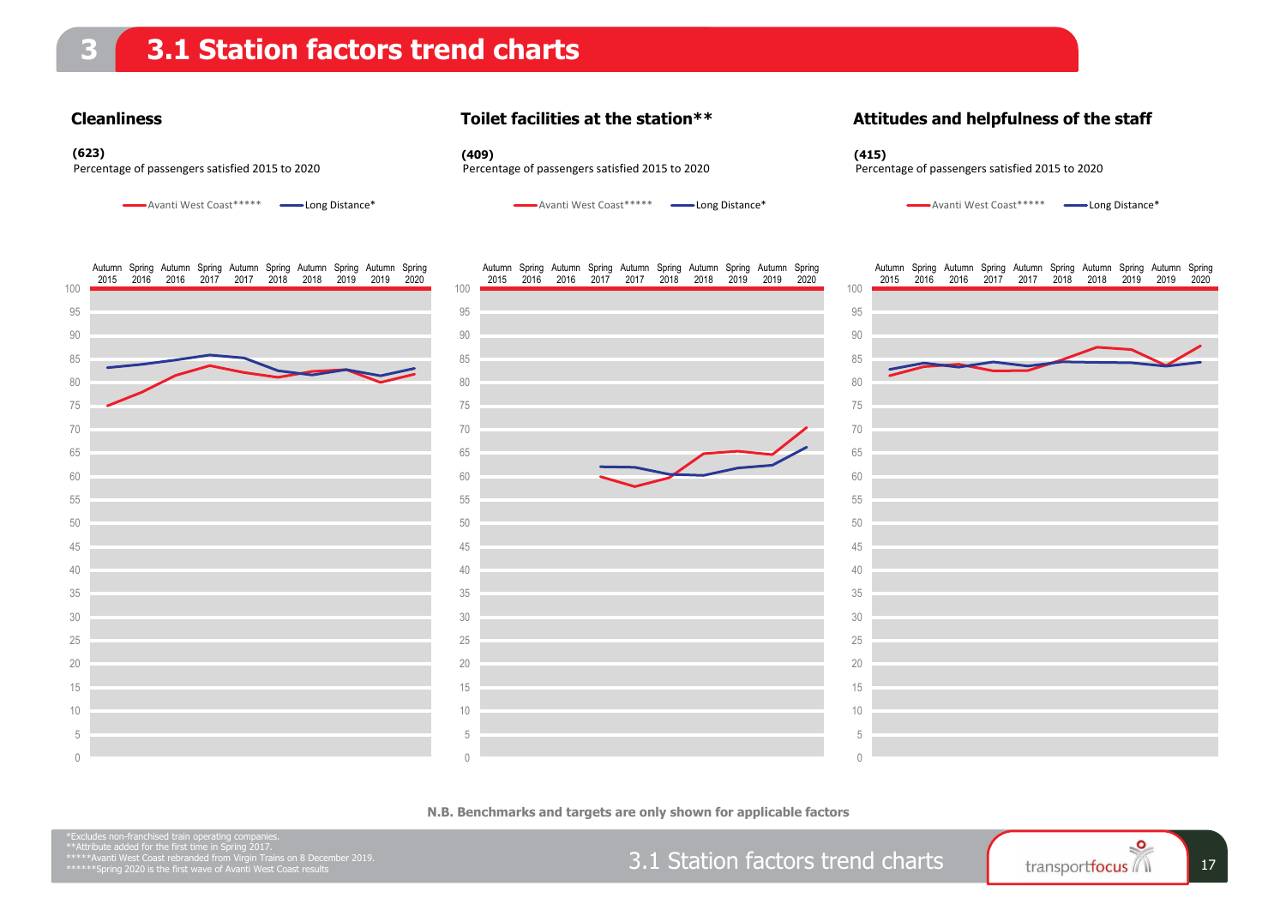#### **Cleanliness**

#### **Toilet facilities at the station\*\***

**(623) (409) (415)**

### **Attitudes and helpfulness of the staff**

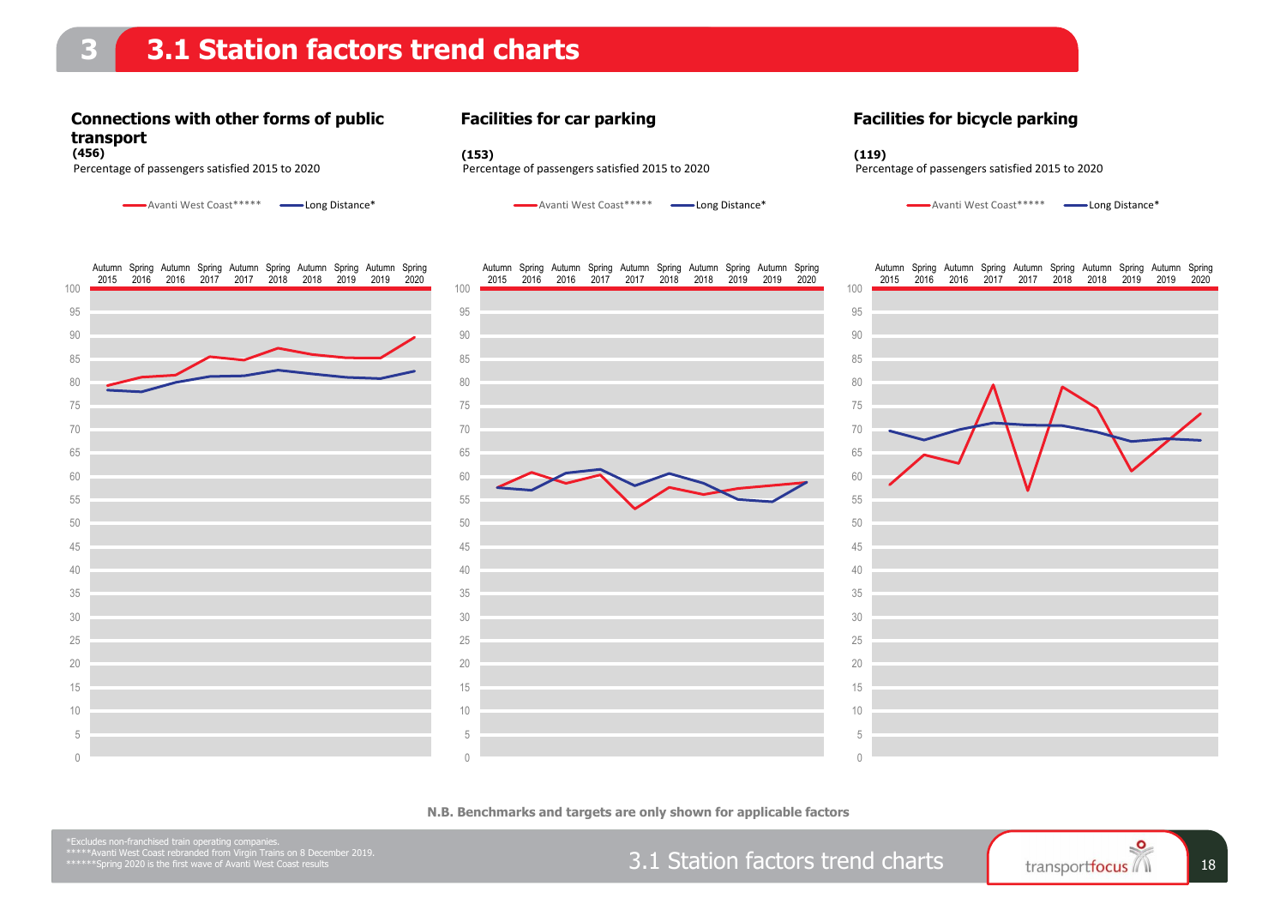### **3.1 Station factors trend charts**

### **Connections with other forms of public transport**

Avanti West Coast\*\*\*\*\* Long Distance\*

#### **Facilities for car parking**





**N.B. Benchmarks and targets are only shown for applicable factors**

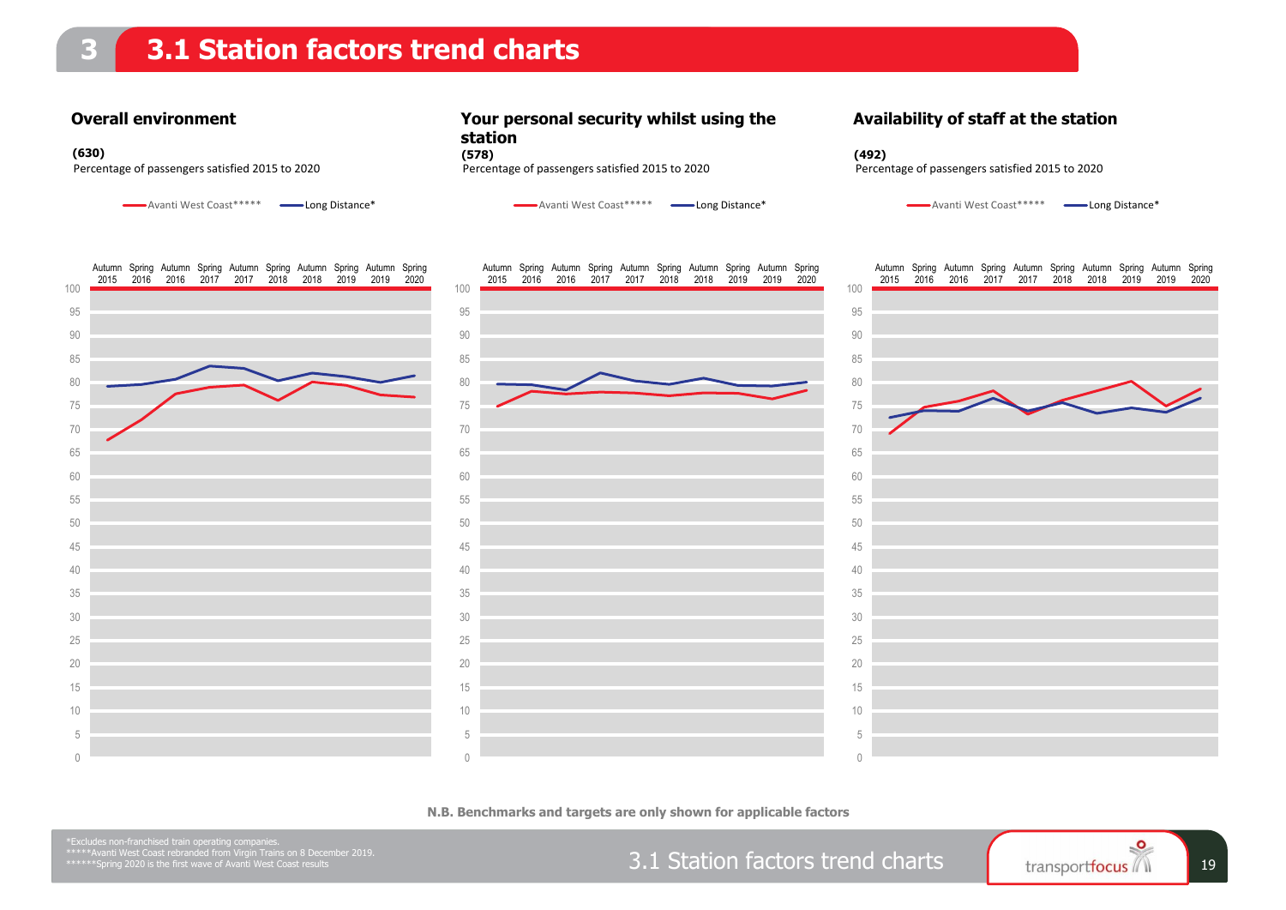### **3.1 Station factors trend charts**

 $\bigcap$ 

#### **Overall environment**

Avanti West Coast\*\*\*\*\* Long Distance\*

2016 2017 2017 2018 2018 2019

Autumn Spring Autumn Spring Autumn Spring Autumn Spring Autumn Spring

**Your personal security whilst using the station**

**Availability of staff at the station**



 $\bigcap$ 

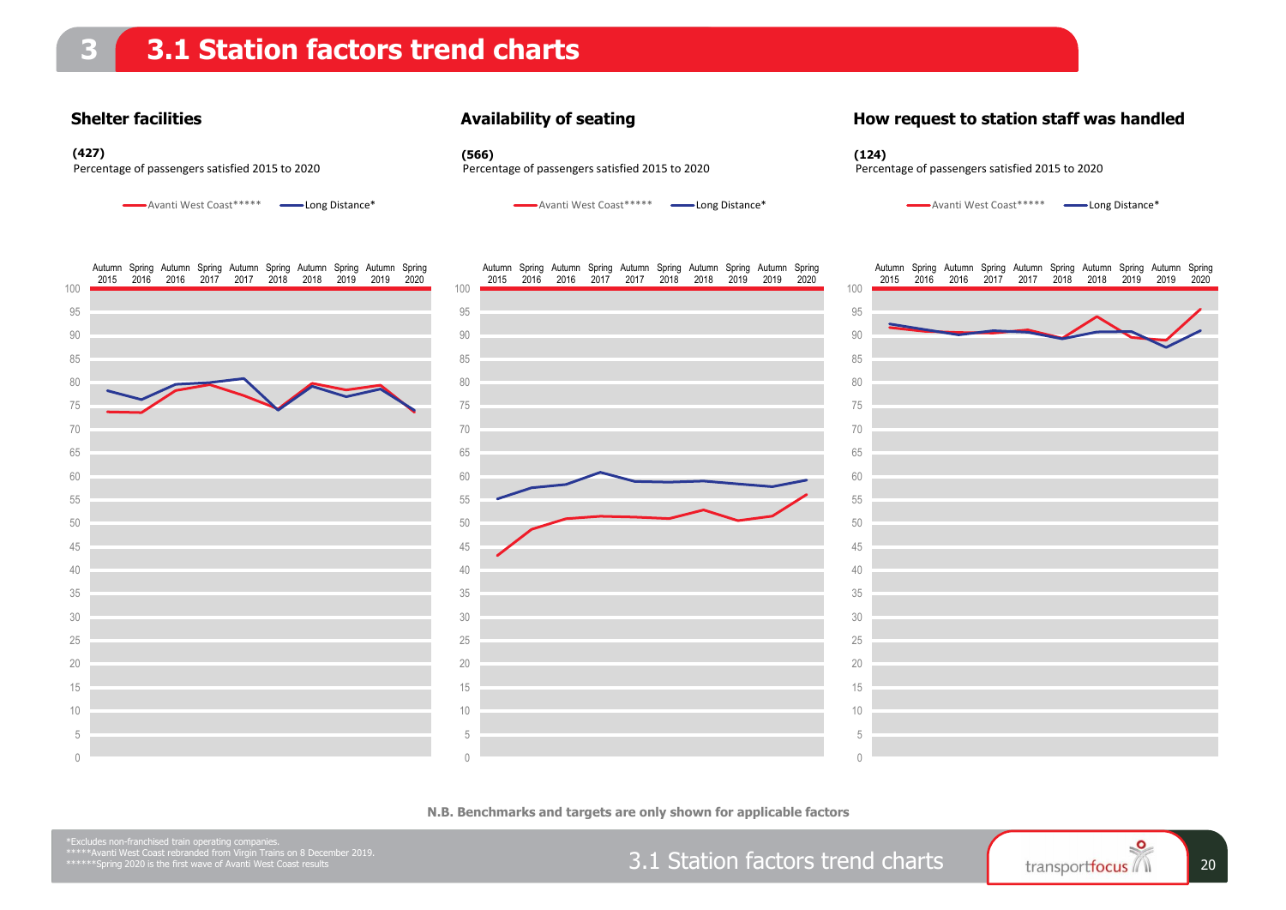#### **Shelter facilities**

#### **Availability of seating**

#### **How request to station staff was handled**



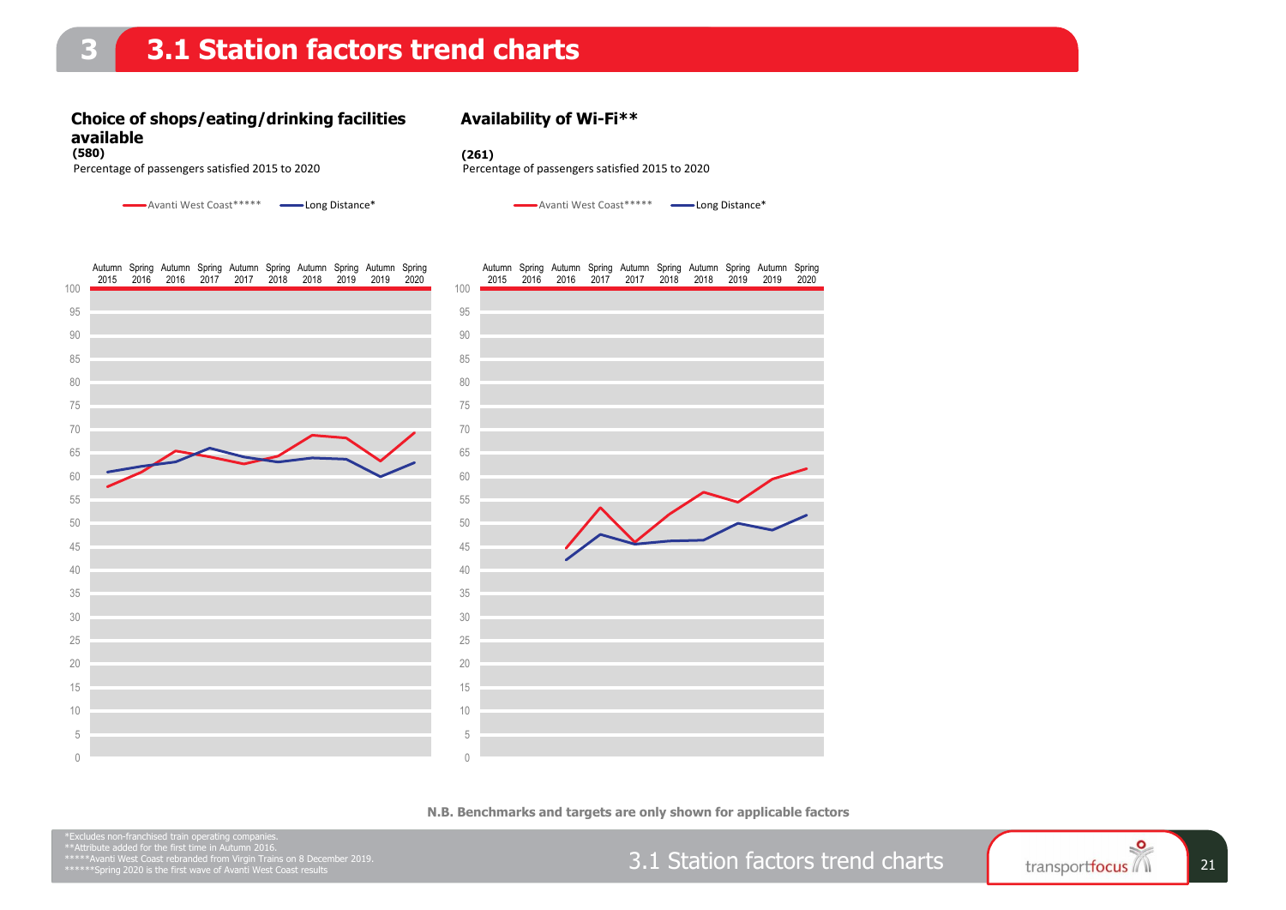### **3.1 Station factors trend charts**

### **Choice of shops/eating/drinking facilities available**

### **Availability of Wi-Fi\*\***

**(580) (261)**

Percentage of passengers satisfied 2015 to 2020 Percentage of passengers satisfied 2015 to 2020

Avanti West Coast\*\*\*\*\* Long Distance\*

Avanti West Coast\*\*\*\*\* Long Distance\*



**N.B. Benchmarks and targets are only shown for applicable factors**

3.1 Station factors trend charts Fransportfocus 1 21

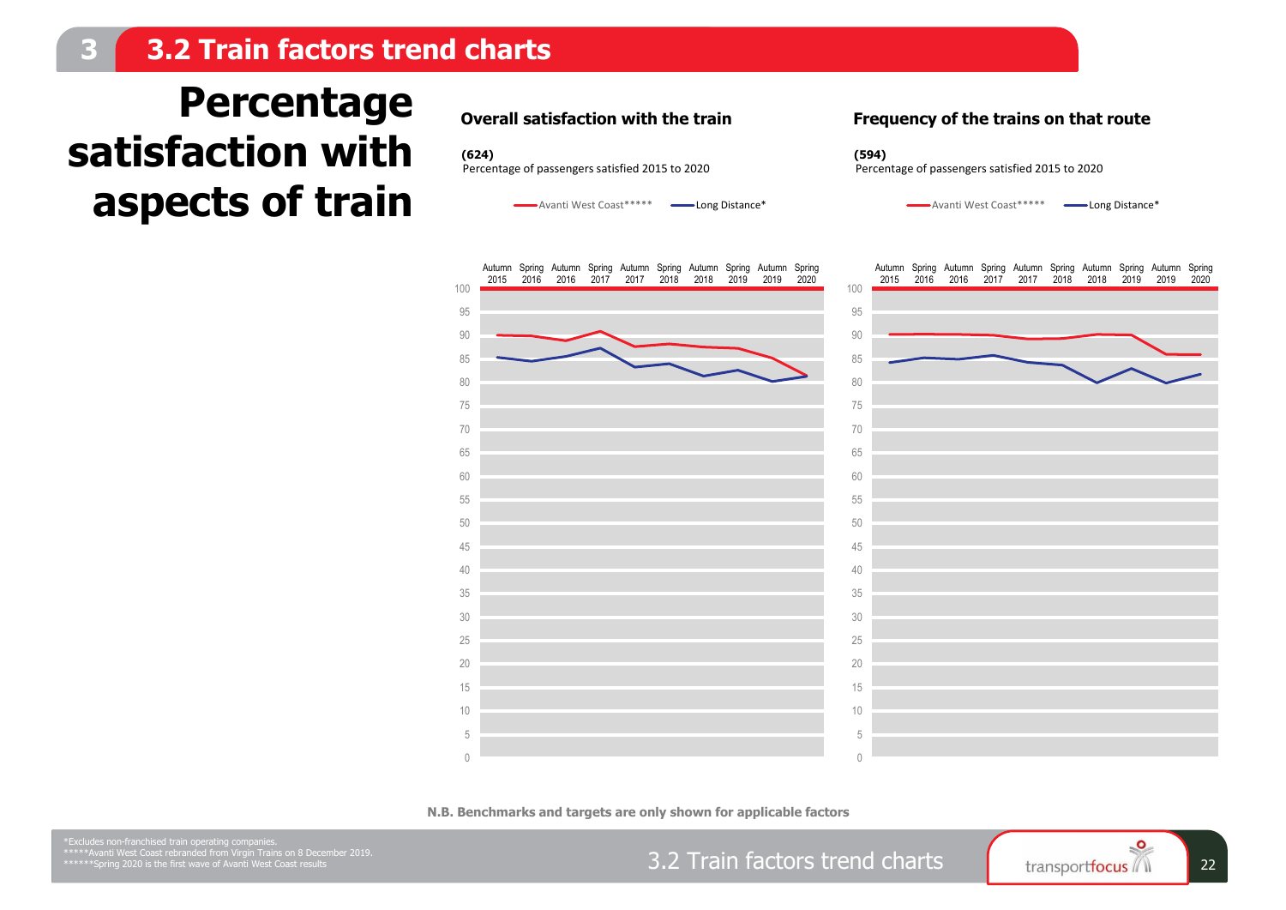### **3.2 Train factors trend charts**

## **Percentage satisfaction with aspects of train**

**Overall satisfaction with the train**

Avanti West Coast\*\*\*\*\* **-Avanti West Coast\*\*\*\*** 

**Frequency of the trains on that route**



**N.B. Benchmarks and targets are only shown for applicable factors**

 $\bigcap$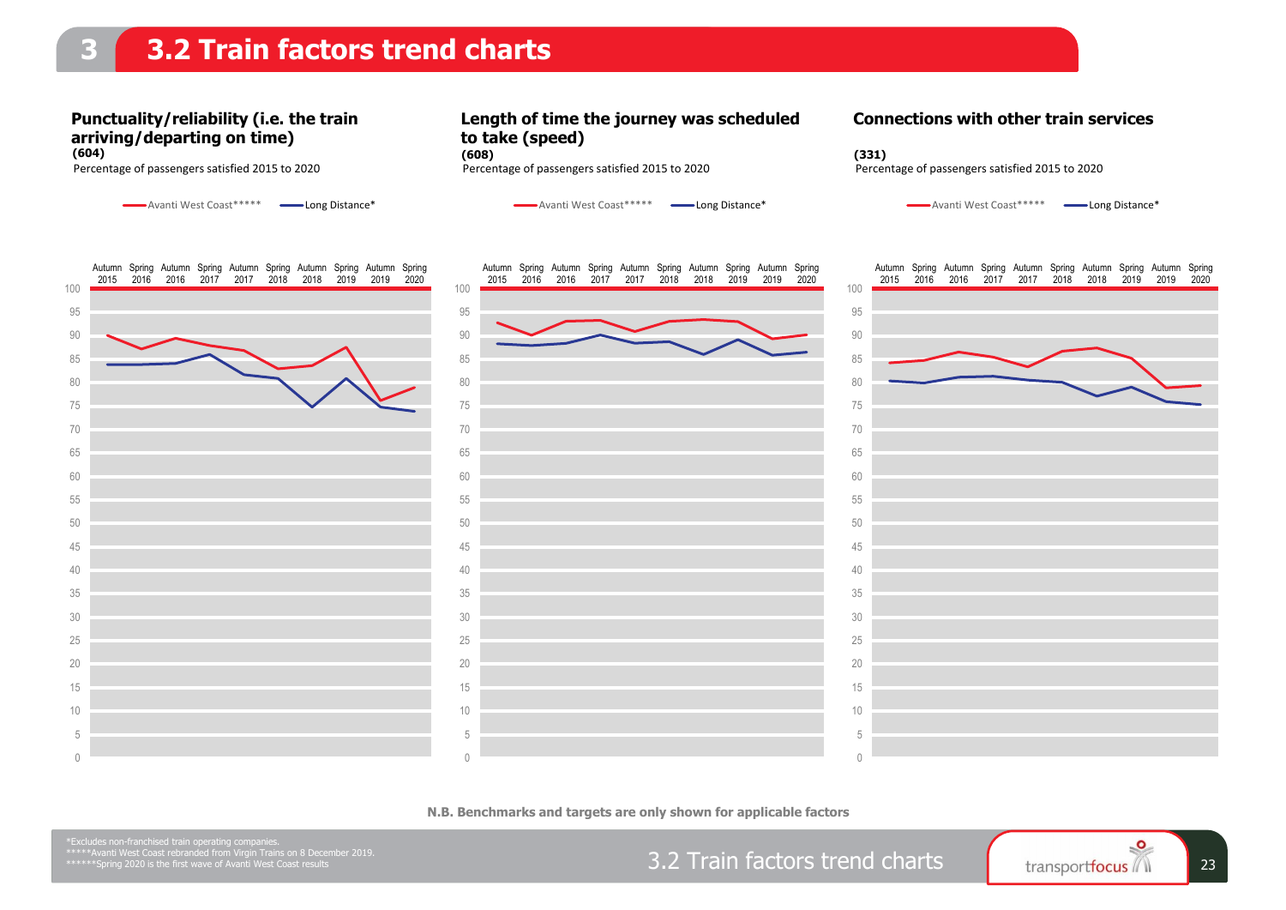### **3.2 Train factors trend charts**

### **Punctuality/reliability (i.e. the train arriving/departing on time)**

Avanti West Coast\*\*\*\*\* Long Distance\*

**Length of time the journey was scheduled to take (speed) (604) (608) (331)**



Avanti West Coast\*\*\*\*\* Long Distance\*

Percentage of passengers satisfied 2015 to 2020 Percentage of passengers satisfied 2015 to 2020 Percentage of passengers satisfied 2015 to 2020

Avanti West Coast\*\*\*\*\* **- Long Distance\*** 



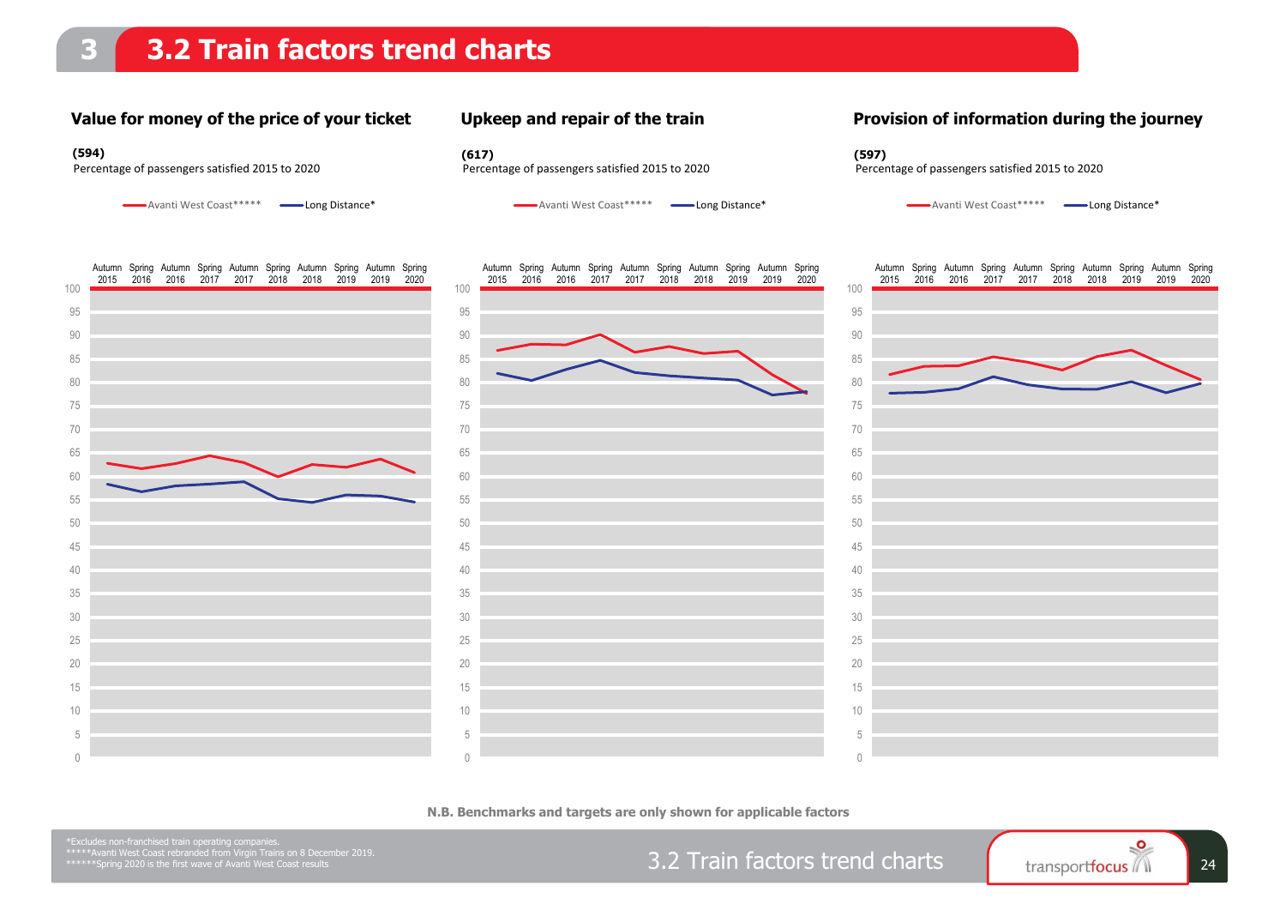#### **Value for money of the price of your ticket**

Avanti West Coast\*\*\*\*\* Long Distance\*

#### **Upkeep and repair of the train**

**(594) (617) (597)**

#### **Provision of information during the journey**



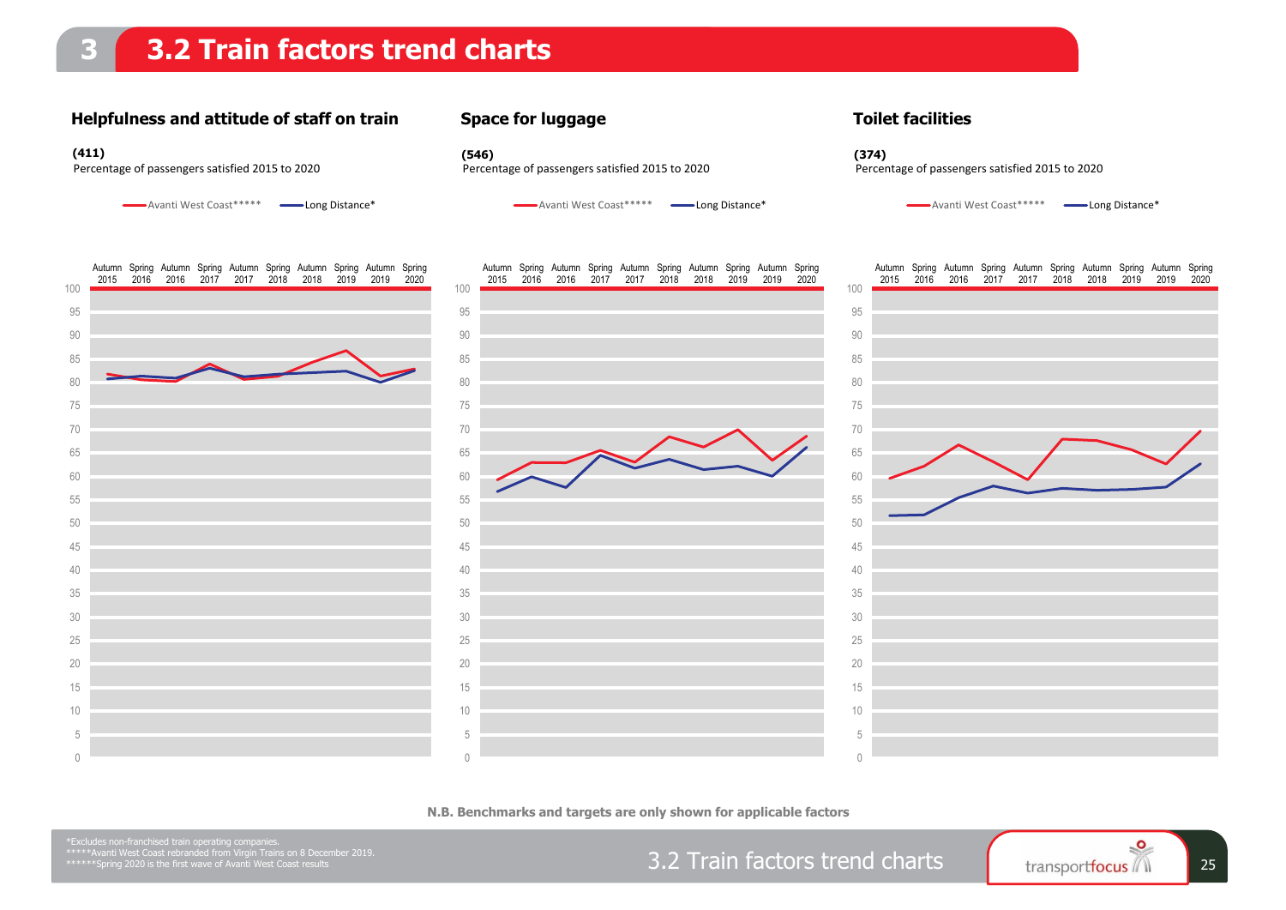#### **Helpfulness and attitude of staff on train**

Avanti West Coast\*\*\*\*\* Long Distance\*

**Space for luggage**

**(411) (546) (374)**

Avanti West Coast\*\*\*\*\* Long Distance\*



Percentage of passengers satisfied 2015 to 2020 Percentage of passengers satisfied 2015 to 2020 Percentage of passengers satisfied 2015 to 2020

Avanti West Coast\*\*\*\*\* Long Distance\*



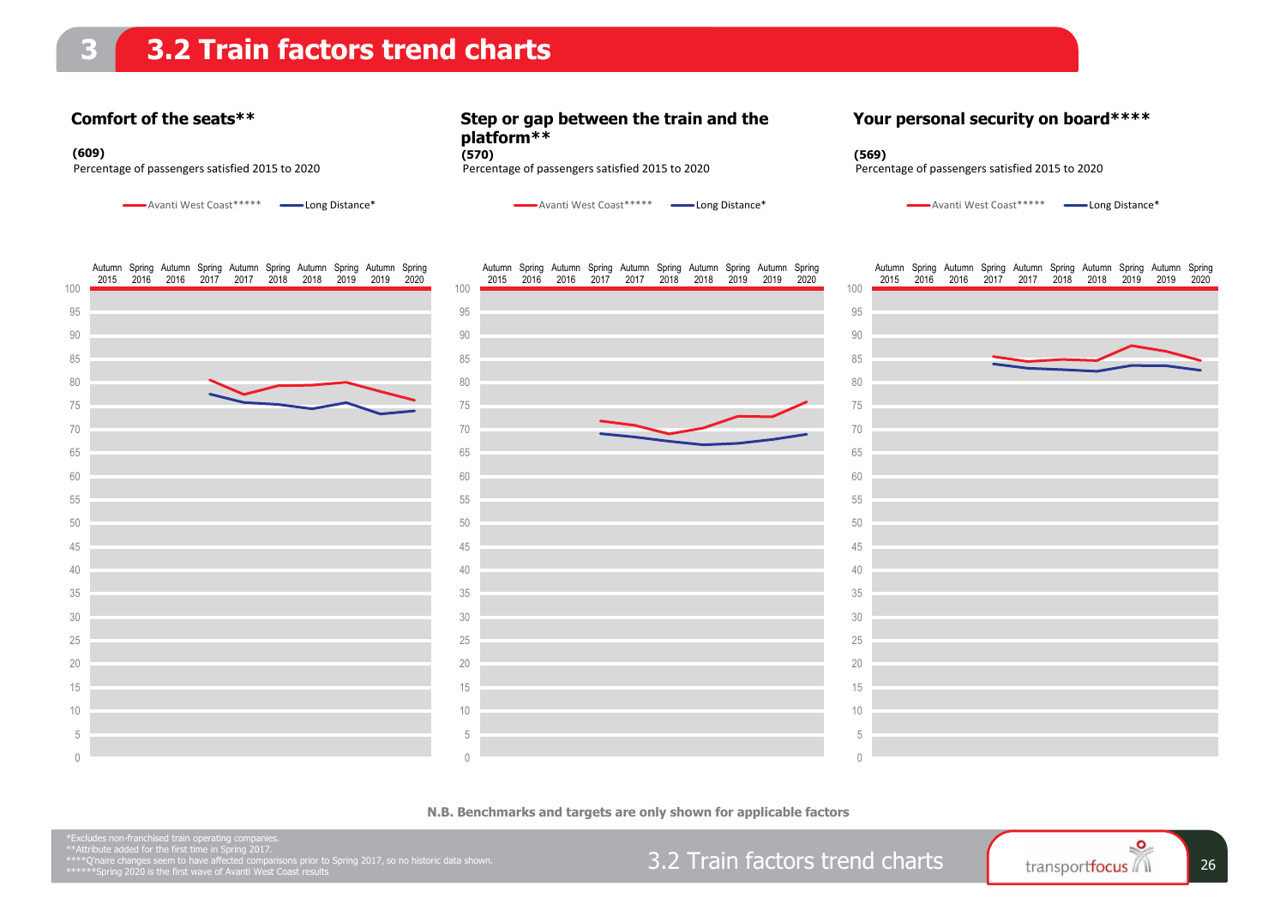#### **Comfort of the seats\*\***

Avanti West Coast\*\*\*\*\* Long Distance\*

**Step or gap between the train and the platform\*\***

**Your personal security on board\*\*\*\***



**N.B. Benchmarks and targets are only shown for applicable factors**



 $\bigcap$ 

 $\bigcap$ 

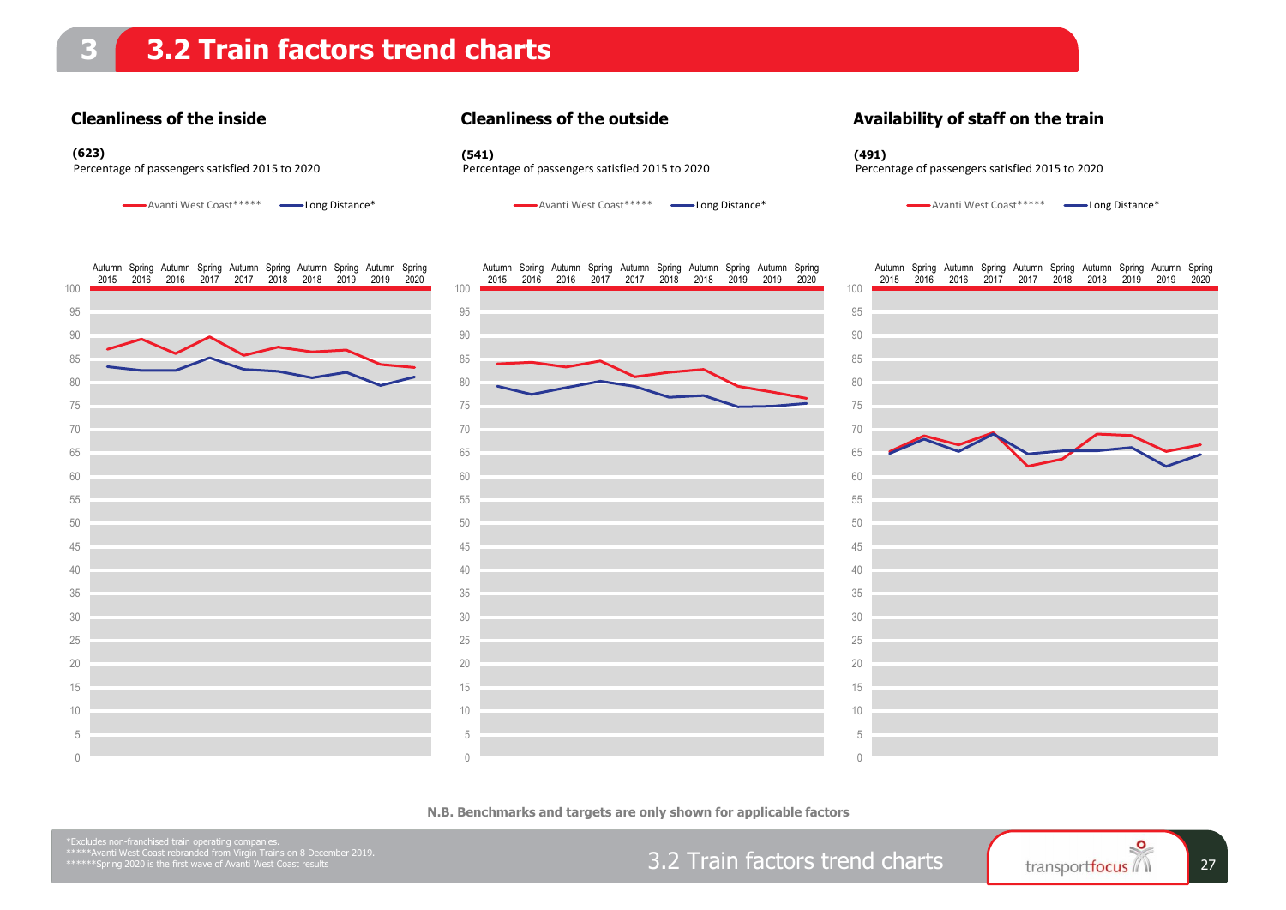#### **Cleanliness of the inside**

#### **Cleanliness of the outside**

**(623) (541) (491)**

**Availability of staff on the train**



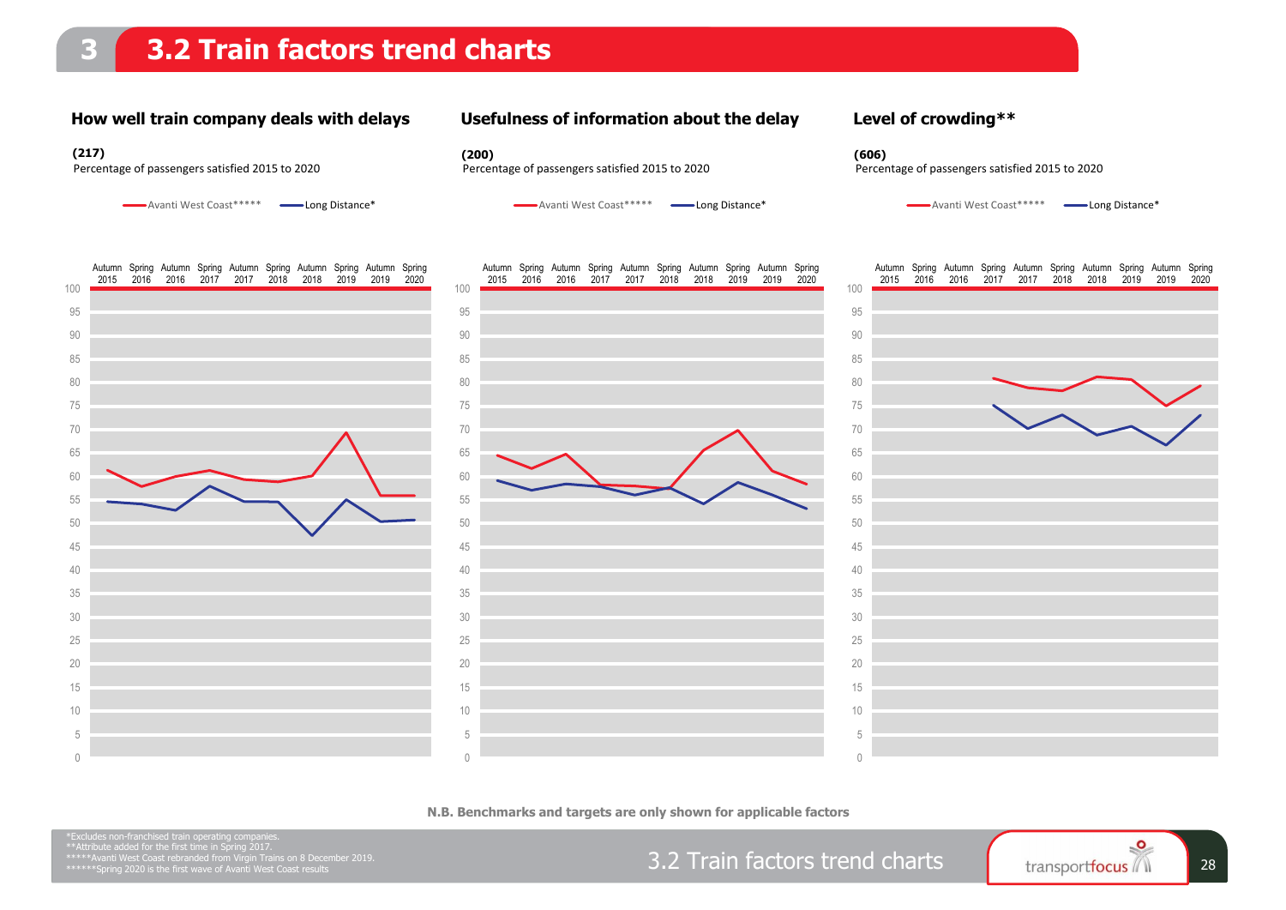### **3.2 Train factors trend charts**

#### **How well train company deals with delays**

#### **Usefulness of information about the delay**

Avanti West Coast\*\*\*\*\* Long Distance\*

**(217) (200) (606)**



#### **Level of crowding\*\***

Percentage of passengers satisfied 2015 to 2020 Percentage of passengers satisfied 2015 to 2020 Percentage of passengers satisfied 2015 to 2020

Avanti West Coast\*\*\*\*\* Long Distance\*



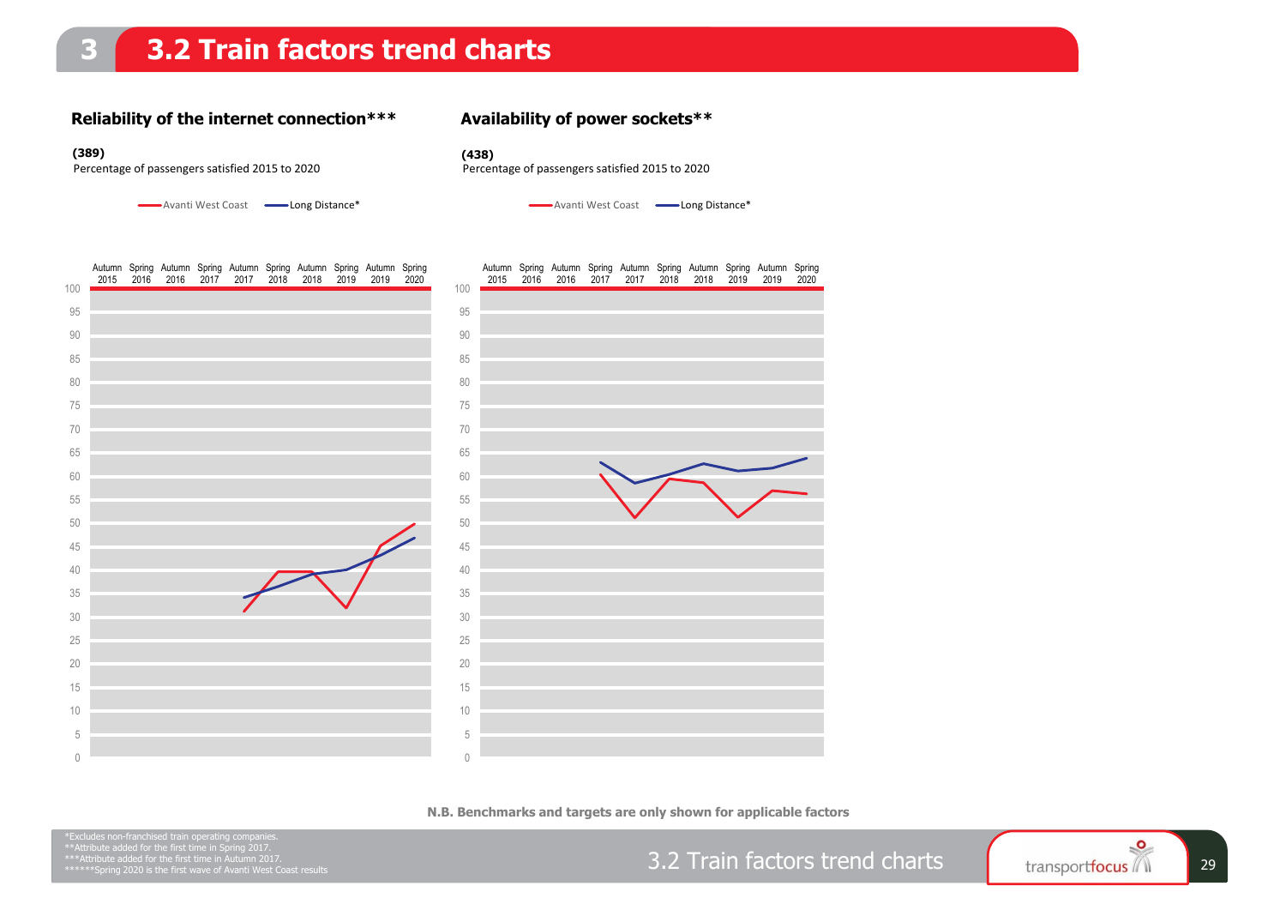#### **Reliability of the internet connection\*\*\***

#### **Availability of power sockets\*\***

#### **(389) (438)**

Percentage of passengers satisfied 2015 to 2020 Percentage of passengers satisfied 2015 to 2020

Avanti West Coast **- Long Distance**\*

Avanti West Coast
<br>
Long Distance\*



**N.B. Benchmarks and targets are only shown for applicable factors**

3.2 Train factors trend charts fransportfocus

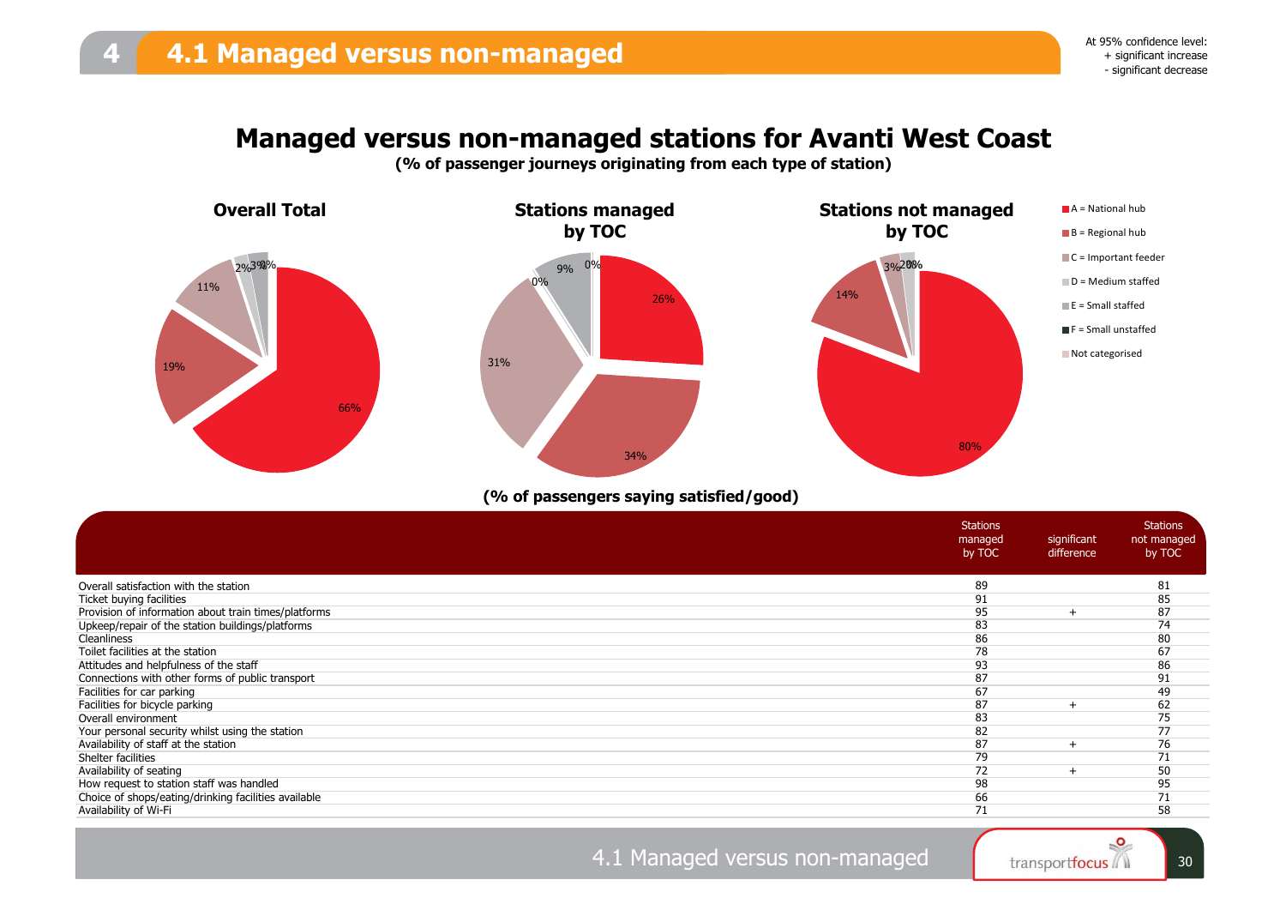### **Managed versus non-managed stations for Avanti West Coast**

**(% of passenger journeys originating from each type of station)**



#### **(% of passengers saying satisfied/good)**

|                                                      | <b>Stations</b><br>managed<br>by TOC | significant<br>difference | <b>Stations</b><br>not managed<br>by TOC |
|------------------------------------------------------|--------------------------------------|---------------------------|------------------------------------------|
| Overall satisfaction with the station                | 89                                   |                           | 81                                       |
| Ticket buying facilities                             | 91                                   |                           | 85                                       |
| Provision of information about train times/platforms | 95                                   |                           | 87                                       |
| Upkeep/repair of the station buildings/platforms     | 83                                   |                           | 74                                       |
| Cleanliness                                          | 86                                   |                           | 80                                       |
| Toilet facilities at the station                     | 78                                   |                           | 67                                       |
| Attitudes and helpfulness of the staff               | 93                                   |                           | 86                                       |
| Connections with other forms of public transport     | 87                                   |                           | 91                                       |
| Facilities for car parking                           | 67                                   |                           | 49                                       |
| Facilities for bicycle parking                       | 87                                   |                           | 62                                       |
| Overall environment                                  | 83                                   |                           | 75                                       |
| Your personal security whilst using the station      | 82                                   |                           | 77                                       |
| Availability of staff at the station                 | 87                                   |                           | 76                                       |
| Shelter facilities                                   | 79                                   |                           | 71                                       |
| Availability of seating                              | 72                                   |                           | 50                                       |
| How request to station staff was handled             | 98                                   |                           | 95                                       |
| Choice of shops/eating/drinking facilities available | 66                                   |                           | 71                                       |
| Availability of Wi-Fi                                | 71                                   |                           | 58                                       |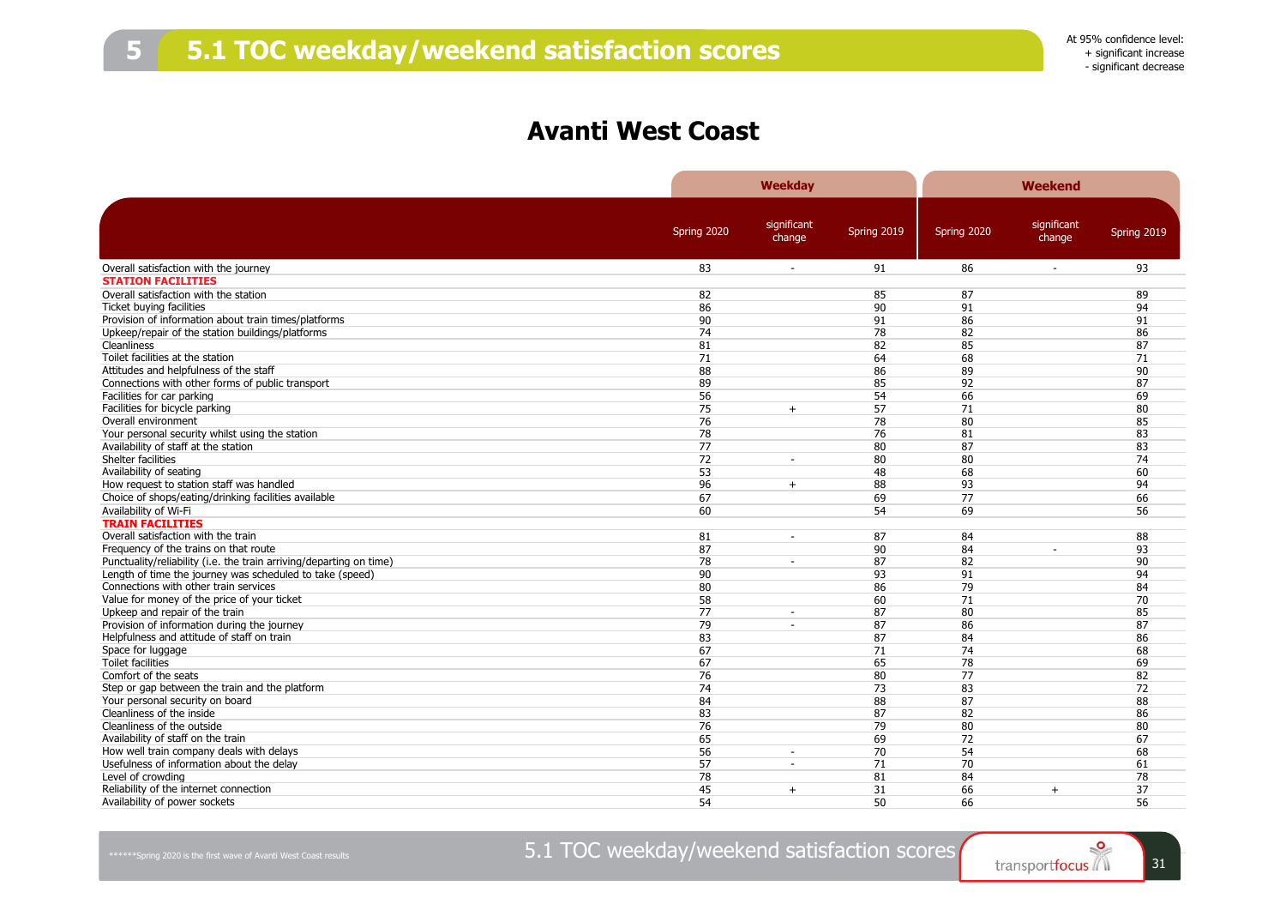### **Avanti West Coast**

|                                                                     |             | <b>Weekday</b>           |             |             | Weekend               |             |
|---------------------------------------------------------------------|-------------|--------------------------|-------------|-------------|-----------------------|-------------|
|                                                                     | Spring 2020 | significant<br>change    | Spring 2019 | Spring 2020 | significant<br>change | Spring 2019 |
| Overall satisfaction with the journey                               | 83          | $\sim$                   | 91          | 86          | $\blacksquare$        | 93          |
| <b>STATION FACILITIES</b>                                           |             |                          |             |             |                       |             |
| Overall satisfaction with the station                               | 82          |                          | 85          | 87          |                       | 89          |
| Ticket buying facilities                                            | 86          |                          | 90          | 91          |                       | 94          |
| Provision of information about train times/platforms                | 90          |                          | 91          | 86          |                       | 91          |
| Upkeep/repair of the station buildings/platforms                    | 74          |                          | 78          | 82          |                       | 86          |
| Cleanliness                                                         | 81          |                          | 82          | 85          |                       | 87          |
| Toilet facilities at the station                                    | 71          |                          | 64          | 68          |                       | 71          |
| Attitudes and helpfulness of the staff                              | 88          |                          | 86          | 89          |                       | 90          |
| Connections with other forms of public transport                    | 89          |                          | 85          | 92          |                       | 87          |
| Facilities for car parking                                          | 56          |                          | 54          | 66          |                       | 69          |
| Facilities for bicycle parking                                      | 75          | $+$                      | 57          | 71          |                       | 80          |
| Overall environment                                                 | 76          |                          | 78          | 80          |                       | 85          |
| Your personal security whilst using the station                     | 78          |                          | 76          | 81          |                       | 83          |
| Availability of staff at the station                                | 77          |                          | 80          | 87          |                       | 83          |
| Shelter facilities                                                  | 72          | $\sim$                   | 80          | 80          |                       | 74          |
| Availability of seating                                             | 53          |                          | 48          | 68          |                       | 60          |
| How request to station staff was handled                            | 96          | $+$                      | 88          | 93          |                       | 94          |
| Choice of shops/eating/drinking facilities available                | 67          |                          | 69          | 77          |                       | 66          |
| Availability of Wi-Fi                                               | 60          |                          | 54          | 69          |                       | 56          |
| <b>TRAIN FACILITIES</b>                                             |             |                          |             |             |                       |             |
| Overall satisfaction with the train                                 | 81          | $\sim$                   | 87          | 84          |                       | 88          |
| Frequency of the trains on that route                               | 87          |                          | 90          | 84          |                       | 93          |
| Punctuality/reliability (i.e. the train arriving/departing on time) | 78          | $\sim$                   | 87          | 82          |                       | 90          |
| Length of time the journey was scheduled to take (speed)            | 90          |                          | 93          | 91          |                       | 94          |
| Connections with other train services                               | 80          |                          | 86          | 79          |                       | 84          |
| Value for money of the price of your ticket                         | 58          |                          | 60          | 71          |                       | 70          |
| Upkeep and repair of the train                                      | 77          | $\sim$                   | 87          | 80          |                       | 85          |
| Provision of information during the journey                         | 79          |                          | 87          | 86          |                       | 87          |
| Helpfulness and attitude of staff on train                          | 83          |                          | 87          | 84          |                       | 86          |
| Space for luggage                                                   | 67          |                          | 71          | 74          |                       | 68          |
| Toilet facilities                                                   | 67          |                          | 65          | 78          |                       | 69          |
| Comfort of the seats                                                | 76          |                          | 80          | 77          |                       | 82          |
| Step or gap between the train and the platform                      | 74          |                          | 73          | 83          |                       | 72          |
| Your personal security on board                                     | 84          |                          | 88          | 87          |                       | 88          |
| Cleanliness of the inside                                           | 83          |                          | 87          | 82          |                       | 86          |
| Cleanliness of the outside                                          | 76          |                          | 79          | 80          |                       | 80          |
| Availability of staff on the train                                  | 65          |                          | 69          | 72          |                       | 67          |
| How well train company deals with delays                            | 56          | $\overline{\phantom{a}}$ | 70          | 54          |                       | 68          |
| Usefulness of information about the delay                           | 57          | $\sim$                   | 71          | 70          |                       | 61          |
| Level of crowding                                                   | 78          |                          | 81          | 84          |                       | 78          |
| Reliability of the internet connection                              | 45          | $+$                      | 31          | 66          | $+$                   | 37          |
| Availability of power sockets                                       | 54          |                          | 50          | 66          |                       | 56          |
|                                                                     |             |                          |             |             |                       |             |

5.1 TOC weekday/weekend satisfaction scores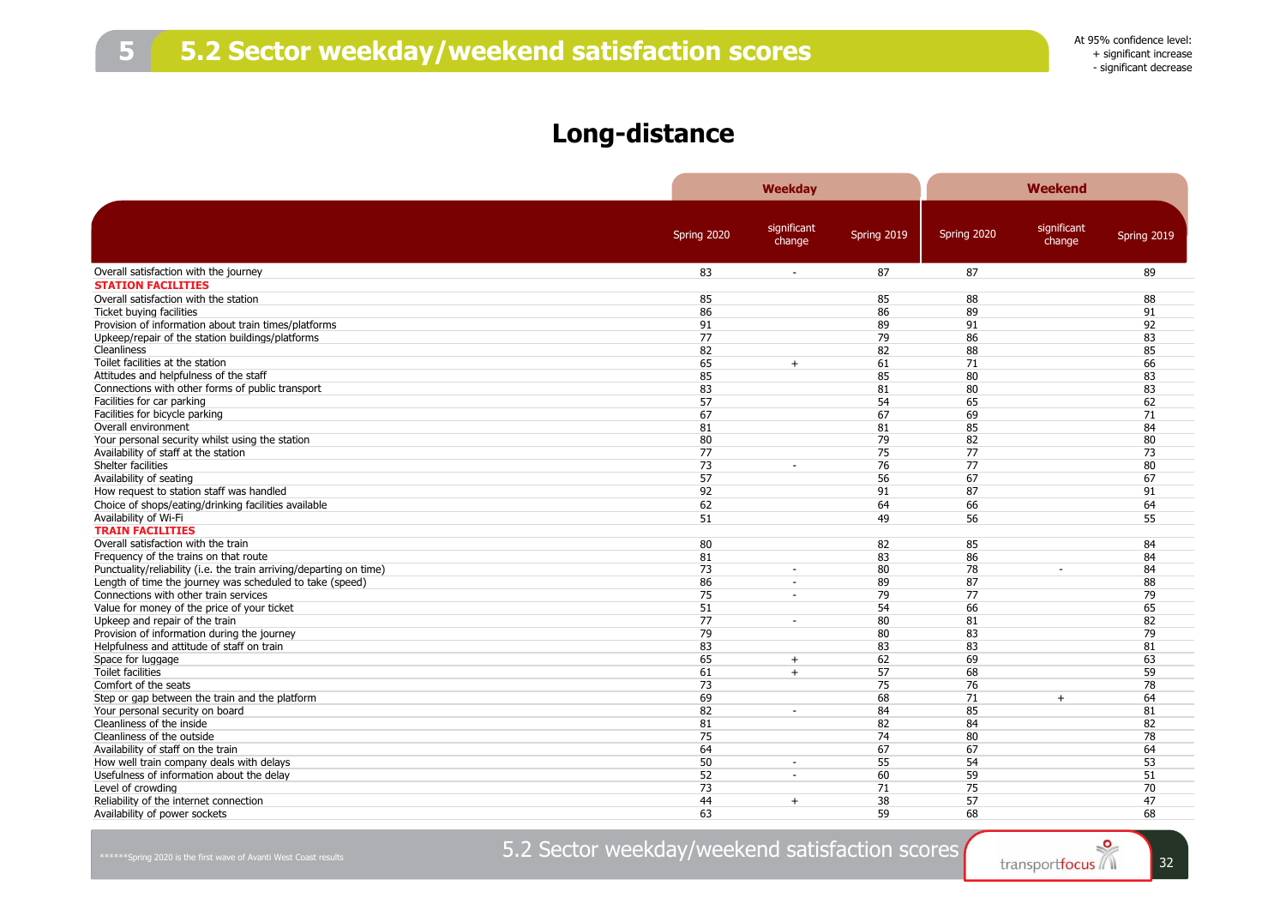### **Long-distance**

|                                                                     |             | Weekday                  |             |             | <b>Weekend</b> |             |
|---------------------------------------------------------------------|-------------|--------------------------|-------------|-------------|----------------|-------------|
|                                                                     |             | significant              |             |             | significant    |             |
|                                                                     | Spring 2020 | change                   | Spring 2019 | Spring 2020 | change         | Spring 2019 |
| Overall satisfaction with the journey                               | 83          | ÷.                       | 87          | 87          |                | 89          |
| <b>STATION FACILITIES</b>                                           |             |                          |             |             |                |             |
| Overall satisfaction with the station                               | 85          |                          | 85          | 88          |                | 88          |
| Ticket buying facilities                                            | 86          |                          | 86          | 89          |                | 91          |
| Provision of information about train times/platforms                | 91          |                          | 89          | 91          |                | 92          |
| Upkeep/repair of the station buildings/platforms                    | 77          |                          | 79          | 86          |                | 83          |
| <b>Cleanliness</b>                                                  | 82          |                          | 82          | 88          |                | 85          |
| Toilet facilities at the station                                    | 65          | $+$                      | 61          | 71          |                | 66          |
| Attitudes and helpfulness of the staff                              | 85          |                          | 85          | 80          |                | 83          |
| Connections with other forms of public transport                    | 83          |                          | 81          | 80          |                | 83          |
| Facilities for car parking                                          | 57          |                          | 54          | 65          |                | 62          |
| Facilities for bicycle parking                                      | 67          |                          | 67          | 69          |                | 71          |
| Overall environment                                                 | 81          |                          | 81          | 85          |                | 84          |
| Your personal security whilst using the station                     | 80          |                          | 79          | 82          |                | 80          |
| Availability of staff at the station                                | 77          |                          | 75          | 77          |                | 73          |
| Shelter facilities                                                  | 73          | $\sim$                   | 76          | 77          |                | 80          |
| Availability of seating                                             | 57          |                          | 56          | 67          |                | 67          |
| How request to station staff was handled                            | 92          |                          | 91          | 87          |                | 91          |
| Choice of shops/eating/drinking facilities available                | 62          |                          | 64          | 66          |                | 64          |
| Availability of Wi-Fi                                               | 51          |                          | 49          | 56          |                | 55          |
| <b>TRAIN FACILITIES</b>                                             |             |                          |             |             |                |             |
| Overall satisfaction with the train                                 | 80          |                          | 82          | 85          |                | 84          |
| Frequency of the trains on that route                               | 81          |                          | 83          | 86          |                | 84          |
| Punctuality/reliability (i.e. the train arriving/departing on time) | 73          | $\overline{\phantom{a}}$ | 80          | 78          |                | 84          |
| Length of time the journey was scheduled to take (speed)            | 86          | $\blacksquare$           | 89          | 87          |                | 88          |
| Connections with other train services                               | 75          | $\sim$                   | 79          | 77          |                | 79          |
| Value for money of the price of your ticket                         | 51          |                          | 54          | 66          |                | 65          |
| Upkeep and repair of the train                                      | 77          | $\sim$                   | 80          | 81          |                | 82          |
| Provision of information during the journey                         | 79          |                          | 80          | 83          |                | 79          |
| Helpfulness and attitude of staff on train                          | 83          |                          | 83          | 83          |                | 81          |
| Space for luggage                                                   | 65          |                          | 62          | 69          |                | 63          |
| <b>Toilet facilities</b>                                            |             | $+$                      | 57          |             |                | 59          |
| Comfort of the seats                                                | 61<br>73    | $+$                      | 75          | 68<br>76    |                | 78          |
|                                                                     |             |                          |             |             |                |             |
| Step or gap between the train and the platform                      | 69          |                          | 68          | 71          | $+$            | 64          |
| Your personal security on board                                     | 82          |                          | 84          | 85          |                | 81          |
| Cleanliness of the inside                                           | 81          |                          | 82          | 84          |                | 82          |
| Cleanliness of the outside                                          | 75          |                          | 74          | 80          |                | 78          |
| Availability of staff on the train                                  | 64          |                          | 67          | 67          |                | 64          |
| How well train company deals with delays                            | 50          | $\sim$                   | 55          | 54          |                | 53          |
| Usefulness of information about the delay                           | 52          | $\sim$                   | 60          | 59          |                | 51          |
| Level of crowding                                                   | 73          |                          | 71          | 75          |                | 70          |
| Reliability of the internet connection                              | 44          | $+$                      | 38          | 57          |                | 47          |
| Availability of power sockets                                       | 63          |                          | 59          | 68          |                | 68          |

5.2 Sector weekday/weekend satisfaction scores

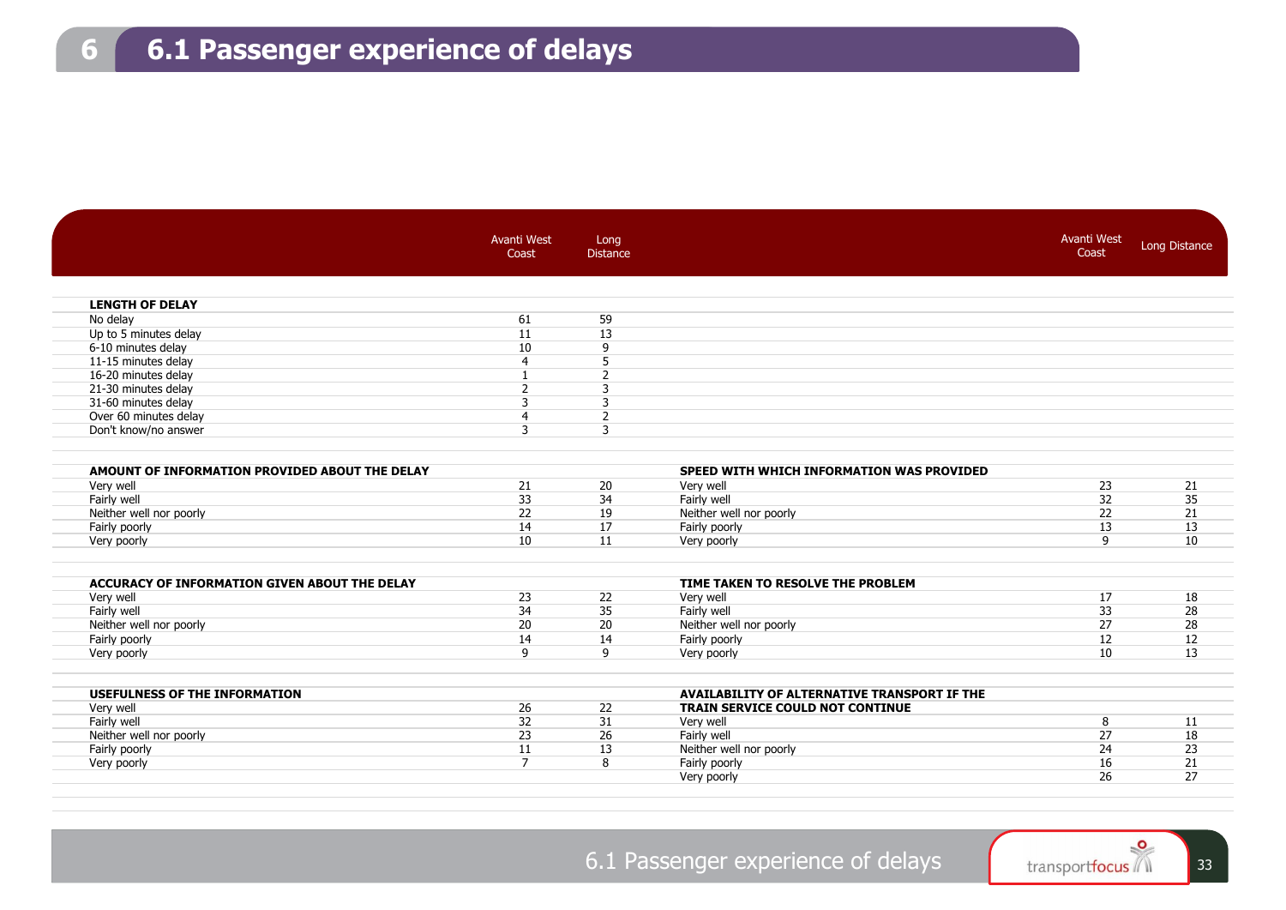|                                                | <b>Avanti West</b><br>Coast | Long<br><b>Distance</b> |                                              | <b>Avanti West</b><br>Coast | <b>Long Distance</b> |
|------------------------------------------------|-----------------------------|-------------------------|----------------------------------------------|-----------------------------|----------------------|
|                                                |                             |                         |                                              |                             |                      |
| <b>LENGTH OF DELAY</b>                         |                             |                         |                                              |                             |                      |
| No delay                                       | 61                          | 59                      |                                              |                             |                      |
| Up to 5 minutes delay                          | 11                          | 13                      |                                              |                             |                      |
| 6-10 minutes delay                             | 10                          | 9                       |                                              |                             |                      |
| 11-15 minutes delay                            | $\overline{4}$              | 5                       |                                              |                             |                      |
| 16-20 minutes delay                            | $\mathbf{I}$                | $\overline{2}$          |                                              |                             |                      |
| 21-30 minutes delay                            | $\overline{2}$              | 3                       |                                              |                             |                      |
| 31-60 minutes delay                            | 3                           | 3                       |                                              |                             |                      |
| Over 60 minutes delay                          | $\overline{4}$              | $\overline{2}$          |                                              |                             |                      |
| Don't know/no answer                           | 3                           | 3                       |                                              |                             |                      |
| AMOUNT OF INFORMATION PROVIDED ABOUT THE DELAY |                             |                         | SPEED WITH WHICH INFORMATION WAS PROVIDED    |                             |                      |
| Very well                                      | 21                          | 20                      | Very well                                    | 23                          | 21                   |
| Fairly well                                    | 33                          | 34                      | Fairly well                                  | 32                          | 35                   |
| Neither well nor poorly                        | 22                          | 19                      | Neither well nor poorly                      | 22                          | 21                   |
| Fairly poorly                                  | 14                          | 17                      | Fairly poorly                                | 13                          | 13                   |
| Very poorly                                    | 10                          | 11                      | Very poorly                                  | 9                           | 10                   |
| ACCURACY OF INFORMATION GIVEN ABOUT THE DELAY  |                             |                         | TIME TAKEN TO RESOLVE THE PROBLEM            |                             |                      |
| Very well                                      | 23                          | 22                      | Very well                                    | 17                          | 18                   |
| Fairly well                                    | 34                          | 35                      | Fairly well                                  | 33                          | 28                   |
| Neither well nor poorly                        | 20                          | 20                      | Neither well nor poorly                      | 27                          | 28                   |
| Fairly poorly                                  | 14                          | 14                      | Fairly poorly                                | 12                          | 12                   |
| Very poorly                                    | 9                           | 9                       | Very poorly                                  | 10                          | 13                   |
| <b>USEFULNESS OF THE INFORMATION</b>           |                             |                         | AVAILABILITY OF ALTERNATIVE TRANSPORT IF THE |                             |                      |
| Very well                                      | 26                          | 22                      | <b>TRAIN SERVICE COULD NOT CONTINUE</b>      |                             |                      |
| Fairly well                                    | 32                          | 31                      | Very well                                    | 8                           | 11                   |
| Neither well nor poorly                        | 23                          | 26                      | Fairly well                                  | 27                          | 18                   |
| Fairly poorly                                  | 11                          | 13                      | Neither well nor poorly                      | 24                          | 23                   |
| Very poorly                                    | $\overline{7}$              | 8                       | Fairly poorly                                | 16                          | 21                   |
|                                                |                             |                         | Very poorly                                  | 26                          | 27                   |

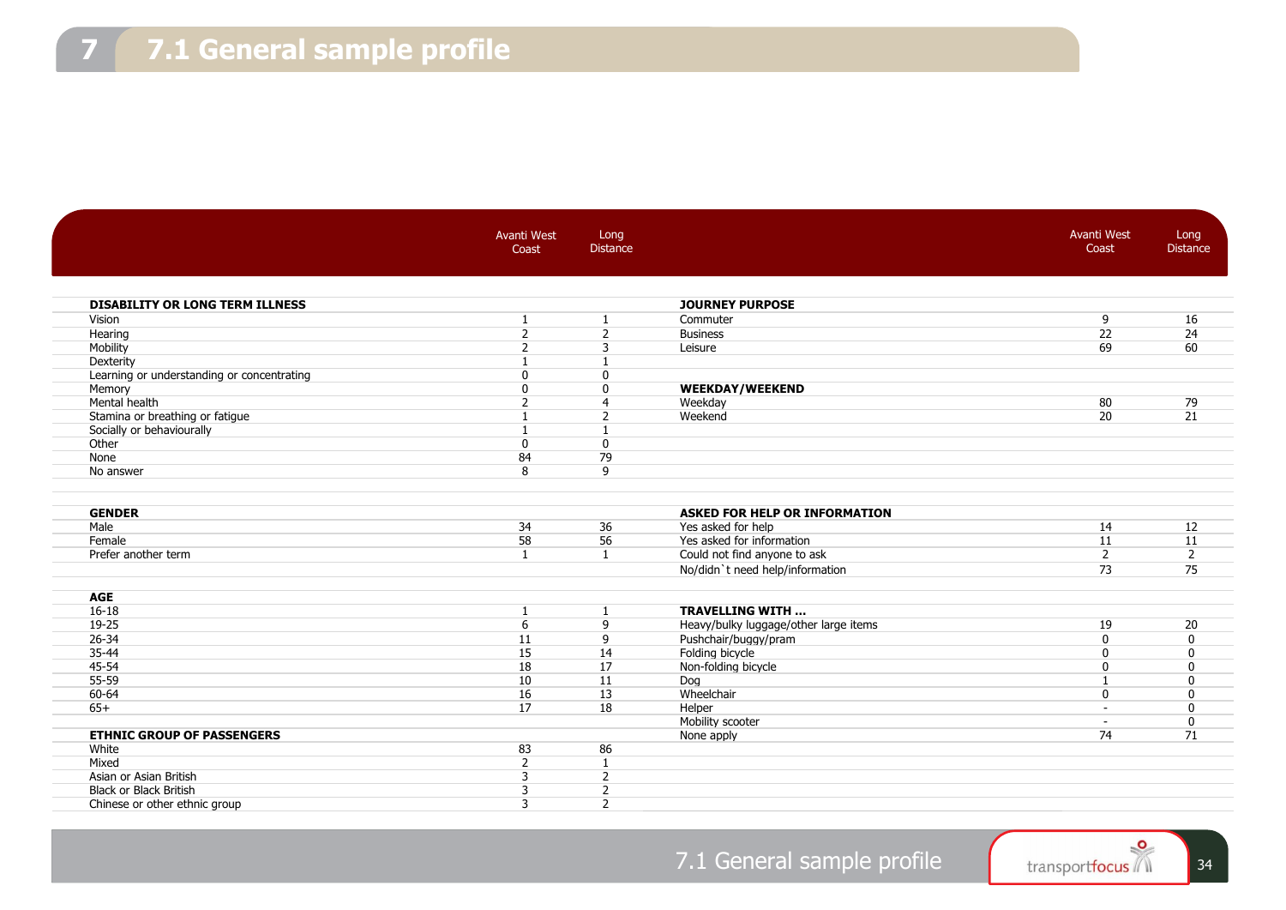|                                            | Avanti West<br>Coast     | Long<br><b>Distance</b> |                                       | <b>Avanti West</b><br>Coast    | Long<br><b>Distance</b> |
|--------------------------------------------|--------------------------|-------------------------|---------------------------------------|--------------------------------|-------------------------|
| <b>DISABILITY OR LONG TERM ILLNESS</b>     |                          |                         | <b>JOURNEY PURPOSE</b>                |                                |                         |
| Vision                                     | $\mathbf{1}$             | 1                       | Commuter                              | 9                              | 16                      |
| Hearing                                    | $\overline{2}$           | $\overline{2}$          | <b>Business</b>                       | 22                             | 24                      |
| Mobility                                   | $\overline{\phantom{0}}$ | 3                       | Leisure                               | 69                             | 60                      |
| Dexterity                                  |                          |                         |                                       |                                |                         |
| Learning or understanding or concentrating | 0                        | $\mathbf{0}$            |                                       |                                |                         |
| Memory                                     | $\Omega$                 | $\mathbf{0}$            | <b>WEEKDAY/WEEKEND</b>                |                                |                         |
| Mental health                              | $\overline{\phantom{0}}$ | $\overline{4}$          | Weekday                               | 80                             | 79                      |
| Stamina or breathing or fatigue            |                          | $\overline{2}$          | Weekend                               | 20                             | 21                      |
| Socially or behaviourally                  |                          | $\mathbf{1}$            |                                       |                                |                         |
| Other                                      | $\Omega$                 | $\mathbf{0}$            |                                       |                                |                         |
| None                                       | 84                       | 79                      |                                       |                                |                         |
| No answer                                  | 8                        | 9                       |                                       |                                |                         |
| <b>GENDER</b>                              |                          |                         | <b>ASKED FOR HELP OR INFORMATION</b>  |                                |                         |
| Male                                       | 34                       | 36                      | Yes asked for help                    | 14                             | 12                      |
| Female                                     | 58                       | 56                      | Yes asked for information             | 11                             | 11                      |
| Prefer another term                        | $\mathbf{1}$             | $\mathbf{1}$            | Could not find anyone to ask          | $\overline{2}$                 | $\overline{2}$          |
|                                            |                          |                         | No/didn't need help/information       | 73                             | 75                      |
| <b>AGE</b>                                 |                          |                         |                                       |                                |                         |
| $16 - 18$                                  | -1                       | $\mathbf{1}$            | <b>TRAVELLING WITH </b>               |                                |                         |
| 19-25                                      | 6                        | 9                       | Heavy/bulky luggage/other large items | 19                             | 20                      |
| $26 - 34$                                  | 11                       | 9                       | Pushchair/buggy/pram                  | 0                              | $\mathbf{0}$            |
| 35-44                                      | 15                       | 14                      | Folding bicycle                       | $\mathbf{0}$                   | $\mathbf{0}$            |
| 45-54                                      | 18                       | 17                      | Non-folding bicycle                   | $\mathbf 0$                    | $\mathbf{0}$            |
| 55-59                                      | 10                       | 11                      | Dog                                   | $\mathbf{1}$                   | $\Omega$                |
| 60-64                                      | 16                       | 13                      | Wheelchair                            | 0                              | 0                       |
| $65+$                                      | 17                       | 18                      | Helper                                | $\overline{a}$                 | $\mathbf{0}$            |
| <b>ETHNIC GROUP OF PASSENGERS</b>          |                          |                         | Mobility scooter                      | $\overline{\phantom{a}}$<br>74 | 0<br>71                 |
| White                                      | 83                       | 86                      | None apply                            |                                |                         |
| Mixed                                      | $\overline{2}$           | -1                      |                                       |                                |                         |
| Asian or Asian British                     |                          |                         |                                       |                                |                         |
|                                            | 3<br>3                   | $\overline{2}$          |                                       |                                |                         |
| Black or Black British                     | 3                        | 2                       |                                       |                                |                         |
| Chinese or other ethnic group              |                          | $\overline{2}$          |                                       |                                |                         |
|                                            |                          |                         |                                       |                                |                         |

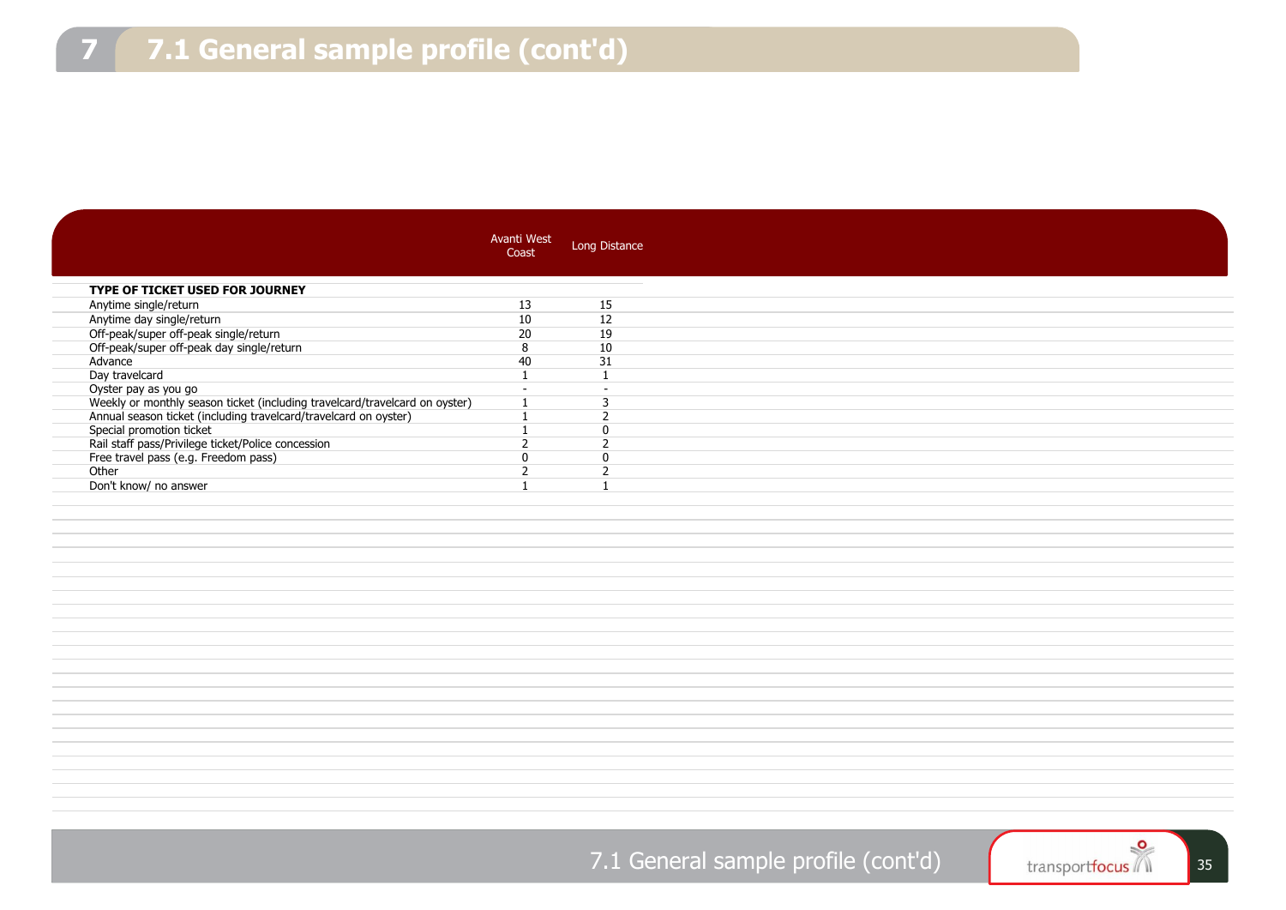|                                                                                    | Avanti West<br>Coast | Long Distance            |
|------------------------------------------------------------------------------------|----------------------|--------------------------|
|                                                                                    |                      |                          |
| TYPE OF TICKET USED FOR JOURNEY                                                    |                      |                          |
| Anytime single/return                                                              | 13                   | 15                       |
| Anytime day single/return                                                          | 10                   | 12                       |
|                                                                                    | 20                   | 19                       |
| Off-peak/super off-peak single/return<br>Off-peak/super off-peak day single/return | 8                    | 10                       |
| Advance                                                                            | 40                   | 31                       |
| Day travelcard                                                                     | $\mathbf{1}$         | $\mathbf{1}$             |
|                                                                                    |                      |                          |
| Oyster pay as you go                                                               | $\overline{a}$       | $\overline{\phantom{a}}$ |
| Weekly or monthly season ticket (including travelcard/travelcard on oyster)        | $\mathbf{1}$         | 3                        |
| Annual season ticket (including travelcard/travelcard on oyster)                   | $\mathbf{1}$         | $\overline{2}$           |
| Special promotion ticket                                                           | $\mathbf{1}$         | $\mathbf 0$              |
| Rail staff pass/Privilege ticket/Police concession                                 | $\overline{2}$       | $\overline{2}$           |
| Free travel pass (e.g. Freedom pass)                                               | $\mathbf{0}$         | $\mathbf{0}$             |
| Other                                                                              | $\overline{2}$       | $\overline{2}$           |
| Don't know/ no answer                                                              | $\mathbf{1}$         | $\overline{1}$           |
|                                                                                    |                      |                          |
|                                                                                    |                      |                          |
|                                                                                    |                      |                          |
|                                                                                    |                      |                          |
|                                                                                    |                      |                          |
|                                                                                    |                      |                          |
|                                                                                    |                      |                          |
|                                                                                    |                      |                          |
|                                                                                    |                      |                          |
|                                                                                    |                      |                          |
|                                                                                    |                      |                          |
|                                                                                    |                      |                          |
|                                                                                    |                      |                          |
|                                                                                    |                      |                          |
|                                                                                    |                      |                          |
|                                                                                    |                      |                          |
|                                                                                    |                      |                          |
|                                                                                    |                      |                          |
|                                                                                    |                      |                          |
|                                                                                    |                      |                          |
|                                                                                    |                      |                          |
|                                                                                    |                      |                          |
|                                                                                    |                      |                          |
|                                                                                    |                      |                          |

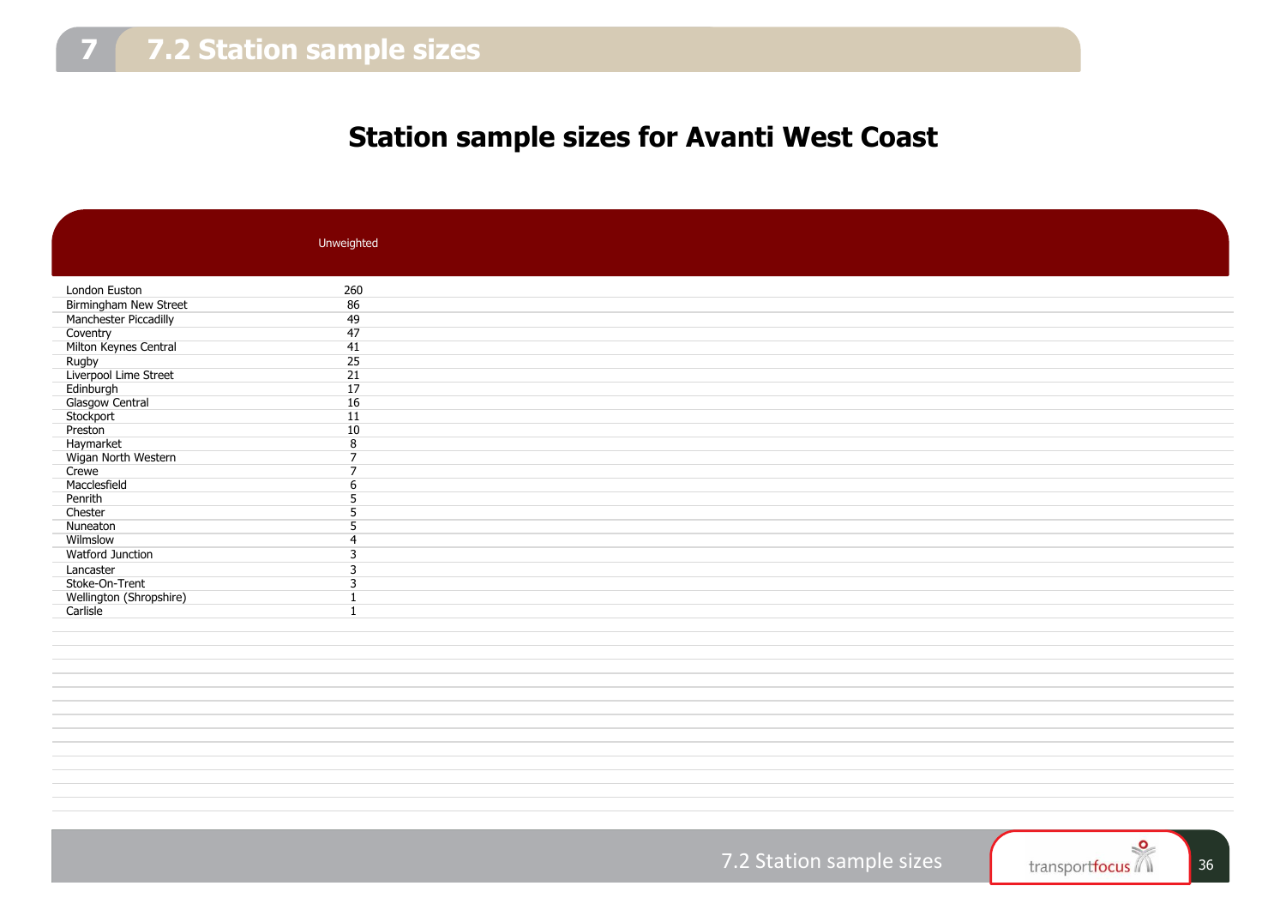## **Station sample sizes for Avanti West Coast**

|                                | Unweighted               |
|--------------------------------|--------------------------|
|                                |                          |
|                                |                          |
| London Euston                  | 260                      |
| Birmingham New Street          | 86                       |
| Manchester Piccadilly          | 49                       |
| Coventry                       | 47                       |
| Milton Keynes Central          | 41                       |
|                                | 25                       |
| Rugby<br>Liverpool Lime Street | $\overline{21}$          |
| Edinburgh                      | 17                       |
| Glasgow Central                | 16                       |
| Stockport                      | 11                       |
| Preston                        | 10                       |
| Haymarket                      | 8                        |
| Wigan North Western            | 7                        |
| Crewe                          | $\overline{\phantom{0}}$ |
| Macclesfield                   | 6                        |
| Penrith                        |                          |
| Chester                        | 5                        |
| Nuneaton                       |                          |
| Wilmslow                       |                          |
| Watford Junction               | 3                        |
| Lancaster                      |                          |
| Stoke-On-Trent                 | 3                        |
| Wellington (Shropshire)        |                          |
| Carlisle                       |                          |
|                                |                          |
|                                |                          |
|                                |                          |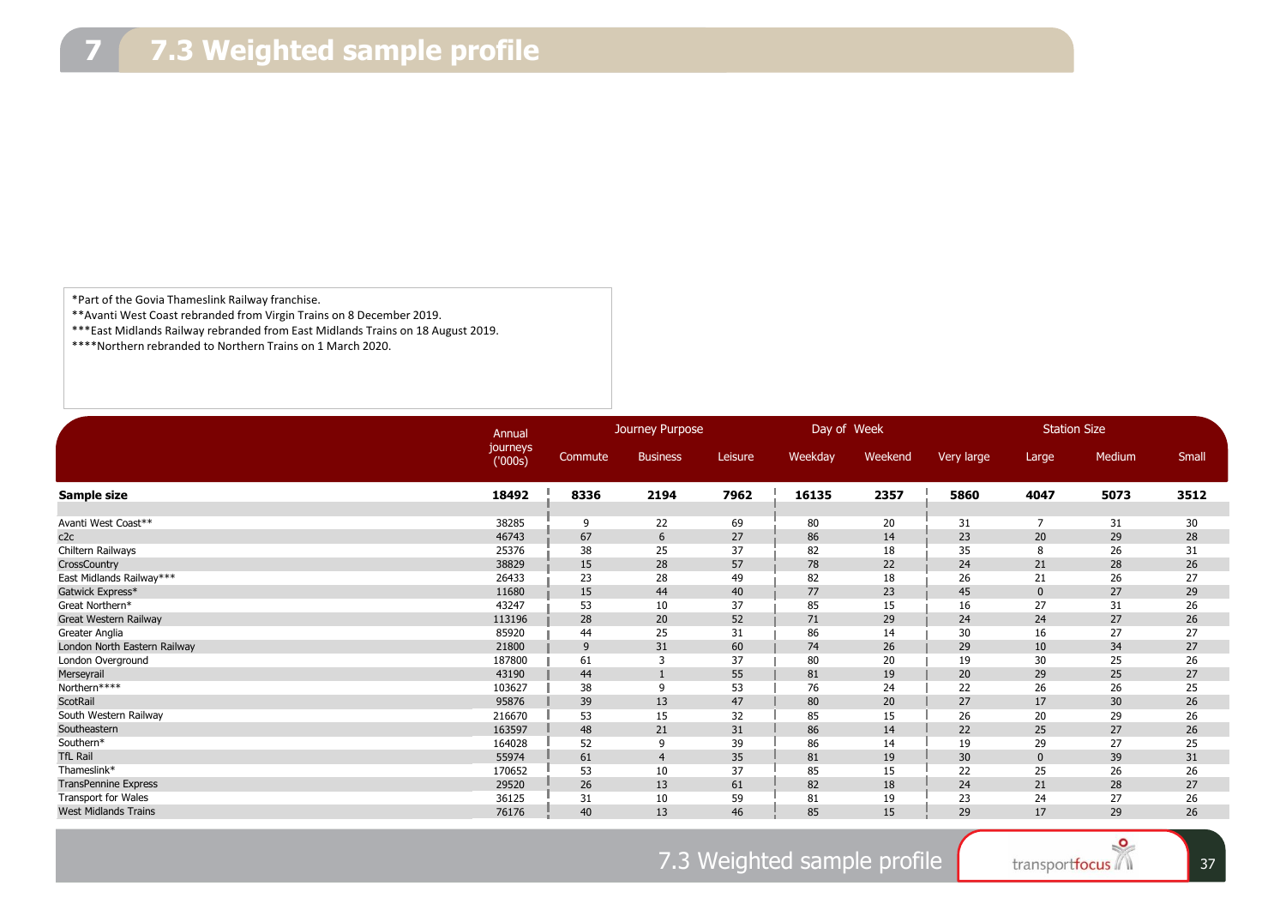\*Part of the Govia Thameslink Railway franchise.

\*\*Avanti West Coast rebranded from Virgin Trains on 8 December 2019.

\*\*\*East Midlands Railway rebranded from East Midlands Trains on 18 August 2019.

\*\*\*\*Northern rebranded to Northern Trains on 1 March 2020.

|                              | Annual              | Journey Purpose |                 |         | Day of Week |         | <b>Station Size</b> |                |        |       |
|------------------------------|---------------------|-----------------|-----------------|---------|-------------|---------|---------------------|----------------|--------|-------|
|                              | journeys<br>('000s) | Commute         | <b>Business</b> | Leisure | Weekday     | Weekend | Very large          | Large          | Medium | Small |
| Sample size                  | 18492               | 8336            | 2194            | 7962    | 16135       | 2357    | 5860                | 4047           | 5073   | 3512  |
|                              |                     |                 |                 |         |             |         |                     |                |        |       |
| Avanti West Coast**          | 38285               | 9               | 22              | 69      | 80          | 20      | 31                  | $\overline{7}$ | 31     | 30    |
| c2c                          | 46743               | 67              | 6               | 27      | 86          | 14      | 23                  | 20             | 29     | 28    |
| Chiltern Railways            | 25376               | 38              | 25              | 37      | 82          | 18      | 35                  | 8              | 26     | 31    |
| CrossCountry                 | 38829               | 15              | 28              | 57      | 78          | 22      | 24                  | 21             | 28     | 26    |
| East Midlands Railway***     | 26433               | 23              | 28              | 49      | 82          | 18      | 26                  | 21             | 26     | 27    |
| Gatwick Express*             | 11680               | 15              | 44              | 40      | 77          | 23      | 45                  | $\mathbf{0}$   | 27     | 29    |
| Great Northern*              | 43247               | 53              | 10              | 37      | 85          | 15      | 16                  | 27             | 31     | 26    |
| Great Western Railway        | 113196              | 28              | 20              | 52      | 71          | 29      | 24                  | 24             | 27     | 26    |
| Greater Anglia               | 85920               | 44              | 25              | 31      | 86          | 14      | 30                  | 16             | 27     | 27    |
| London North Eastern Railway | 21800               | 9               | 31              | 60      | 74          | 26      | 29                  | 10             | 34     | 27    |
| London Overground            | 187800              | 61              | 3               | 37      | 80          | 20      | 19                  | 30             | 25     | 26    |
| Merseyrail                   | 43190               | 44              | $\mathbf{1}$    | 55      | 81          | 19      | 20                  | 29             | 25     | 27    |
| Northern****                 | 103627              | 38              | 9               | 53      | 76          | 24      | 22                  | 26             | 26     | 25    |
| ScotRail                     | 95876               | 39              | 13              | 47      | 80          | 20      | 27                  | 17             | 30     | 26    |
| South Western Railway        | 216670              | 53              | 15              | 32      | 85          | 15      | 26                  | 20             | 29     | 26    |
| Southeastern                 | 163597              | 48              | 21              | 31      | 86          | 14      | 22                  | 25             | 27     | 26    |
| Southern*                    | 164028              | 52              | 9               | 39      | 86          | 14      | 19                  | 29             | 27     | 25    |
| <b>TfL Rail</b>              | 55974               | 61              | $\overline{4}$  | 35      | 81          | 19      | 30                  | $\mathbf{0}$   | 39     | 31    |
| Thameslink*                  | 170652              | 53              | 10              | 37      | 85          | 15      | 22                  | 25             | 26     | 26    |
| <b>TransPennine Express</b>  | 29520               | 26              | 13              | 61      | 82          | 18      | 24                  | 21             | 28     | 27    |
| <b>Transport for Wales</b>   | 36125               | 31              | 10              | 59      | 81          | 19      | 23                  | 24             | 27     | 26    |
| <b>West Midlands Trains</b>  | 76176               | 40              | 13              | 46      | 85          | 15      | 29                  | 17             | 29     | 26    |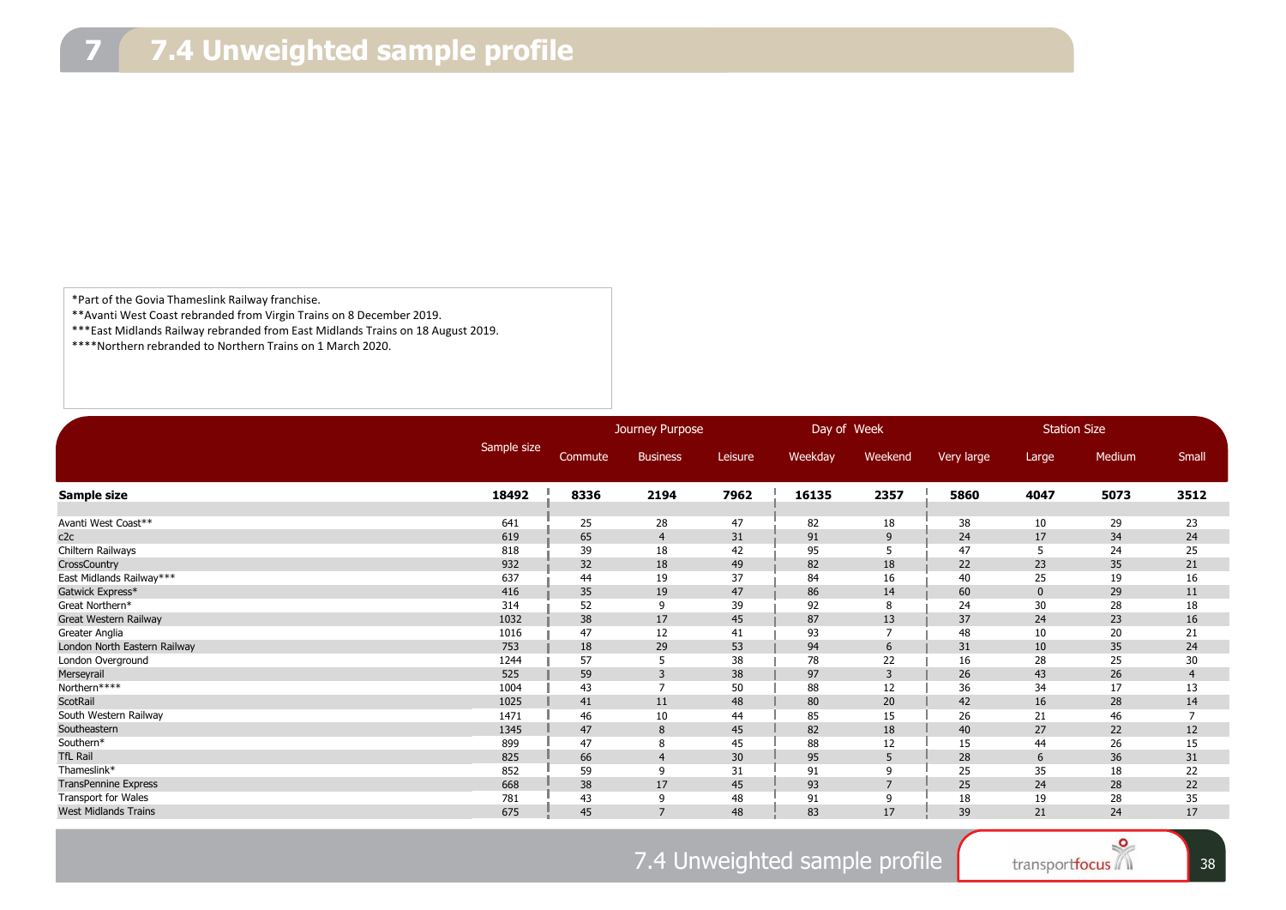\*Part of the Govia Thameslink Railway franchise.

\*\*Avanti West Coast rebranded from Virgin Trains on 8 December 2019.

\*\*\*East Midlands Railway rebranded from East Midlands Trains on 18 August 2019.

\*\*\*\*Northern rebranded to Northern Trains on 1 March 2020.

|                              |             | Journey Purpose |                 |         | Day of Week |                | <b>Station Size</b> |             |        |                |
|------------------------------|-------------|-----------------|-----------------|---------|-------------|----------------|---------------------|-------------|--------|----------------|
|                              | Sample size | Commute         | <b>Business</b> | Leisure | Weekday     | Weekend        | Very large          | Large       | Medium | Small          |
| Sample size                  | 18492       | 8336            | 2194            | 7962    | 16135       | 2357           | 5860                | 4047        | 5073   | 3512           |
|                              |             |                 |                 |         |             |                |                     |             |        |                |
| Avanti West Coast**          | 641         | 25              | 28              | 47      | 82          | 18             | 38                  | 10          | 29     | 23             |
| c2c                          | 619         | 65              | $\overline{4}$  | 31      | 91          | 9              | 24                  | 17          | 34     | 24             |
| Chiltern Railways            | 818         | 39              | 18              | 42      | 95          | 5              | 47                  | 5           | 24     | 25             |
| CrossCountry                 | 932         | 32              | 18              | 49      | 82          | 18             | 22                  | 23          | 35     | 21             |
| East Midlands Railway***     | 637         | 44              | 19              | 37      | 84          | 16             | 40                  | 25          | 19     | 16             |
| Gatwick Express*             | 416         | 35              | 19              | 47      | 86          | 14             | 60                  | $\mathbf 0$ | 29     | 11             |
| Great Northern*              | 314         | 52              | 9               | 39      | 92          | 8              | 24                  | 30          | 28     | 18             |
| Great Western Railway        | 1032        | 38              | 17              | 45      | 87          | 13             | 37                  | 24          | 23     | 16             |
| Greater Anglia               | 1016        | 47              | 12              | 41      | 93          | $\overline{7}$ | 48                  | 10          | 20     | 21             |
| London North Eastern Railway | 753         | 18              | 29              | 53      | 94          | 6              | 31                  | 10          | 35     | 24             |
| London Overground            | 1244        | 57              | 5               | 38      | 78          | 22             | 16                  | 28          | 25     | 30             |
| Merseyrail                   | 525         | 59              | 3               | 38      | 97          | 3              | 26                  | 43          | 26     | $\overline{4}$ |
| Northern****                 | 1004        | 43              | $\overline{7}$  | 50      | 88          | 12             | 36                  | 34          | 17     | 13             |
| ScotRail                     | 1025        | 41              | 11              | 48      | 80          | 20             | 42                  | 16          | 28     | 14             |
| South Western Railway        | 1471        | 46              | 10              | 44      | 85          | 15             | 26                  | 21          | 46     | $\overline{7}$ |
| Southeastern                 | 1345        | 47              | 8               | 45      | 82          | 18             | 40                  | 27          | 22     | 12             |
| Southern*                    | 899         | 47              | 8               | 45      | 88          | 12             | 15                  | 44          | 26     | 15             |
| <b>TfL Rail</b>              | 825         | 66              | $\overline{4}$  | 30      | 95          | 5              | 28                  | 6           | 36     | 31             |
| Thameslink*                  | 852         | 59              | 9               | 31      | 91          | 9              | 25                  | 35          | 18     | 22             |
| <b>TransPennine Express</b>  | 668         | 38              | 17              | 45      | 93          | $\overline{7}$ | 25                  | 24          | 28     | 22             |
| <b>Transport for Wales</b>   | 781         | 43              | 9               | 48      | 91          | 9              | 18                  | 19          | 28     | 35             |
| <b>West Midlands Trains</b>  | 675         | 45              | $\overline{7}$  | 48      | 83          | 17             | 39                  | 21          | 24     | 17             |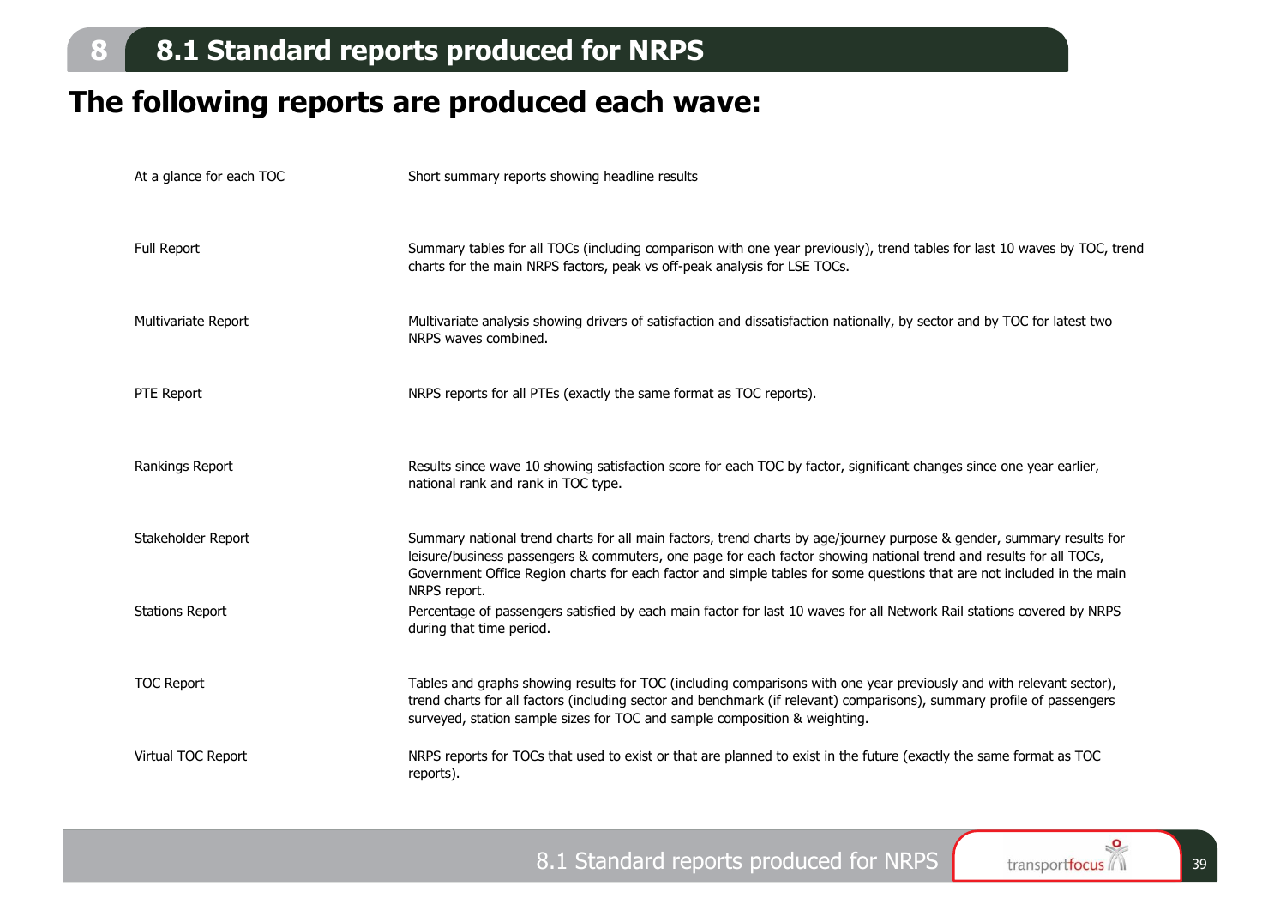## **The following reports are produced each wave:**

| At a glance for each TOC | Short summary reports showing headline results                                                                                                                                                                                                                                                                                                                                        |
|--------------------------|---------------------------------------------------------------------------------------------------------------------------------------------------------------------------------------------------------------------------------------------------------------------------------------------------------------------------------------------------------------------------------------|
|                          |                                                                                                                                                                                                                                                                                                                                                                                       |
| <b>Full Report</b>       | Summary tables for all TOCs (including comparison with one year previously), trend tables for last 10 waves by TOC, trend<br>charts for the main NRPS factors, peak vs off-peak analysis for LSE TOCs.                                                                                                                                                                                |
| Multivariate Report      | Multivariate analysis showing drivers of satisfaction and dissatisfaction nationally, by sector and by TOC for latest two<br>NRPS waves combined.                                                                                                                                                                                                                                     |
| PTE Report               | NRPS reports for all PTEs (exactly the same format as TOC reports).                                                                                                                                                                                                                                                                                                                   |
| Rankings Report          | Results since wave 10 showing satisfaction score for each TOC by factor, significant changes since one year earlier,<br>national rank and rank in TOC type.                                                                                                                                                                                                                           |
| Stakeholder Report       | Summary national trend charts for all main factors, trend charts by age/journey purpose & gender, summary results for<br>leisure/business passengers & commuters, one page for each factor showing national trend and results for all TOCs,<br>Government Office Region charts for each factor and simple tables for some questions that are not included in the main<br>NRPS report. |
| <b>Stations Report</b>   | Percentage of passengers satisfied by each main factor for last 10 waves for all Network Rail stations covered by NRPS<br>during that time period.                                                                                                                                                                                                                                    |
| <b>TOC Report</b>        | Tables and graphs showing results for TOC (including comparisons with one year previously and with relevant sector),<br>trend charts for all factors (including sector and benchmark (if relevant) comparisons), summary profile of passengers<br>surveyed, station sample sizes for TOC and sample composition & weighting.                                                          |
| Virtual TOC Report       | NRPS reports for TOCs that used to exist or that are planned to exist in the future (exactly the same format as TOC<br>reports).                                                                                                                                                                                                                                                      |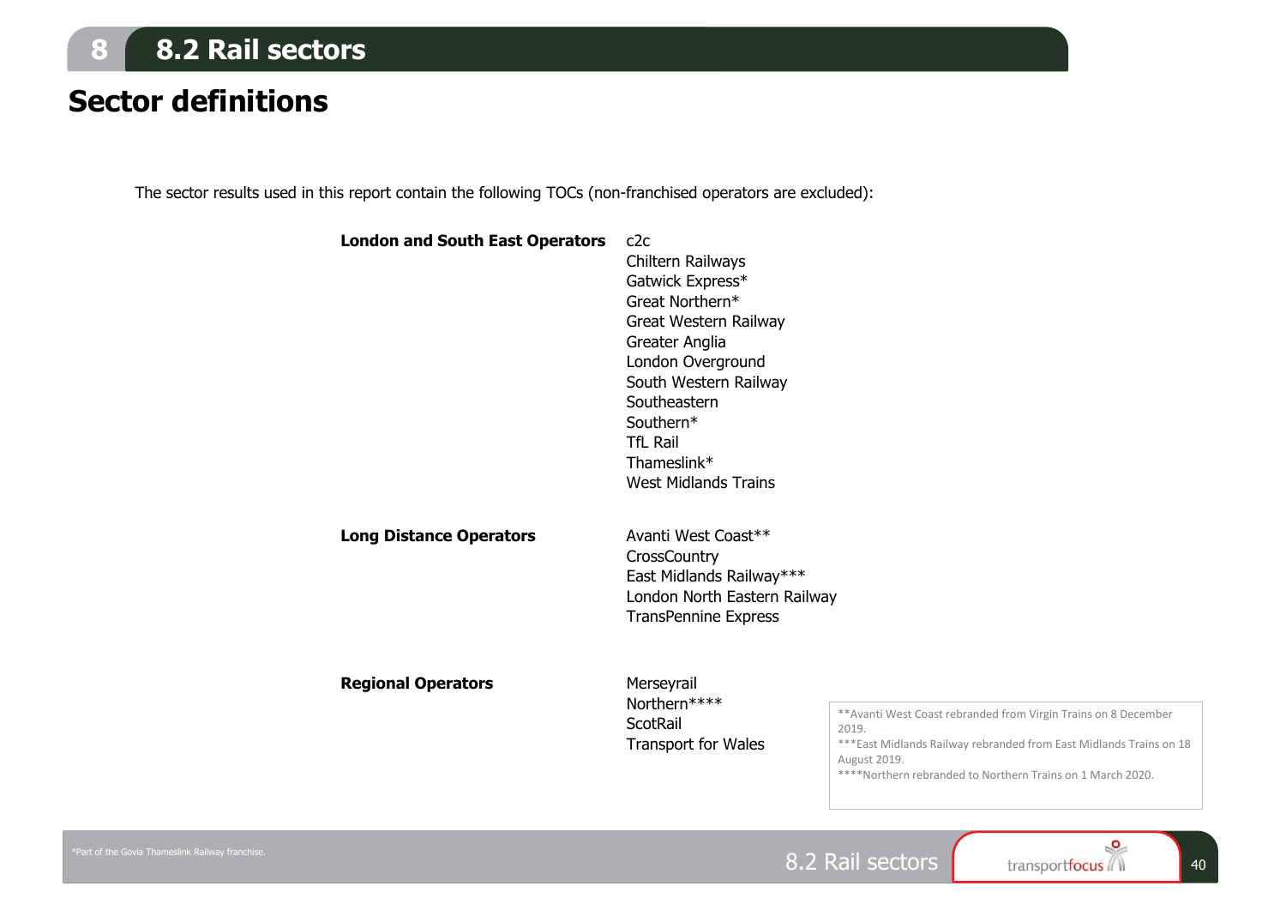## **8 8.2 Rail sectors**

## **Sector definitions**

The sector results used in this report contain the following TOCs (non-franchised operators are excluded):

**London and South East Operators** c2c

### Chiltern Railways Gatwick Express\* Great Northern\* Great Western Railway Greater Anglia London Overground South Western Railway **Southeastern** Southern\* TfL Rail Thameslink\* West Midlands Trains **Long Distance Operators** Avanti West Coast\*\*

**CrossCountry** East Midlands Railway\*\*\* London North Eastern Railway TransPennine Express

**Regional Operators** Merseyrail

Northern\*\*\*\* **ScotRail** Transport for Wales

\*\*Avanti West Coast rebranded from Virgin Trains on 8 December 2019.

\*\*\*East Midlands Railway rebranded from East Midlands Trains on 18 August 2019.

\*\*\*\*Northern rebranded to Northern Trains on 1 March 2020.

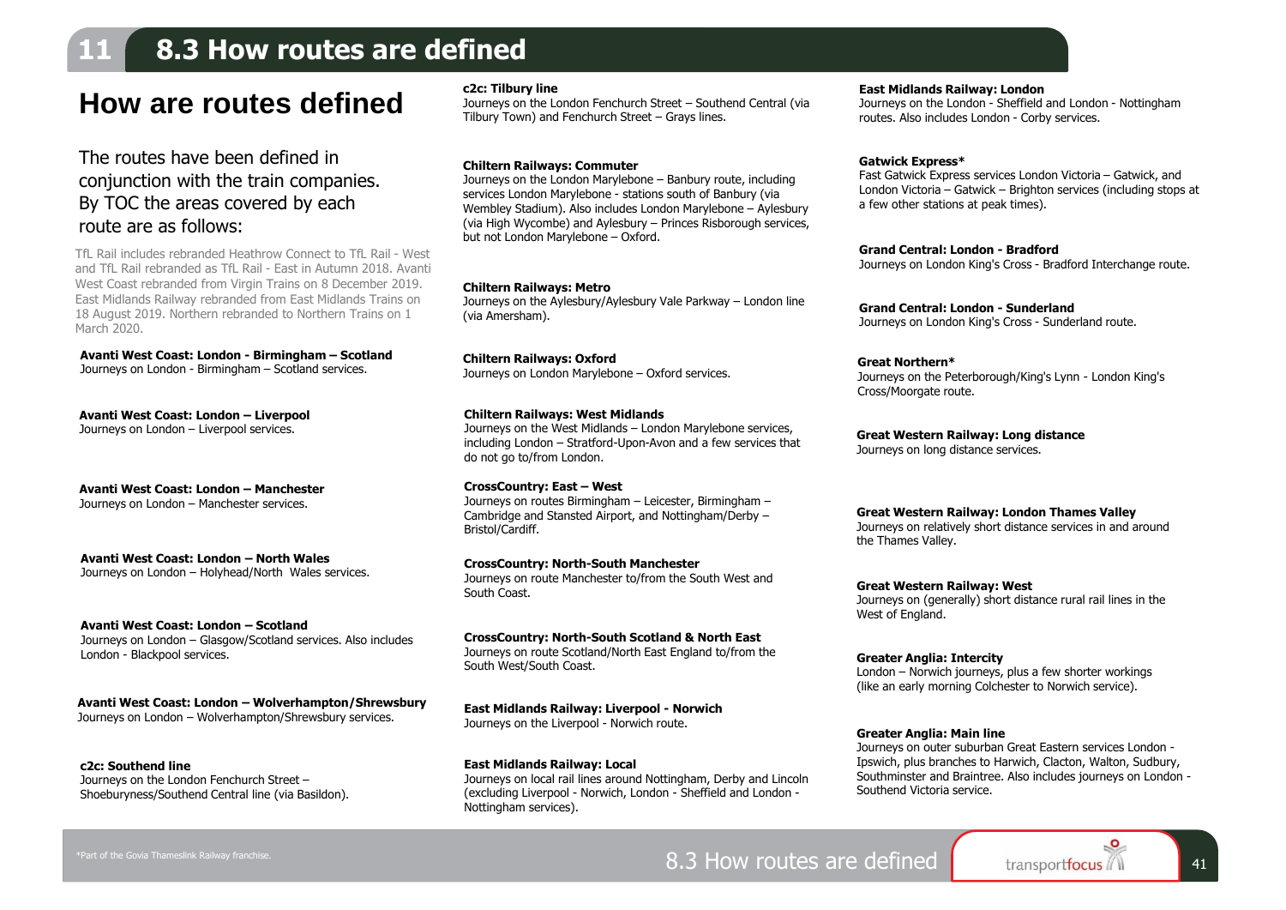### **11 8.3 How routes are defined**

### **How are routes defined**

#### The routes have been defined in conjunction with the train companies. By TOC the areas covered by each route are as follows:

TfL Rail includes rebranded Heathrow Connect to TfL Rail - West and TfL Rail rebranded as TfL Rail - East in Autumn 2018. Avanti West Coast rebranded from Virgin Trains on 8 December 2019. East Midlands Railway rebranded from East Midlands Trains on 18 August 2019. Northern rebranded to Northern Trains on 1 March 2020.

**Avanti West Coast: London - Birmingham – Scotland** Journeys on London - Birmingham – Scotland services.

**Avanti West Coast: London – Liverpool** Journeys on London – Liverpool services.

**Avanti West Coast: London – Manchester** Journeys on London – Manchester services.

**Avanti West Coast: London – North Wales** Journeys on London – Holyhead/North Wales services.

**Avanti West Coast: London – Scotland** Journeys on London – Glasgow/Scotland services. Also includes London - Blackpool services.

**Avanti West Coast: London – Wolverhampton/Shrewsbury** Journeys on London – Wolverhampton/Shrewsbury services.

**c2c: Southend line** Journeys on the London Fenchurch Street – Shoeburyness/Southend Central line (via Basildon).

#### **c2c: Tilbury line**

Journeys on the London Fenchurch Street – Southend Central (via Tilbury Town) and Fenchurch Street – Grays lines.

#### **Chiltern Railways: Commuter**

Journeys on the London Marylebone – Banbury route, including services London Marylebone - stations south of Banbury (via Wembley Stadium). Also includes London Marylebone – Aylesbury (via High Wycombe) and Aylesbury – Princes Risborough services, but not London Marylebone – Oxford.

#### **Chiltern Railways: Metro**

Journeys on the Aylesbury/Aylesbury Vale Parkway – London line (via Amersham).

**Chiltern Railways: Oxford** Journeys on London Marylebone – Oxford services.

#### **Chiltern Railways: West Midlands**

Journeys on the West Midlands – London Marylebone services, including London – Stratford-Upon-Avon and a few services that do not go to/from London.

**CrossCountry: East – West** Journeys on routes Birmingham – Leicester, Birmingham – Cambridge and Stansted Airport, and Nottingham/Derby – Bristol/Cardiff.

**CrossCountry: North-South Manchester** Journeys on route Manchester to/from the South West and South Coast.

**CrossCountry: North-South Scotland & North East** Journeys on route Scotland/North East England to/from the South West/South Coast. **Greater Anglia: Intercity**

**East Midlands Railway: Liverpool - Norwich** Journeys on the Liverpool - Norwich route.

**East Midlands Railway: Local** Journeys on local rail lines around Nottingham, Derby and Lincoln (excluding Liverpool - Norwich, London - Sheffield and London - Nottingham services).

**East Midlands Railway: London**

Journeys on the London - Sheffield and London - Nottingham routes. Also includes London - Corby services.

#### **Gatwick Express\***

Fast Gatwick Express services London Victoria – Gatwick, and London Victoria – Gatwick – Brighton services (including stops at a few other stations at peak times).

**Grand Central: London - Bradford** Journeys on London King's Cross - Bradford Interchange route.

**Grand Central: London - Sunderland** Journeys on London King's Cross - Sunderland route.

**Great Northern\*** Journeys on the Peterborough/King's Lynn - London King's Cross/Moorgate route.

**Great Western Railway: Long distance** Journeys on long distance services.

#### **Great Western Railway: London Thames Valley**

Journeys on relatively short distance services in and around the Thames Valley.

**Great Western Railway: West** Journeys on (generally) short distance rural rail lines in the West of England.

London – Norwich journeys, plus a few shorter workings (like an early morning Colchester to Norwich service).

#### **Greater Anglia: Main line**

Journeys on outer suburban Great Eastern services London - Ipswich, plus branches to Harwich, Clacton, Walton, Sudbury, Southminster and Braintree. Also includes journeys on London - Southend Victoria service.

8.3 How routes are defined <sup>41</sup>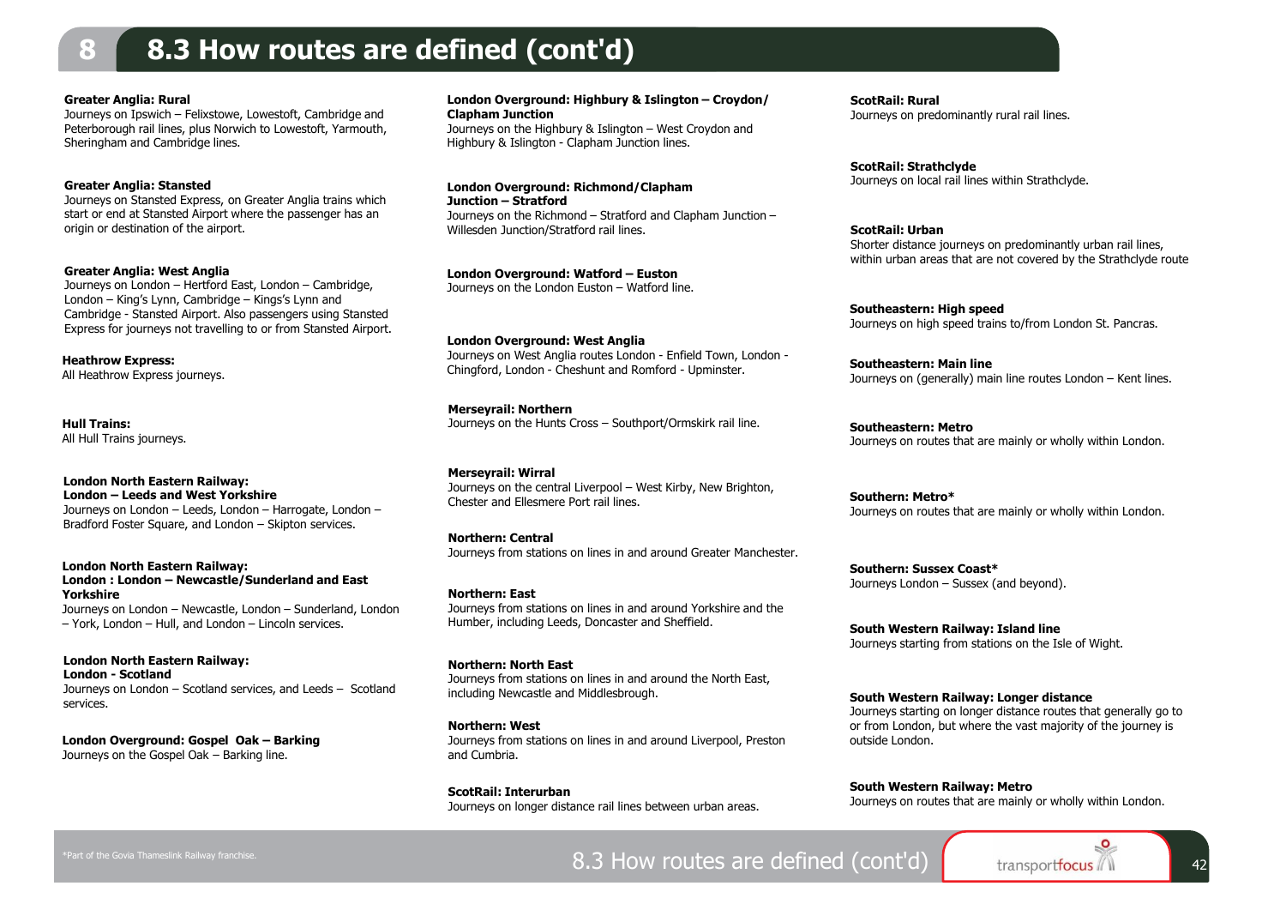### **8 8.3 How routes are defined (cont'd)**

#### **Greater Anglia: Rural**

Journeys on Ipswich – Felixstowe, Lowestoft, Cambridge and Peterborough rail lines, plus Norwich to Lowestoft, Yarmouth, Sheringham and Cambridge lines.

#### **Greater Anglia: Stansted**

Journeys on Stansted Express, on Greater Anglia trains which start or end at Stansted Airport where the passenger has an origin or destination of the airport.

**Greater Anglia: West Anglia** Journeys on London – Hertford East, London – Cambridge, London – King's Lynn, Cambridge – Kings's Lynn and Cambridge - Stansted Airport. Also passengers using Stansted Express for journeys not travelling to or from Stansted Airport.

**Heathrow Express:** All Heathrow Express journeys.

### **Hull Trains:**

All Hull Trains journeys.

**London North Eastern Railway: London – Leeds and West Yorkshire** Journeys on London – Leeds, London – Harrogate, London – Bradford Foster Square, and London – Skipton services.

#### **London North Eastern Railway: London : London – Newcastle/Sunderland and East Yorkshire**

Journeys on London – Newcastle, London – Sunderland, London – York, London – Hull, and London – Lincoln services.

**London North Eastern Railway: London - Scotland**  Journeys on London – Scotland services, and Leeds – Scotland services.

**London Overground: Gospel Oak – Barking** Journeys on the Gospel Oak – Barking line.

#### **London Overground: Highbury & Islington – Croydon/ Clapham Junction**

Journeys on the Highbury & Islington – West Croydon and Highbury & Islington - Clapham Junction lines.

#### **London Overground: Richmond/Clapham Junction – Stratford**

Journeys on the Richmond – Stratford and Clapham Junction – Willesden Junction/Stratford rail lines.

**London Overground: Watford – Euston** Journeys on the London Euston – Watford line.

**London Overground: West Anglia** Journeys on West Anglia routes London - Enfield Town, London - Chingford, London - Cheshunt and Romford - Upminster.

**Merseyrail: Northern** Journeys on the Hunts Cross – Southport/Ormskirk rail line.

#### **Merseyrail: Wirral** Journeys on the central Liverpool – West Kirby, New Brighton, Chester and Ellesmere Port rail lines.

**Northern: Central** Journeys from stations on lines in and around Greater Manchester.

**Northern: East** Journeys from stations on lines in and around Yorkshire and the Humber, including Leeds, Doncaster and Sheffield.

#### **Northern: North East**  Journeys from stations on lines in and around the North East, including Newcastle and Middlesbrough.

**Northern: West** Journeys from stations on lines in and around Liverpool, Preston and Cumbria.

**ScotRail: Interurban** Journeys on longer distance rail lines between urban areas. **ScotRail: Rural** Journeys on predominantly rural rail lines.

**ScotRail: Strathclyde** Journeys on local rail lines within Strathclyde.

**ScotRail: Urban** Shorter distance journeys on predominantly urban rail lines, within urban areas that are not covered by the Strathclyde route

**Southeastern: High speed** Journeys on high speed trains to/from London St. Pancras.

**Southeastern: Main line** Journeys on (generally) main line routes London – Kent lines.

**Southeastern: Metro** Journeys on routes that are mainly or wholly within London.

**Southern: Metro\*** Journeys on routes that are mainly or wholly within London.

**Southern: Sussex Coast\*** Journeys London – Sussex (and beyond).

**South Western Railway: Island line** Journeys starting from stations on the Isle of Wight.

**South Western Railway: Longer distance** Journeys starting on longer distance routes that generally go to or from London, but where the vast majority of the journey is outside London.

**South Western Railway: Metro** Journeys on routes that are mainly or wholly within London.

8.3 How routes are defined (cont'd) transportfocus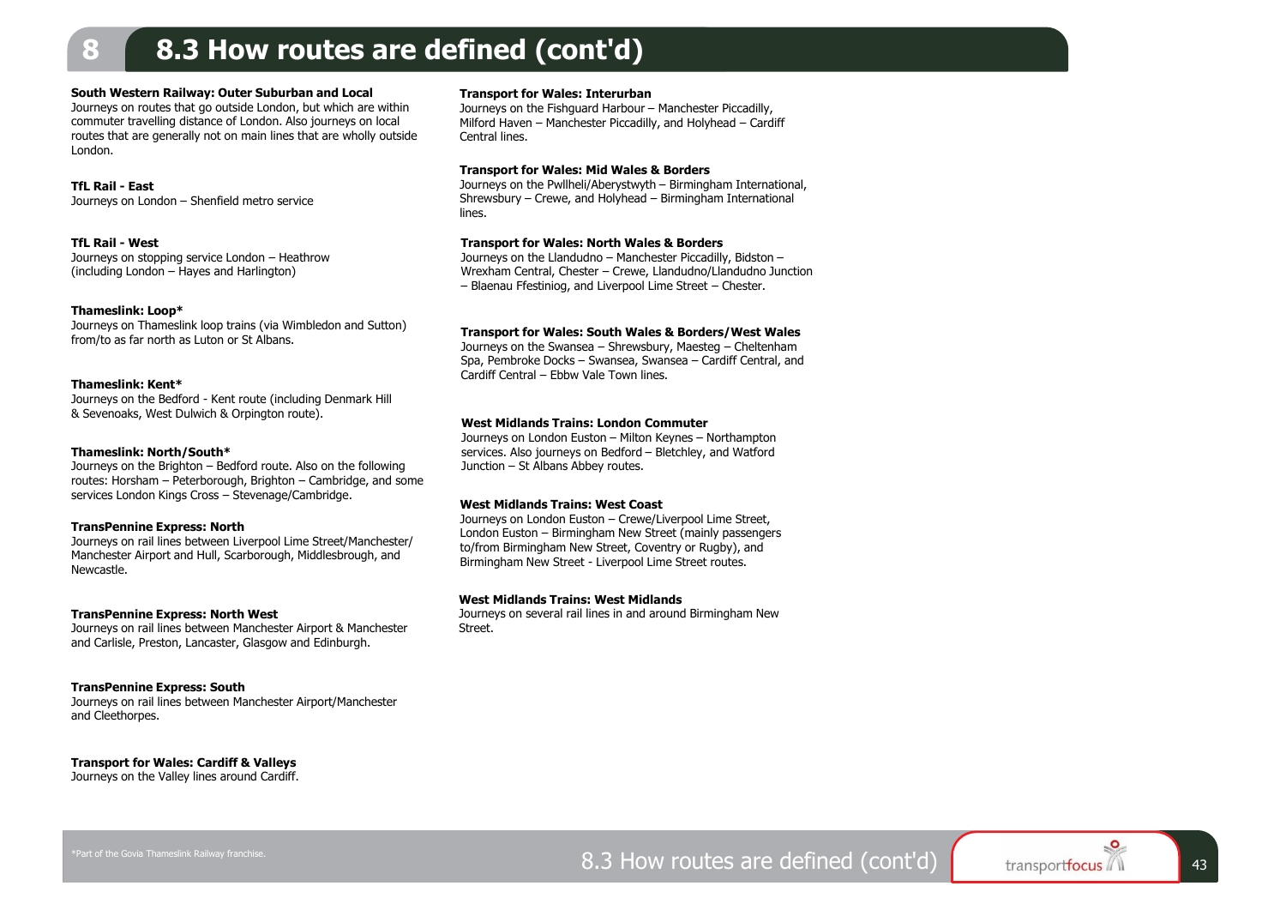### **8 8.3 How routes are defined (cont'd)**

#### **South Western Railway: Outer Suburban and Local**

Journeys on routes that go outside London, but which are within commuter travelling distance of London. Also journeys on local routes that are generally not on main lines that are wholly outside London.

#### **TfL Rail - East**

Journeys on London – Shenfield metro service

#### **TfL Rail - West**

Journeys on stopping service London – Heathrow (including London – Hayes and Harlington)

#### **Thameslink: Loop\***

Journeys on Thameslink loop trains (via Wimbledon and Sutton) from/to as far north as Luton or St Albans.

#### **Thameslink: Kent\***

Journeys on the Bedford - Kent route (including Denmark Hill & Sevenoaks, West Dulwich & Orpington route).

#### **Thameslink: North/South\***

Journeys on the Brighton – Bedford route. Also on the following routes: Horsham – Peterborough, Brighton – Cambridge, and some services London Kings Cross – Stevenage/Cambridge.

#### **TransPennine Express: North**

Journeys on rail lines between Liverpool Lime Street/Manchester/ Manchester Airport and Hull, Scarborough, Middlesbrough, and Newcastle.

#### **TransPennine Express: North West**

Journeys on rail lines between Manchester Airport & Manchester and Carlisle, Preston, Lancaster, Glasgow and Edinburgh.

#### **TransPennine Express: South**

Journeys on rail lines between Manchester Airport/Manchester and Cleethorpes.

#### **Transport for Wales: Cardiff & Valleys**

Journeys on the Valley lines around Cardiff.

#### **Transport for Wales: Interurban**

Journeys on the Fishguard Harbour – Manchester Piccadilly, Milford Haven – Manchester Piccadilly, and Holyhead – Cardiff Central lines.

#### **Transport for Wales: Mid Wales & Borders**

Journeys on the Pwllheli/Aberystwyth – Birmingham International, Shrewsbury – Crewe, and Holyhead – Birmingham International lines.

#### **Transport for Wales: North Wales & Borders**

Journeys on the Llandudno – Manchester Piccadilly, Bidston – Wrexham Central, Chester – Crewe, Llandudno/Llandudno Junction – Blaenau Ffestiniog, and Liverpool Lime Street – Chester.

#### **Transport for Wales: South Wales & Borders/West Wales**

Journeys on the Swansea – Shrewsbury, Maesteg – Cheltenham Spa, Pembroke Docks – Swansea, Swansea – Cardiff Central, and Cardiff Central – Ebbw Vale Town lines.

#### **West Midlands Trains: London Commuter**

Journeys on London Euston – Milton Keynes – Northampton services. Also journeys on Bedford – Bletchley, and Watford Junction – St Albans Abbey routes.

#### **West Midlands Trains: West Coast**

Journeys on London Euston – Crewe/Liverpool Lime Street, London Euston – Birmingham New Street (mainly passengers to/from Birmingham New Street, Coventry or Rugby), and Birmingham New Street - Liverpool Lime Street routes.

#### **West Midlands Trains: West Midlands**

Journeys on several rail lines in and around Birmingham New **Street**